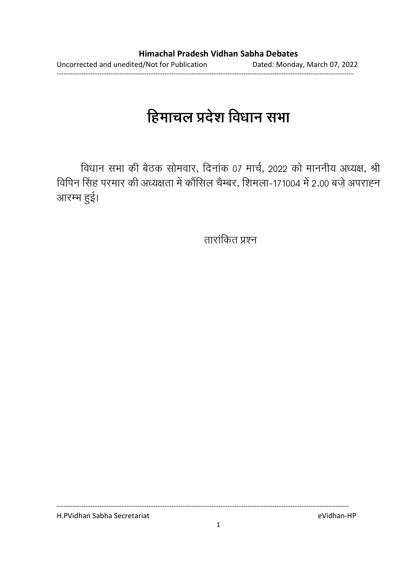# हिमाचल प्रदेश विधान सभा

विधान सभा की बैठक सोमवार, दिनाक 07 मार्च, 2022 को माननीय अध्यक्ष, श्री विपिन सिंह परमार की अध्यक्षता में कौसिल चैम्बर, शिमला-171004 में 2.00 बज़े अपराह्न आरम्भ हुई।

ताराकित प्रश्न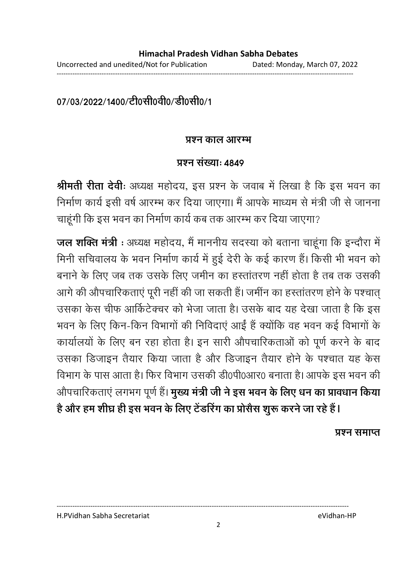# 07/03/2022/1400/टी0सी0वी0/डी0सी0/1

### <u> प्रश्न काल आरम्भ</u>

### प्रश्न संख्या: *181*9

**श्रीमती रीता देवीः** अध्यक्ष महोदय, इस प्रश्न के जवाब में लिखा है कि इस भवन का निर्माण कार्य इसी वर्ष आरम्भ कर दिया जाएगा। मैं आपके माध्यम से मंत्री जी से जानना चाहूँगी कि इस भवन का निर्माण कार्य कब तक आरम्भ कर दिया जाएगा?

**जल शक्ति मंत्री** : अध्यक्ष महोदय, मैं माननीय सदस्या को बताना चाहूंगा कि इन्दौरा में मिनी सर्चिवालय के भवन निर्माण कार्य में हुई देरी के कई कारण है। किसी भी भवन को बनाने के लिए जब तक उसके लिए जमीन का हस्तातरण नहीं होता है तब तक उसकी आगे की औपचारिकताएं पूरी नहीं की जा सकती हैं। जमीन का हस्तांतरण होने के पश्चात् उसका केस चीफ आर्किटेक्चर को भेजा जाता है। उसके बाद यह देखा जाता है कि इस भवन के लिए किन-किन विभागों की निर्विदाएं आई हैं क्योंकि वह भवन कई विभागों के कार्यालयों के लिए बन रहा होता है। इन सारी औपचारिकताओं को पूर्ण करने के बाद उसका डिजाइन तैयार किया जाता है और डिजाइन तैयार होने के पश्चात यह केस विभाग के पास आता है। फिर विभाग उसकी डी0पी0आर0 बनाता है। आपके इस भवन की औपचारिकताएं लगभग पूर्ण हैं। **मुख्य मंत्री जी ने इस भवन के लिए धन का प्रावधान किया** है और हम शीघ्र ही इस भवन के लिए टेडरिंग का प्रसिस शुरू करने जा रहे हैं l

प्रश्न समाप्त

H.PVidhan Sabha Secretariat eVidhan-HP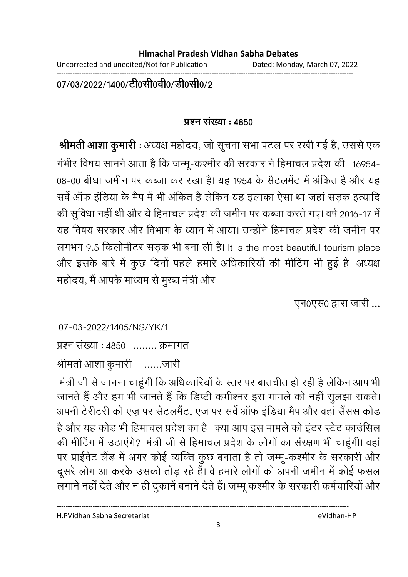Uncorrected and unedited/Not for Publication Dated: Monday, March 07, 2022

------------------------------------------------------------------------------------------------------------------------------------

07/03/2022/1400/टी0सी0वी0/डी0सी0/2

# **!" : 4850**

**श्रीमती आशा कुमारी** : अध्यक्ष महोदय, जो सूचना सभा पटल पर रखी गई है, उससे एक गभीर विषय सामने आता है कि जम्मू-कश्मीर की सरकार ने हिमाचल प्रदेश की 16954-08-00 बीघा जमीन पर कब्जा कर रखा है। यह 1954 के सैटलमेंट में अंकित हैं और यह सर्व आफ इंडिया के मैप में भी अर्कित हैं लेकिन यह इलाका ऐसा था जहां सड़क इत्यादि | की सुर्विधा नहीं थी और ये हिमाचल प्रदेश की जमीन पर कब्जा करते गए। वर्ष 2016-17 में यह विषय सरकार और विभाग के ध्यान में आया। उन्होंने हिमाचल प्रदेश की जमीन पर लगभग 9.5 किलोमीटर सड़क भी बना ली है। It is the most beautiful tourism place और इसके बारे में कुछ दिनों पहले हमारे अधिकारियों की मीटिंग भी हुई है। अध्यक्ष महोदय, मैं आपके माध्यम से मुख्य मंत्री और

... एन0एस0 द्वारा जारी ...

07-03-2022/1405/NS/YK/1

प्रश्न संख्या : 4850 ........ क्रमागत

श्रीमती आशा कुमारी — …… जारी

मंत्री जी से जानना चाहूँगी कि अधिकारियों के स्तर पर बातचीत हो रही है लेकिन आप भी जानते हैं और हम भी जानते हैं कि डिप्टी कर्मीश्नर इस मामले को नहीं सुलझा सकते। अपनी टेरीटरी को एज़ पर सेटलमेंट, एज पर सर्व आफ इंडिया मैप और वहां सैसंस कोड है और यह कोंड भी हिमाचल प्रदेश का है। क्या आप इस मामले को इटर स्टेट काउंसिल की मीटिंग में उठाएंगे? मंत्री जी से हिमाचल प्रदेश के लोगों का सरक्षण भी चाहूंगी। वहां ' पर प्राईवेंट लैंड में अगर कोई व्यक्ति कुछ बनाता है तो जम्मू-कश्मीर के सरकारी और दूसरे लोग आ करके उसको तोड़ रहे हैं। वे हमारे लोगों को अपनी जमीन में कोई फसल लगाने नहीं देते और न ही दुकाने बनाने देते हैं। जम्मू कश्मीर के सरकारी कर्मचारियों और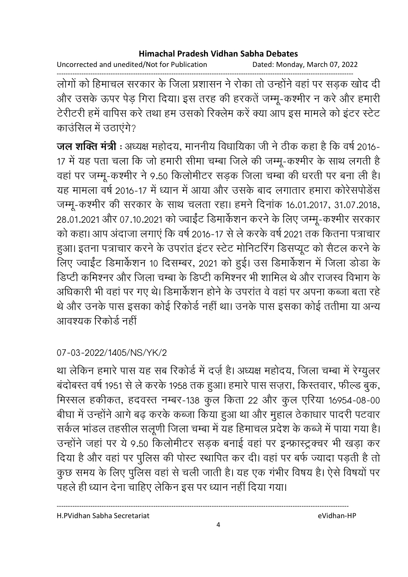Uncorrected and unedited/Not for Publication Dated: Monday, March 07, 2022

------------------------------------------------------------------------------------------------------------------------------------ लोगों को हिमाचल सरकार के जिला प्रशासन ने रोका तो उन्होंने वहां पर सड़क खोद दी और उसके ऊपर पेड़ गिरा दिया। इस तरह की हरकते जम्मू-कश्मीर न करें और हमारी टेरीटरी हमें वार्पिस करें तथा हम उसको रिक्लम करें क्या आप इस मामले को इंटर स्टेट काउसिल में उठाएंगे?

**जल शक्ति मंत्री** : अध्यक्ष महोदय, माननीय विधायिका जी ने ठीक कहा है कि वर्ष 2016-17 में यह पता चला कि जो हमारी सीमा चम्बा जिले की जम्मू-कश्मीर के साथ लगती हैं वहां पर जम्मू-कश्मीर ने 9.50 किलोमीटर सड़क जिला चम्बा की धरती पर बना ली है। यह मामला वर्ष 2016-17 में ध्यान में आया और उसके बाद लगातार हमारा कोरेसपोडेंस जम्मू-कश्मीर की सरकार के साथ चलता रहा। हमने दिनाक 16.01.2017, 31.07.2018, 28.01.2021 और 07.10.2021 को ज्वाईट डिमार्कशन करने के लिए जम्मू-कश्मीर सरकार को कहा। आप अदाजा लगाए कि वर्ष 2016-17 से ले करके वर्ष 2021 तक कितना पत्राचार हुआ। इतना पत्राचार करने के उपरांत इंटर स्टेट मोनिटरिंग डिसप्यूट को सैंटल करने के लिए ज्वाईट डिमार्कशन 10 दिसम्बर, 2021 को हुई। उस डिमार्कशन में जिला डोडा के डिप्टी कमिश्नर और जिला चम्बा के डिप्टी कमिश्नर भी शामिल थे और राजस्व विभाग के आंधकारी भी वहां पर गए थे। डिमार्कशन होने के उपरांत वे वहां पर अपना कब्जा बता रहें ' थे और उनके पास इसका कोई रिकोर्ड नहीं था। उनके पास इसका कोई ततीमा या अन्य आवश्यक रिकोर्ड नहीं

# 07-03-2022/1405/NS/YK/2

था लेकिन हमारे पास यह सब रिकोर्ड में दर्ज़ है। अध्यक्ष महोदय, जिला चम्बा में रेग्युलर बदोबस्त वर्ष 1951 से ले करके 1958 तक हुआ। हमारे पास सज़रा, किस्तवार, फील्ड बुक, मिस्सल हकीकत, हदवस्त नम्बर-138 कुल किता 22 और कुल एरिया 16954-08-00 बीघा में उन्होंने आगे बढ़ करके कब्जा किया हुआ था और मुहाल ठेकाधार पादरी पटवार सकेल भांडल तहसील संलूणी जिला चम्बा में यह हिमाचल प्रदेश के कब्जे में पाया गया है। उन्होंने जहां पर ये 9.50 किलोमीटर सड़क बनाई वहां पर इन्फ्रास्ट्रक्चर भी खड़ा कर दिया है और वहां पर पुलिस की पोस्ट स्थापित कर दी। वहां पर बर्फ ज्यादा पड़ती है तो कुछ समय के लिए पुलिस वहां से चली जाती है। यह एक गभीर विषय है। ऐसे विषयों पर पहले ही ध्यान देना चाहिए लेकिन इस पर ध्यान नहीं दिया गया।

H.PVidhan Sabha Secretariat eVidhan-HP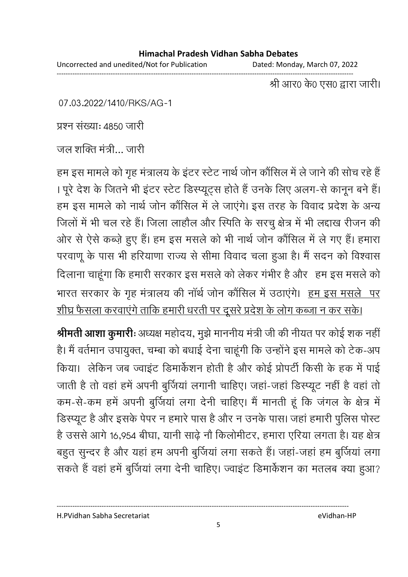Uncorrected and unedited/Not for Publication Dated: Monday, March 07, 2022

------------------------------------------------------------------------------------------------------------------------------------ श्री आर0 के0 एस0 द्वारा जारी।

07.03.2022/1410/RKS/AG-1

प्रश्न संख्या: 4850 जारी

जल शक्ति मंत्री… जारी

हम इस मामले को गृह मत्रालय के इटर स्टेट नार्थ जोन कौसिल में ले जाने की सोच रहे हैं। । पूरे देश के जितने भी इंटर स्टेट डिस्प्यूट्स होते हैं उनके लिए अलग-से कानून बने हैं। हम इस मामले को नार्थ जोन कौर्सिल में ले जाएंगे। इस तरह के विवाद प्रदेश के अन्य जिलों में भी चल रहे हैं। जिला लाहौल और स्पिति के सरचु क्षेत्र में भी लद्दाख रीजन की आर से ऐसे कब्ज़े हुए हैं। हम इस मसले को भी नाथ जोन कौसिल में ले गए हैं। हमारा परवाणू के पास भी हरियाणा राज्य से सीमा विवाद चला हुआ है। मैं सदन को विश्वास दिलाना चाहूंगा कि हमारी सरकार इस मसले को लेकर गभीर है और ) हम इस मसले को भारत सरकार के गृह मंत्रालय की नाथ जोन कौर्सिल में उठाएंगे। <u>हम इस मसले पर</u> शीघ्र फैसला करवाएंगे ताकि हमारी धरती पर दूसरे प्रदेश के लोग कब्जा न कर सकें।

**श्रीमती आशा कुमारी:** अध्यक्ष महोदय, मुझे माननीय मंत्री जी की नीयत पर कोई शक नहीं | हैं। मैं वर्तमान उपायुक्त, चम्बा को बधाई देना चाहूँगी कि उन्होंने इस मामले को टेक-अप किया। लेकिन जब ज्वाइट डिमार्कशन होती है और कोई प्रोपटी किसी के हक में पाई जाती है तो वहां हमें अपनी बुजिया लगानी चाहिए। जहा-जहां डिस्प्यूट नहीं है वहां तो कम-से-कम हमें अपनी बुजिया लगा देनी चाहिए। मैं मानती हूँ कि जगल के क्षेत्र में डिस्प्यूट है और इसके पेपर न हमारे पास है और न उनके पास। जहां हमारी पुलिस पोस्ट है उससे आगे 16,954 बीघा, यांनी साढ़े नौ किलोमीटर, हमारा एरिया लगता है। यह क्षेत्र बहुत सुन्दर है और यहां हम अपनी बुजिया लगा सकते हैं। जहा-जहां हम बुजिया लगा सकते हैं वहां हमें बुजिया लगा देनी चाहिए। ज्वाइट डिमार्कशन का मतलब क्या हुआ?

H.PVidhan Sabha Secretariat eVidhan-HP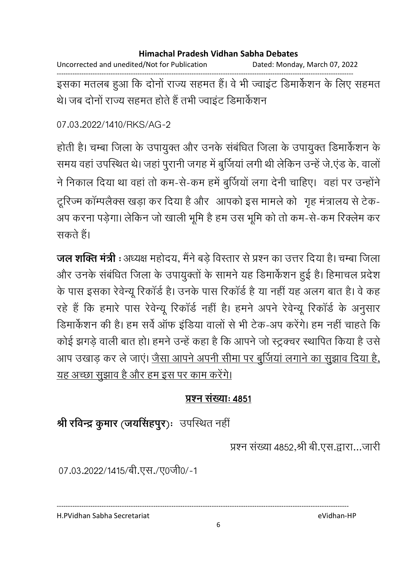| Dated: Monday, March 07, 2022 |
|-------------------------------|
|                               |

इसका मतलब हुआ कि दोनों राज्य सहमत हैं। वे भी ज्वाइंट डिमार्केशन के लिए सहमत थे। जब दोनों राज्य सहमत होते हैं तभी ज्वाइंट डिमार्केशन

07.03.2022/1410/RKS/AG-2

होती है। चम्बा जिला के उपायुक्त और उनके संबंधित जिला के उपायुक्त डिमार्केशन के समय वहां उपस्थित थे। जहां पुरानी जगह में बुर्जियां लगी थी लेकिन उन्हें जे.एंड के. वालों ने निकाल दिया था वहां तो कम-से-कम हमें बूर्जियों लगा देनी चाहिए। वहां पर उन्होंने टूरिज्म कॉम्पलैक्स खड़ा कर दिया है और आपको इस मामले को गृह मंत्रालय से टेक-अप करना पड़ेगा। लेकिन जो खाली भूमि है हम उस भूमि को तो कम-से-कम रिक्लेम कर सकते हैं।

**जल शक्ति मंत्री :** अध्यक्ष महोदय. मैंने बड़े विस्तार से प्रश्न का उत्तर दिया है। चम्बा जिला और उनके संबंधित जिला के उपायुक्तों के सामने यह डिमार्केशन हुई है। हिमाचल प्रदेश के पास इसका रेवेन्यू रिकॉर्ड है। उनके पास रिकॉर्ड है या नहीं यह अलग बात है। वे कह रहे हैं कि हमारे पास रेवेन्यू रिकॉर्ड नहीं है। हमने अपने रेवेन्यू रिकॉर्ड के अनुसार डिमार्केशन की है। हम सर्वे ऑफ इंडिया वालों से भी टेक-अप करेंगे। हम नहीं चाहते कि कोई झगड़े वाली बात हो। हमने उन्हें कहा है कि आपने जो स्ट्रक्चर स्थापित किया है उसे आप उखाड़ कर ले जाएं। <u>जैसा आपने अपनी सीमा पर बुर्जियां लगाने का सुझाव दिया है,</u> यह अच्छा सुझाव है और हम इस पर काम करेंगे।

# प्रश्न संख्याः ४८५१

# श्री रविन्द्र कुमार (जयसिंहपुर): उपस्थित नहीं

प्रश्न संख्या 4852,श्री बी.एस.द्वारा...जारी

07.03.2022/1415/बी.एस./ए0जी0/-1

H.PVidhan Sabha Secretariat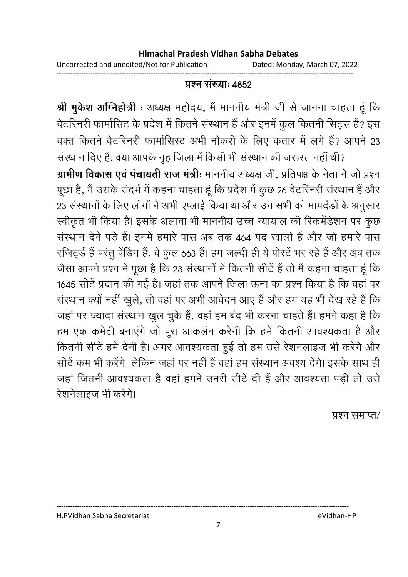Uncorrected and unedited/Not for Publication Dated: Monday, March 07, 2022

### <u> प्रश्न संख्याः ४८५२</u>

------------------------------------------------------------------------------------------------------------------------------------

**श्री मुकेश ओग्नेहोत्री** : अध्यक्ष महोदय, मै माननीय मंत्री जी से जानना चाहता हू कि वेटरिनरी फामोसिट के प्रदेश में कितने संस्थान है और इनमें कुल कितनी सिट्स है? इस वक्त कितने वेटरिनरी फामोसिस्ट अभी नौकरी के लिए कतार में लगे हैं? आपने 23 संस्थान दिए हैं, क्या आपके गृह जिला में किसी भी संस्थान की जरूरत नहीं थी?

**ग्रामीण विकास एवं पचायती राज मंत्रीः** माननीय अध्यक्ष जी, प्रतिपक्ष के नेता ने जो प्रश्न पूछा है, मैं उसके सदर्भ में कहना चाहता हूं कि प्रदेश में कुछ 26 वेटरिनरी संस्थान है और 23 संस्थानों के लिए लोगों ने अभी एप्लाई किया था और उन सभी को मापदंडों के अनुसार स्वीकृत भी किया है। इसके अलावा भी माननीय उच्च न्यायाल की रिकर्मेडेशन पर कुछ संस्थान देने पड़े हैं। इनमें हमारे पास अब तक 464 पद खाली है और जो हमारे पास रजिट्र्ड है परंतु पेडिंग हैं, वे कुल 663 है। हम जल्दी ही ये पोस्टे भर रहे हैं और अब तक जैसा आपने प्रश्न में पूछा है कि 23 संस्थानों में कितनी सीटे हैं तो मैं कहना चाहता हूं कि 1645 सीटे प्रदान की गई है। जहां तक आपने जिला ऊंना का प्रश्न किया है कि वहां पर संस्थान क्यों नहीं खुले, तो वहां पर अभी आवेदन आए हैं और हम यह भी देख रहे हैं कि जहां पर ज्यादा संस्थान खुल चुके हैं, वहां हम बंद भी करना चाहते हैं। हमने कहा है कि हम एक कर्मेटी बनाएंगे जो पूरा आकलन करेंगी कि हमें कितनी आवश्यकता है और कितनी सीटें हमें देनी हैं। अगर आवश्यकता हुई तो हम उसे रेशनलाइज भी करेंगे और सीटे कम भी करेंगे। लेकिन जहां पर नहीं है वहां हम संस्थान अवश्य देंगे। इसके साथ ही जहाँ जितनी आवश्यकता है वहाँ हमने उनरी सीटे दी है और आवश्यता पड़ी तो उसे रेशनेलाइज भी करेंगे।

प्रश्न समाप्त/

H.PVidhan Sabha Secretariat eVidhan-HP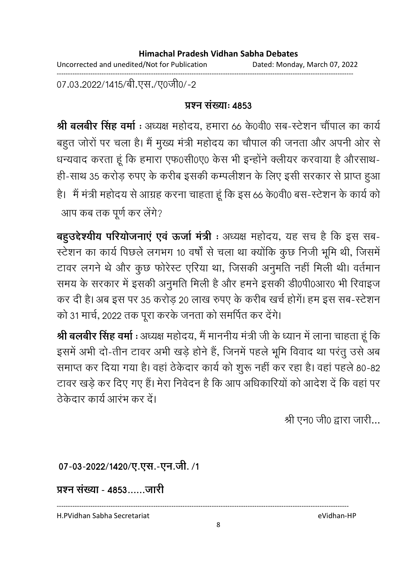Uncorrected and unedited/Not for Publication Dated: Monday, March 07, 2022 ------------------------------------------------------------------------------------------------------------------------------------

07.03.2022/1415/बी.एस./ए0जी0/-2

### **प्रश्न संख्या: 4853**

**श्री बलबीर सिंह वर्मा** : अध्यक्ष महोदय, हमारा 66 के0वी0 सब-स्टेशन चौपाल का कार्य बहुत जोरों पर चला है। मैं मुख्य मंत्री महोदय का चौंपाल की जनता और अपनी और से धन्यवाद करता हूं कि हमारा एफ0सी0ए0 केस भी इन्होंने क्लीयर करवाया है औरसाथ-ही-साथ 35 करोड़ रुपए के करीब इसकी कम्पलीशन के लिए इसी सरकार से प्राप्त हुआ हैं। मैं मंत्री महोदय से आग्रह करना चाहता हूं कि इस 66 के0वी0 बस-स्टेशन के कार्य को आप कब तक पूर्ण कर लेंगे?

**बहुउद्देश्यीय परियोजनाएं एवं ऊर्जा मंत्री** : अध्यक्ष महोदय, यह सच है कि इस सब-स्टेशन का कार्य पिछले लगभग 10 वर्षा से चला था क्योंकि कुछ निजी भूमि थी, जिसमें टावर लगने थे और कुछ फरिस्ट एरिया था, जिसकी अनुमति नहीं मिली थी। वर्तमान समय के सरकार में इसकी अनुमति मिली है और हमने इसकी डी0पी0आर0 भी रिवाइज कर दी है। अब इस पर 35 करोड़ 20 लाख रुपए के करीब खर्च होंगे। हम इस सब-स्टेशन को 31 मार्च, 2022 तक पूरा करके जनता को समर्पित कर देंगे।

**श्री बलबीर सिंह वर्मा :** अध्यक्ष महोदय, मैं माननीय मंत्री जी के ध्यान में लाना चाहता हूं कि इसमें अभी दो-तीन टावर अभी खड़े होने हैं, जिनमें पहले भूमि विवाद था परंतु उसे अब समाप्त कर दिया गया है। वहां ठेकेदार कार्य को शुरू नहीं कर रहा है। वहां पहले 80-82 टावर खड़े कर दिए गए हैं। मेरा निवेदन है कि आप अधिकारियों को आदेश दें कि वहां पर तेकेदार कार्य आरंभ कर दें।

श्री एन0 जी0 द्वारा जारी...

07-03-2022/1420/ए.एस.-एन.जी. /1

<u> प्रश्न संख्या - 4853......जारी</u>

H.PVidhan Sabha Secretariat eVidhan-HP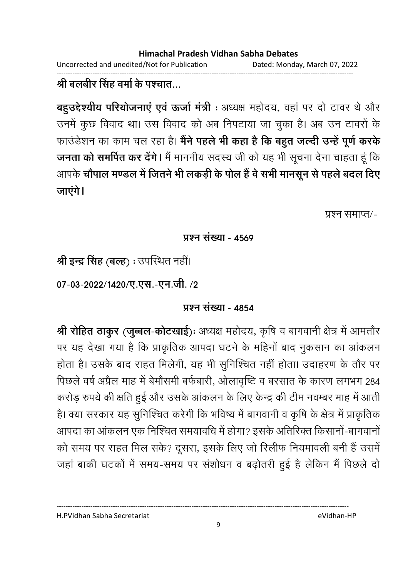Uncorrected and unedited/Not for Publication Dated: Monday, March 07, 2022

#### ------------------------------------------------------------------------------------------------------------------------------------ <u>श्री बलबीर सिंह वर्मा के पश्चात…</u>

**बहुउद्देश्यीय परियोजनाए एव ऊर्जा मंत्री** : अध्यक्ष महोदय, वहां पर दो टावर थे और उनमें कुछ विवाद था। उस विवाद को अब निपटाया जा चुका है। अब उन टावरों के फाउंडेशन का काम चल रहा है। **मैने पहले भी कहा है कि बहुत जल्दी उन्हें पूर्ण करके जनता को समर्पित कर देंगे।** मैं माननीय सदस्य जी को यह भी सूचना देना चाहता हूं कि आपके **चोपाल मण्डल में जितने भी लकड़ी के पोल है वे सभी मानसून से पहले बदल दिए** जाएगे।

प्रश्न समाप्त/-

### **प्रश्न संख्या - 4569**

<mark>श्री इन्द्र सिंह (बल्ह</mark>) : उपस्थित नहीं।

07-03-2022/1420/ए.एस.-एन.जी. /2

# <u> प्रश्न संख्या - 4854</u>

**श्री रोहित ठाकुर (जुब्बल-कोटखाई**)ः अध्यक्ष महोदय, कृषि व बागवानी क्षेत्र में आमतौर पर यह देखा गया है कि प्राकृतिक आपदा घटने के महिनो बाद नुकसान का आकलन होता है। उसके बाद राहत मिलेगी, यह भी सुनिश्चित नहीं होता। उदाहरण के तौर पर पिछले वर्ष अप्रैल माह में बेमोसमी बर्फबारी, ओलावृष्टि व बरसात के कारण लगभग 284 करोड़ रुपये की क्षति हुई और उसके आकलन के लिए केन्द्र की टीम नवम्बर माह में आती हैं। क्या सरकार यह सुनिश्चित करेगी कि भविष्य में बागवानी व कृषि के क्षेत्र में प्राकृतिक आपदा का आकलन एक निश्चित समयावधि में होगा? इसके अतिरिक्त किसानो-बागवानो को समय पर राहत मिल सके? दूसरा, इसके लिए जो रिलीफ नियमावली बनी है उसमें जहाँ बाकी घटकों में समय-समय पर संशोधन व बढ़ोतरी हुई है लेकिन मैं पिछले दो

H.PVidhan Sabha Secretariat eVidhan-HP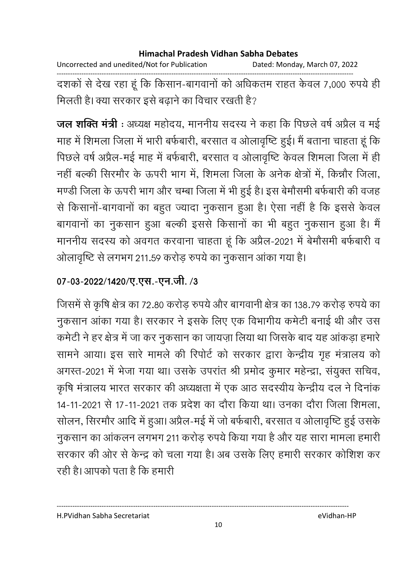Uncorrected and unedited/Not for Publication Dated: Monday, March 07, 2022

दशकों से देख रहा हूं कि किसान-बागवानों को अधिकतम राहत केवल 7,000 रुपये ही मिलती है। क्या सरकार इसे बढ़ाने का विचार रखती है?

जल शक्ति मंत्री : अध्यक्ष महोदय, माननीय सदस्य ने कहा कि पिछले वर्ष अप्रैल व मई माह में शिमला जिला में भारी बर्फबारी, बरसात व ओलावृष्टि हुई। मैं बताना चाहता हूं कि पिछले वर्ष अप्रैल-मई माह में बर्फबारी, बरसात व ओलावृष्टि केवल शिमला जिला में ही नहीं बल्की सिरमौर के ऊपरी भाग में, शिमला जिला के अनेक क्षेत्रों में, किन्नौर जिला, मण्डी जिला के ऊपरी भाग और चम्बा जिला में भी हुई है। इस बेमौसमी बर्फबारी की वजह से किसानों-बागवानों का बहुत ज्यादा नुकसान हुआ है। ऐसा नहीं है कि इससे केवल बागवानों का नुकसान हुआ बल्की इससे किसानों का भी बहुत नुकसान हुआ है। मैं माननीय सदस्य को अवगत करवाना चाहता हूं कि अप्रैल-2021 में बेमौसमी बर्फबारी व ओलावृष्टि से लगभग 211.59 करोड़ रुपये का नुकसान आंका गया है।

# 07-03-2022/1420/ए.एस.-एन.जी. /3

जिसमें से कृषि क्षेत्र का 72.80 करोड़ रुपये और बागवानी क्षेत्र का 138.79 करोड़ रुपये का नुकसान आंका गया है। सरकार ने इसके लिए एक विभागीय कमेटी बनाई थी और उस कमेटी ने हर क्षेत्र में जा कर नुकसान का जायज़ा लिया था जिसके बाद यह आंकड़ा हमारे सामने आया। इस सारे मामले की रिपोर्ट को सरकार द्वारा केन्द्रीय गृह मंत्रालय को अगस्त-2021 में भेजा गया था। उसके उपरांत श्री प्रमोद कुमार महेन्द्रा, संयुक्त सचिव, कृषि मंत्रालय भारत सरकार की अध्यक्षता में एक आठ सदस्यीय केन्द्रीय दल ने दिनांक 14-11-2021 से 17-11-2021 तक प्रदेश का दौरा किया था। उनका दौरा जिला शिमला, सोलन, सिरमौर आदि में हुआ। अप्रैल-मई में जो बर्फबारी, बरसात व ओलावृष्टि हुई उसके नुकसान का आंकलन लगभग 211 करोड़ रुपये किया गया है और यह सारा मामला हमारी सरकार की ओर से केन्द्र को चला गया है। अब उसके लिए हमारी सरकार कोशिश कर रही है। आपको पता है कि हमारी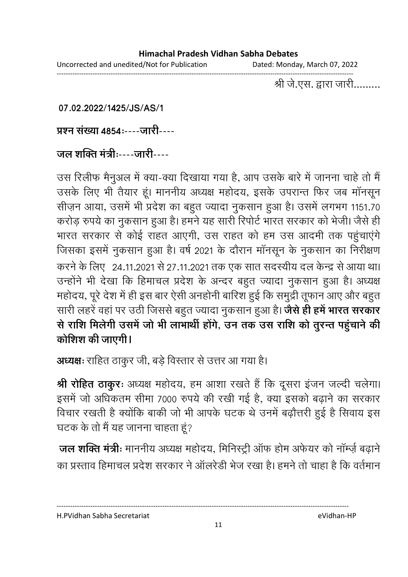Uncorrected and unedited/Not for Publication Dated: Monday, March 07, 2022 ------------------------------------------------------------------------------------------------------------------------------------

श्री जे.एस. द्वारा जारी.........

**07.02.2022/1425/JS/AS/1**

प्रश्न संख्या **4854:----जारी----**

# <u> जल शक्ति मंत्री:----जारी----</u>

उस रिलीफ मैनुअल में क्या-क्या दिखाया गया है, आप उसके बारे में जानना चाहे तो मैं उसके लिए भी तैयार हूं। माननीय अध्यक्ष महोदय, इसके उपरान्त फिर जब मानसून सीज़न आया, उसमें भी प्रदेश का बहुत ज्यादा नुकसान हुआ है। उसमें लगभग 1151.70 करोड़ रुपये का नुकसान हुआ है। हमने यह सारी रिपोर्ट भारत सरकार को भेजी। जैसे ही भारत सरकार से कोई राहत आएगी, उस राहत को हम उस आदमी तक पहुचाएंगे जिसका इसमें नुकसान हुआ है। वर्ष 2021 के दौरान मानसून के नुकसान का निरीक्षण करने के लिए 24.11.2021 से 27.11.2021 तक एक सात सदस्यीय दल केन्द्र से आया था। उन्होंने भी देखा कि हिमाचल प्रदेश के अन्दर बहुत ज्यादा नुकसान हुआ है। अध्यक्ष महोदय, पूरे देश में ही इस बार ऐसी अनहोंनी बारिश हुई कि समुद्री तूफान आए और बहुत। सारी लहरे वहां पर उठी जिससे बहुत ज्यादा नुकसान हुआ है। **जैसे ही हमें भारत सरकार** से राशि मिलेगी उसमे जो भी लाभार्थी होंगे, उन तक उस राशि को तुरन्त पहुंचाने की कोशिश की जाएगी।

**अध्यक्षः** राहित ठाकुर जी, बड़े विस्तार से उत्तर आ गया है।

**श्री रोहित ठाकुरः** अध्यक्ष महोदय, हम आशा रखते है कि दूसरा इजन जल्दी चलेगा। इसमें जो अधिकतम सीमा 7000 रुपये की रखी गई हैं, क्या इसको बढ़ाने का सरकार विचार रखती है क्योंकि बाकी जो भी आपके घटक थे उनमें बढ़ोत्तरी हुई है सिवाय इस घटक के तो मैं यह जानना चाहता हूं?

**जल शक्ति मंत्रीः** माननीय अध्यक्ष महोदय, मिनिस्ट्री आफ होम अर्फयर को नाम्ज़े बढ़ाने का प्रस्ताव हिमाचल प्रदेश सरकार ने आलरेडी भेज रखा है। हमने तो चाहा है कि वर्तमान

H.PVidhan Sabha Secretariat eVidhan-HP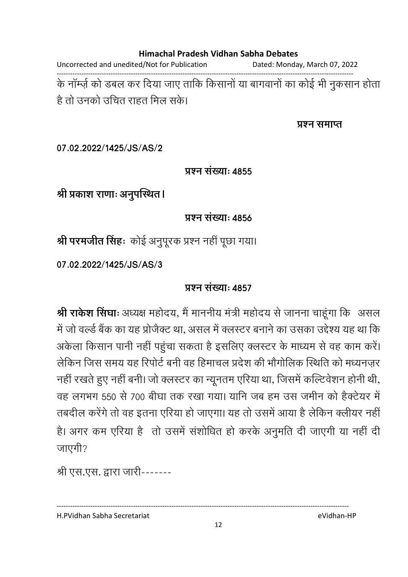Uncorrected and unedited/Not for Publication Dated: Monday, March 07, 2022

------------------------------------------------------------------------------------------------------------------------------------ के नाम्ज़े को डबल कर दिया जाए तार्कि किसानों या बागवानों का कोई भी नुकसान होता. है तो उनको उचित राहत मिल सके।

#### प्रश्न समाप्त

**07.02.2022/1425/JS/AS/2**

### **प्रश्न संख्या: 4855**

श्री प्रकाश राणाः अनुपस्थित।

**प्रश्न संख्या: 4856** 

श्री परमजीत सिंहः कोई अनुपूरक प्रश्न नहीं पूछा गया।

**07.02.2022/1425/JS/AS/3**

### **प्रश्न संख्या: 4857**

**श्री राकेश सिंघाः** अध्यक्ष महोदय, मैं माननीय मंत्री महोदय से जानना चाहूंगा कि असल में जो वर्ल्ड बैंक का यह प्रजिक्ट था, असल में क्लस्टर बनाने का उसका उद्देश्य यह था कि अर्कला किसान पानी नहीं पहुंचा सकता है इसलिए क्लस्टर के माध्यम से वह काम करें। लेकिन जिस समय यह रिपोर्ट बनी वह हिमाचल प्रदेश की भौगोलिक स्थिति को मध्यनज़र नहीं रखते हुए नहीं बनी। जो क्लस्टर का न्यूनतम एरिया था, जिसमें कल्टिवेशन होनी थी, वह लगभग 550 से 700 बीघा तक रखा गया। यानि जब हम उस जमीन को हैक्टेयर में तंबदील करेंगे तो वह इतना एरिया हो जाएगा। यह तो उसमें आया है लेकिन क्लीयर नहीं। हैं। अगर कम एरिया है ) तो उसमें संशोधित हो करके अनुमति दी जाएंगी या नहीं दी जाएगी?

श्री एस.एस. द्वारा जारी-------

H.PVidhan Sabha Secretariat eVidhan-HP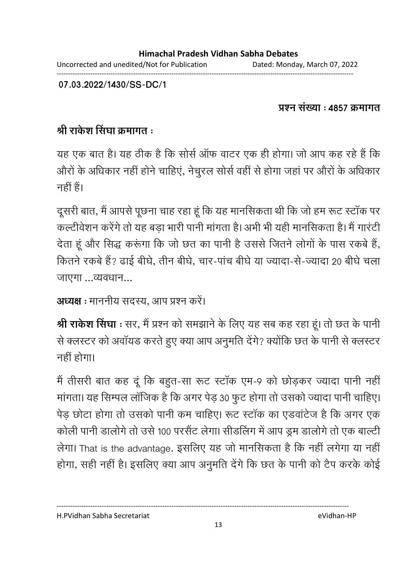**07.03.2022/1430/SS-DC/1**

<u> प्रश्न संख्या : 4857 क्रमागत</u>

# श्री राकेश सिंघा क्रमांगत ः

यह एक बात है। यह ठीक है कि सोर्स आफ वाटर एक ही होगा। जो आप कह रहे है कि औरों के अधिकार नहीं होने चाहिए, नेचुरल सोर्स वहीं से होगा जहां पर औरों के अधिकार नहीं हैं।

दूसरी बात, मैं आपसे पूछना चाह रहा हूं कि यह मानसिकता थी कि जो हम रूट स्टाक पर कल्टीवेशन करेंगे तो यह बड़ा भारी पानी मांगता है। अभी भी यही मानसिकता है। मैं गारटी देता हूँ और सिद्ध करूंगा कि जो छत का पानी है उससे जितने लोगों के पास रकबे हैं, कितने रकबे हैं? ढाई बीघे, तीन बीघे, चार-पाच बीघे या ज्यादा-से-ज्यादा 20 बीघे चला जाएगा $\ldots$ व्यवधान $\ldots$ 

```
अध्यक्ष : माननीय सदस्य, आप प्रश्न करे।
```
**श्री राकेश सिंघा** : सर, मैं प्रश्न को समझाने के लिए यह सब कह रहा हूं। तो छत के पानी से क्लस्टर को अवायड करते हुए क्या आप अनुमति देंगे? क्योंकि छत के पानी से क्लस्टर नहीं होगा।

मैं तीसरी बात कह दू कि बहुत-सा रूट स्टाक एम-9 को छोड़कर ज्यादा पानी नहीं मांगता। यह सिम्पल लाजिक है कि अगर पेड़ 30 फुट होगा तो उसको ज्यादा पानी चाहिए। पेड़ छोटा होगा तो उसको पानी कम चाहिए। रूट स्टाक का एडवाटेज है कि अगर एक कोली पानी डालोगे तो उसे 100 परसैट लेगा। सीडलिंग में आप ड्रम डालोगे तो एक बाल्टी लेगा। That is the advantage. इसलिए यह जो मानसिकता है कि नहीं लगेगा या नहीं होगा, सही नहीं है। इसलिए क्या आप अनुमति देंगे कि छत के पानी को टैप करके कोई

H.PVidhan Sabha Secretariat eVidhan-HP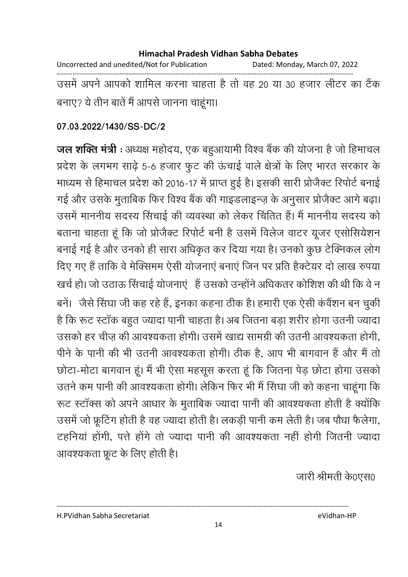Uncorrected and unedited/Not for Publication Dated: Monday, March 07, 2022 ------------------------------------------------------------------------------------------------------------------------------------ उसमें अपने आपको शामिल करना चाहता है तो वह 20 या 30 हजार लेटिर का टैक

बनाएं? ये तीन बाते में आपसे जानना चाहूंगा।

### **07.03.2022/1430/SS-DC/2**

**जल शक्ति मंत्री** : अध्यक्ष महोदय, एक बहुआयामी विश्व बैंक की योजना है जो हिमाचल प्रदेश के लगभग साढ़े 5-6 हजार फुट की ऊंचाई वाले क्षेत्रों के लिए भारत सरकार के माध्यम से हिमाचल प्रदेश को 2016-17 में प्राप्त हुई है। इसकी सारी प्रोजैक्ट रिपोर्ट बनाई गई और उसके मुताबिक फिर विश्व बैंक की गाइंडलाइन्ज़ के अनुसार प्रजिक्ट आगे बढ़ा। उसमें माननीय सदस्य सिचाई की व्यवस्था को लेकर चिंतित है। मैं माननीय सदस्य को बताना चाहता हूँ कि जो प्रजिक्ट रिपोर्ट बनी है उसमें विलेज वाटर यूजर एसोसियेशन बनाई गई है और उनको ही सारा अधिकृत कर दिया गया है। उनको कुछ टेक्निकल लोग दिए गए हैं ताकि वे मेक्सिमम ऐसी योजनाए बनाए जिन पर प्रति हैक्टेयर दो लाख रुपया खर्च हो। जो उठाऊ सिचाई योजनाए है उसको उन्होंने अधिकतर कोशिश की थी कि वे न बने। जैसे सिंघा जी कह रहे हैं, इनका कहना ठीक है। हमारी एक ऐसी कवैशन बन चुकी है कि रूट स्टाक बहुत ज्यादा पानी चाहता है। अब जितना बड़ा शरीर होगा उतनी ज्यादा उसको हर चीज़ की आवश्यकता होगी। उसमें खाद्य सामग्री की उतनी आवश्यकता होगी, पीने के पानी की भी उतनी आवश्यकता होगी। ठीक है, आप भी बागवान है और मैं तो छोटा-मोटा बागवान हूं। मैं भी ऐसा महसूस करता हूं कि जितना पेड़ छोटा होगा उसको उतने कम पानी की आवश्यकता होगी। लेकिन फिर भी मैं सिंघा जी को कहना चाहूंगा कि रूट स्टाक्स को अपने आधार के मुताबिक ज्यादा पानी की आवश्यकता होती है क्योंकि उसमें जो फ्रूटिंग होती हैं वह ज्यादा होती है। लकड़ी पानी कम लेती हैं। जब पौधा फैलेगा, टहनिया होगी, पत्ते होंगे तो ज्यादा पानी की आवश्यकता नहीं होंगी जितनी ज्यादा आवश्यकता फ्रूंट के लिए होती हैं।

जारी श्रीमती के0एस0

H.PVidhan Sabha Secretariat eVidhan-HP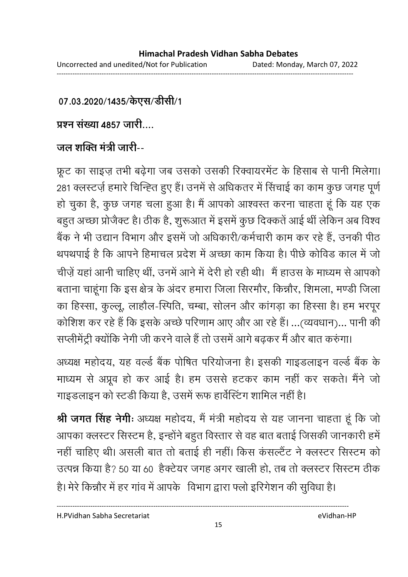07.03.2020/1435/केएस/डीसी/1

प्रश्न संख्या 4857 जारी

# <u> जल शक्ति मंत्री जारी--</u>

फ्रूट का साइज़ तभी बढ़ेगा जब उसको उसकी रिक्वायरमेंट के हिसाब से पानी मिलेगा। 281 क्लस्टज़े हमारे चिन्हित हुए हैं। उनमें से अधिकतर में सिचाई का काम कुछ जगह पूर्ण हो चुका है, कुछ जगह चला हुआ है। मैं आपको आश्वस्त करना चाहता हूं कि यह एक बहुत अच्छा प्रजिक्ट है। ठीक है, शुरूआत में इसमें कुछ दिक्कतें आई थी लेकिन अब विश्व बैंक ने भी उद्यान विभाग और इसमें जो अधिकारी/कर्मचारी काम कर रहे हैं, उनकी पीठ थपथपाई है कि आपने हिमाचल प्रदेश में अच्छा काम किया है। पीछे कोविड काल में जो चीज़े यहां आनी चाहिए थी, उनमें आने में देरी हो रही थी। मैं हाउस के माध्यम से आपको बताना चाहूँगा कि इस क्षेत्र के अंदर हमारा जिला सिरमोर, किन्नौर, शिमला, मण्डी जिला का हिस्सा, कुल्लू, लाहौल-स्पिति, चम्बा, सोलन और कागड़ा का हिस्सा है। हम भरपूर कोशिश कर रहे हैं कि इसके अच्छे परिणाम आए और आ रहे हैं। …(व्यवधान)… पानी की सप्लेमिट्री क्योंकि नेगी जी करने वाले हैं तो उसमें आगे बढ़कर में और बात करुंगा।

अध्यक्ष महोदय, यह वर्ल्ड बैंक पोषित परियोजना है। इसकी गाइंडलाइन वर्ल्ड बैंक के माध्यम से अप्रूव हो कर आई है। हम उससे हटकर काम नहीं कर सकते। मैंने जो गाइंडलाइन को स्टंडी किया है, उसमें रूफ हावेस्टिंग शामिल नहीं हैं।

**श्री जगत सिंह नेगीः** अध्यक्ष महोदय, मैं मंत्री महोदय से यह जानना चाहता हूं कि जो आपका क्लस्टर सिस्टम है, इन्होंने बहुत विस्तार से वह बात बताई जिसकी जानकारी हमें। नही चाहिए थी। असली बात तो बताई ही नहीं। किस कसल्टैंट ने क्लस्टर सिस्टम को उत्पन्न किया है? 50 या 60 हैक्टेयर जगह अगर खाली हो, तब तो क्लस्टर सिस्टम ठीक

है। मेरे किन्नौर में हर गाव में आपके विभाग द्वारा फ्लो इरिंगेशन की सुर्विधा है।

----------------------------------------------------------------------------------------------------------------------------------

H.PVidhan Sabha Secretariat eVidhan-HP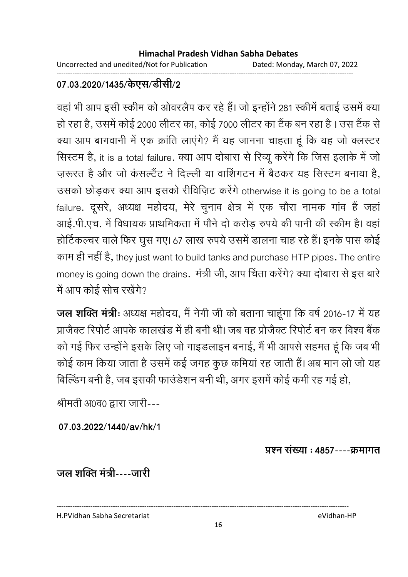Uncorrected and unedited/Not for Publication Dated: Monday, March 07, 2022 ------------------------------------------------------------------------------------------------------------------------------------

# 07.03.2020/1435/केएस/डीसी/2

वहां भी आप इसी स्कीम को ओवरलैप कर रहे हैं। जो इन्होंने 281 स्कीम बताई उसमें क्या हो रहा है, उसमें कोई 2000 लेटिर का, कोई 7000 लेटिर का टैक बन रहा है I उस टैक से क्या आप बागवानी में एक क्रांति लाएंगे? मैं यह जानना चाहता हूं कि यह जो क्लस्टर सिस्टम है, it is a total failure. क्या आप दोबारा से रिव्यू करेंगे कि जिस इलाके में जो ज़रूरत है और जो कसल्टैट ने दिल्ली या वाशिगटन में बैठकर यह सिस्टम बनाया है, उसको छोड़कर क्या आप इसको रीविज़िट करेंगे otherwise it is going to be a total failure. दूसरे, अध्यक्ष महोदय, मेरे चुनाव क्षेत्र में एक चौरा नामक गांव हैं जहां आई.पी.एच. में विधायक प्राथमिकता में पौने दो करोड़ रुपये की पानी की स्कीम है। वहां होटिकल्चर वाले फिर घुस गए। 67 लाख रुपये उसमें डालना चाह रहे हैं। इनके पास कोई काम ही नहीं है, they just want to build tanks and purchase HTP pipes. The entire money is going down the drains. मंत्री जी, आप चिंता करेंगे? क्या दोबारा से इस बारे में आप कोई सोच रखेंगे?

**जल शक्ति मंत्रीः** अध्यक्ष महोदय, मैं नेगी जी को बताना चाहूंगा कि वर्ष 2016-17 में यह प्राजैक्ट रिपोर्ट आपके कालखंड में ही बनी थी। जब वह प्रोजैक्ट रिपोर्ट बन कर विश्व बैंक को गई फिर उन्होंने इसके लिए जो गाइंडलाइन बनाई, मैं भी आपसे सहमत हूं कि जब भी कोई काम किया जाता है उसमें कई जगह कुछ कमिया रह जाती है। अब मान लो जो यह बिल्डिंग बनी है, जब इसकी फाउंडेशन बनी थी, अगर इसमें कोई कमी रह गई हो,

श्रीमती अ0व0 द्वारा जारी---

**07.03.2022/1440/av/hk/1**

प्रश्न संख्या : 4857----क्रमागत

<u>जल शक्ति मंत्री----जारी</u>

H.PVidhan Sabha Secretariat eVidhan-HP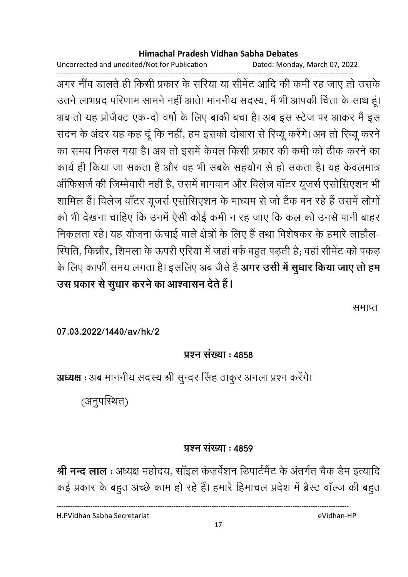Uncorrected and unedited/Not for Publication Dated: Monday, March 07, 2022

------------------------------------------------------------------------------------------------------------------------------------ अगर नीव डालते ही किसी प्रकार के सरिया या सीमेंट आदि की कमी रह जाए तो उसके उतने लाभप्रद परिणाम सामने नहीं आते। माननीय सदस्य, मैं भी आपकी चिंता के साथ हूं। अब तो यह प्रजिक्ट एक-दो वर्षों के लिए बाकी बचा है। अब इस स्टेज पर आकर मैं इस सदन के अंदर यह कह दू कि नहीं, हम इसको दोबारा से रिव्यू करेंगे। अब तो रिव्यू करने का समय निकल गया है। अब तो इसमें केवल किसी प्रकार की कमी को ठीक करने का कार्य ही किया जा सकता है और वह भी सबके सहयोग से हो सकता है। यह केवलमात्र आफिसजे की जिम्मेवारी नहीं हैं, उसमें बागवान और विलेज वाटर यूजर्स एसोसिएशन भी शामिल है। विलेज वाटर यूजर्स एसोसिएशन के माध्यम से जो टैक बन रहे हैं उसमें लोगों को भी देखना चाहिए कि उनमें ऐसी कोई कमी न रह जाए कि कल को उनसे पानी बाहर निकलता रहे। यह योजना ऊंचाई वाले क्षेत्रों के लिए हैं तथा विशेषकर के हमारे लाहौल-रिपीते, किन्नौर, शिमला के ऊपरी एरिया में जहां बर्फ बहुत पड़ती हैं; वहां सेमिट को पकड़ के लिए काफी समय लगता है। इसलिए अब जैसे हैं **अगर उसी में सुधार किया जाए तो हम** उस प्रकार से सुधार करने का आश्वासन देते हैं।

समाप्त

**07.03.2022/1440/av/hk/2**

# **प्रश्न संख्या: 4858**

**अध्यक्ष :** अब माननीय सदस्य श्री सुन्दर सिंह ठाकुर अगला प्रश्न करेंगे।

(अनुपस्थित)

# **प्रश्न संख्या: 4859**

**श्री नन्द लाल** : अध्यक्ष महोदय, साइल कज़र्वेशन डिपार्टमैंट के अंतर्गत चैंक डैम इत्यादि कई प्रकार के बहुत अच्छे काम हो रहे हैं। हमारे हिमाचल प्रदेश में ब्रैस्ट वाल्ज की बहुत

H.PVidhan Sabha Secretariat eVidhan-HP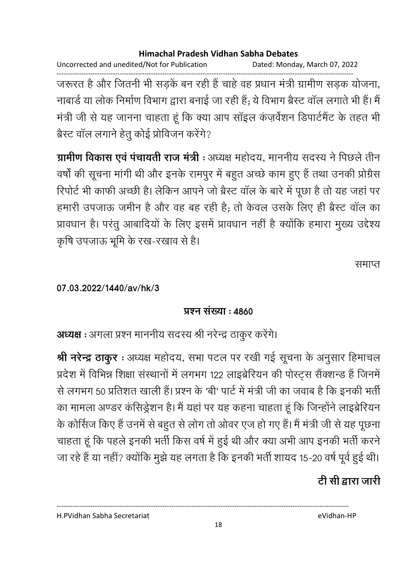Dated: Monday, March 07, 2022

Uncorrected and unedited/Not for Publication

जरूरत है और जितनी भी सड़कें बन रही हैं चाहे वह प्रधान मंत्री ग्रामीण सड़क योजना, नाबार्ड या लोक निर्माण विभाग द्वारा बनाई जा रही हैं; ये विभाग ब्रैस्ट वॉल लगाते भी हैं। मैं मंत्री जी से यह जानना चाहता हूं कि क्या आप सॉइल कंज़र्वेशन डिपार्टमेंट के तहत भी ब्रेस्ट वॉल लगाने हेतु कोई प्रोविजन करेंगे?

ग्रामीण विकास एवं पंचायती राज मंत्री : अध्यक्ष महोदय, माननीय सदस्य ने पिछले तीन वर्षों की सूचना मांगी थी और इनके रामपुर में बहुत अच्छे काम हुए हैं तथा उनकी प्रोग्रेस रिपोर्ट भी काफी अच्छी है। लेकिन आपने जो ब्रैस्ट वॉल के बारे में पूछा है तो यह जहां पर हमारी उपजाऊ जमीन है और वह बह रही है; तो केवल उसके लिए ही ब्रैस्ट वॉल का प्रावधान है। परंतु आबादियों के लिए इसमें प्रावधान नहीं है क्योंकि हमारा मुख्य उद्देश्य कृषि उपजाऊ भूमि के रख-रखाव से है।

समाप्त

### 07.03.2022/1440/av/hk/3

# प्रश्न संख्या : 4860

अध्यक्ष : अगला प्रश्न माननीय सदस्य श्री नरेन्द्र ठाकुर करेंगे।

श्री नरेन्द्र ठाकुर : अध्यक्ष महोदय, सभा पटल पर रखी गई सूचना के अनुसार हिमाचल प्रदेश में विभिन्न शिक्षा संस्थानों में लगभग 122 लाइब्रेरियन की पोस्ट्स सैंक्शन्ड हैं जिनमें से लगभग 50 प्रतिशत खाली हैं। प्रश्न के 'बी' पार्ट में मंत्री जी का जवाब है कि इनकी भर्ती का मामला अण्डर कंसिड्रेशन है। मैं यहां पर यह कहना चाहता हूं कि जिन्होंने लाइब्रेरियन के कोर्सिज किए हैं उनमें से बहुत से लोग तो ओवर एज हो गए हैं। मैं मंत्री जी से यह पूछना चाहता हूं कि पहले इनकी भर्ती किस वर्ष में हुई थी और क्या अभी आप इनकी भर्ती करने जा रहे हैं या नहीं? क्योंकि मुझे यह लगता है कि इनकी भर्ती शायद 15-20 वर्ष पूर्व हुई थी।

# टी सी द्वारा जारी

H.PVidhan Sabha Secretariat

eVidhan-HP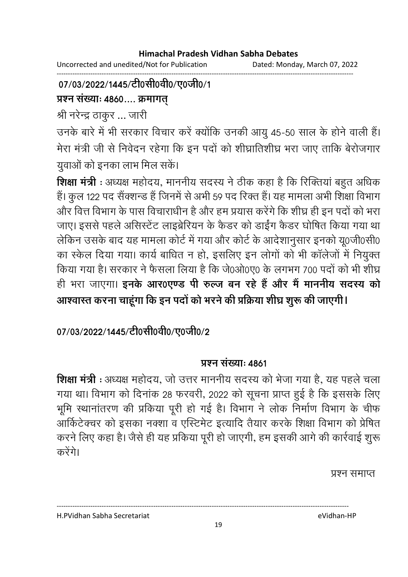Uncorrected and unedited/Not for Publication Dated: Monday, March 07, 2022 ------------------------------------------------------------------------------------------------------------------------------------

### 07/03/2022/1445/टी0सी0वी0/ए0जी0/1

### प्रश्न संख्याः **4860.... क्रमाग**त

श्री नरेन्द्र ठाकुर ... जारी

उनके बारे में भी सरकार विचार करें क्योंकि उनकी आयु 45-50 साल के होने वाली हैं। मेरा मंत्री जी से निवेदन रहेगा कि इन पर्दा को शीघ्रातिशीघ्र भरा जाए ताकि बेरोजगार युवाओं को इनका लाभ मिल सके।

**शिक्षा मंत्री** : अध्यक्ष महोदय, माननीय सदस्य ने ठीक कहा है कि रिक्तिया बहुत अधिक हैं। कुल 122 पद सैक्शन्ड है जिनमें से अभी 59 पद रिक्त है। यह मामला अभी शिक्षा विभाग और वित्त विभाग के पास विचाराधीन है और हम प्रयास करेंगे कि शीघ्र ही इन पर्दा को भरा जाए। इससे पहले असिस्टेट लाइब्रेरियन के कैंडर को डाईग कैंडर घोषित किया गया था लेकिन उसके बाद यह मामला कोर्ट में गया और कोर्ट के आर्दशानुसार इनको यू०जी०सी० का स्केल दिया गया। कार्य बाधित न हो, इसलिए इन लोगों को भी कालेजों में नियुक्त किया गया है। सरकार ने फैसला लिया है कि जे0ओ0ए0 के लगभग 700 पर्दों को भी शीघ्र ही भरा जाएगा। **इनके आर0एण्ड पी रुल्ज बन रहे हैं और मैं माननीय सदस्य को** आश्वास्त करना चाहूगा कि इन पर्दा को भरने की प्रक्रिया शीघ्र शुरू की जाएगी l

# 07/03/2022/1445/टी0सी0वी0/ए0जी0/2

# **प्रश्न संख्या: 4861**

**शिक्षा मंत्री** : अध्यक्ष महोदय, जो उत्तर माननीय सदस्य को भेजा गया है, यह पहले चला गया था। विभाग को दिनाक 28 फरवरी, 2022 को सूचना प्राप्त हुई है कि इससके लिए भूमि स्थानातरण की प्रकिया पूरी हो गई है। विभाग ने लोक निर्माण विभाग के चीफ आर्किटेक्चर को इसका नक्शा व एस्टिमेंट इत्यादि तैयार करके शिक्षा विभाग को प्रेषित करने लिए कहा है। जैसे ही यह प्रकिया पूरी हो जाएगी, हम इसकी आगे की कार्रवाई शुरू करेंगे।

प्रश्न समाप्त

H.PVidhan Sabha Secretariat eVidhan-HP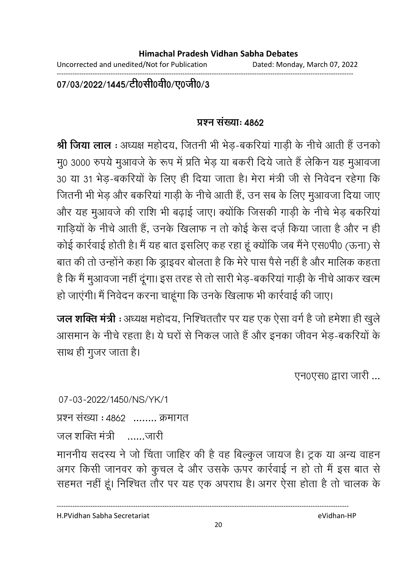Uncorrected and unedited/Not for Publication Dated: Monday, March 07, 2022

------------------------------------------------------------------------------------------------------------------------------------

07/03/2022/1445/टी0सी0वी0/ए0जी0/3

### **प्रश्न संख्या: 4862**

**श्री जिया लाल :** अध्यक्ष महोदय, जितनी भी भेड़-बकरिया गाड़ी के नीचे आती है उनको मु0 3000 रुपये मुआवर्ज के रूप में प्रति भेड़ या बकरी दिये जाते हैं लेकिन यह मुआवजा 30 या 31 भेड़-बकरियों के लिए ही दिया जाता है। मेरा मंत्री जी से निर्वेदन रहेगा कि जितनी भी भेड़ और बकरिया गाड़ी के नीचे आती है, उन सब के लिए मुआवजा दिया जाए और यह मुआवर्ज की राशि भी बढ़ाई जाए। क्योंकि जिसकी गाड़ी के नीचे भेड़ बकरिया गाड़ियों के नीचे आती है, उनके खिलाफ न तो कोई केस दर्ज़ किया जाता है और न ही कोई कार्रवाई होती है। मैं यह बात इसलिए कह रहा हूं क्योंकि जब मैंने एस0पी0 (ऊंना) से बात की तो उन्होंने कहा कि ड्राइवर बोलता है कि मेरे पास पैसे नहीं है और मालिक कहता। है कि मैं मुआवजा नहीं दूँगा। इस तरह से तो सारी भेड़-बकरिया गाड़ी के नीचे आकर खत्म हो जाएगी। मैं निवेदन करना चाहूँगा कि उनके खिलाफ भी कार्रवाई की जाए।

**जल शक्ति मंत्री** : अध्यक्ष महोदय, निश्चिततौर पर यह एक ऐसा वर्ग है जो हमेशा ही खुले आसमान के नीचे रहता है। ये घरों से निकल जाते हैं और इनका जीवन भेड़-बकरियों के साथ ही गुजर जाता है।

एन0एस0 द्वारा जारी ...

07-03-2022/1450/NS/YK/1 प्रश्न संख्या : 4862 ........ क्रमागत जल शक्ति मंत्री $\overline{a}$ ......जार<u>ी</u>

माननीय सदस्य ने जो चिंता जाहिर की है वह बिल्कुल जायज है। ट्रक या अन्य वाहन अगर किसी जानवर को कुचल दें और उसके ऊपर कार्रवाई न हो तो मैं इस बात से सहमत नहीं हूं। निश्चित तौर पर यह एक अपराध है। अगर ऐसा होता है तो चालक के

H.PVidhan Sabha Secretariat eVidhan-HP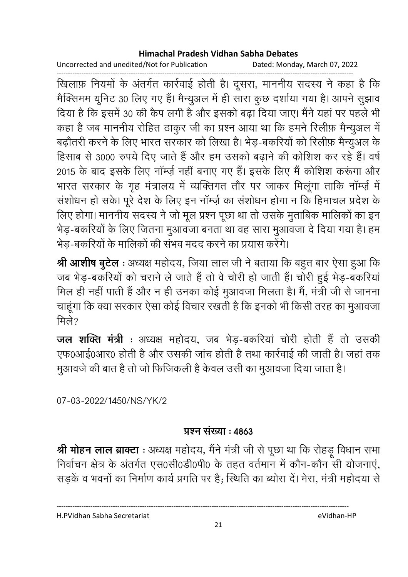Uncorrected and unedited/Not for Publication Dated: Monday, March 07, 2022

------------------------------------------------------------------------------------------------------------------------------------ खिलाफ़ नियमों के अंतर्गत कार्रवाई होती है। दूसरा, माननीय सदस्य ने कहा है कि मैक्सिमम यूनिट 30 लिए गए हैं। मैन्युअल में ही सारा कुछ दशोया गया है। आपने सुझाव दिया है कि इसमें 30 की कैप लगी है और इसको बढ़ा दिया जाए। मैंने यहां पर पहले भी कहा है जब माननीय रोहित ठाकुर जी का प्रश्न आया था कि हमने रिलीफ़ मैन्युअल में बढ़ौतरी करने के लिए भारत सरकार को लिखा है। भेड़-बकरियों को रिलीफ़ मैन्युअल के हिंसाब से 3000 रुपये दिए जाते हैं और हम उसको बढ़ाने की कोशिश कर रहे हैं। वर्ष 2015 के बाद इसके लिए नाम्ज़े नहीं बनाए गए हैं। इसके लिए मैं कोशिश करूंगा और भारत सरकार के गृह मत्रालय में व्यक्तिगत तौर पर जाकर मिलूगा ताकि नाम्ज़े में सशोधन हो सके। पूरे देश के लिए इन नाम्ज़े का सशोधन होगा न कि हिमाचल प्रदेश के लिए होगा। माननीय सदस्य ने जो मूल प्रश्न पूछा था तो उसके मुताबिक मालिको का इन भेड़-बकरियों के लिए जितना मुआवजा बनता था वह सारा मुआवजा दें दिया गया है। हम भेड़-बकरियों के मालिकों की संभव मदद करने का प्रयास करेंगे।

**श्री आशीष बुटेल** : अध्यक्ष महोदय, जिया लाल जी ने बताया कि बहुत बार ऐसा हुआ कि जब भेड़-बकरियों को चराने ले जाते हैं तो वे चोरी हो जाती है। चोरी हुई भेड़-बकरिया मिल ही नहीं पाती है और न ही उनका कोई मुआवजा मिलता है। मैं, मंत्री जी से जानना चाहूँगा कि क्या सरकार ऐसा कोई विचार रखती है कि इनको भी किसी तरह का मुआवजा मिले?

**जल शक्ति मंत्री** : अध्यक्ष महोदय, जब भेड़-बकरिया चोरी होती है तो उसकी एफ0आई0आर0 होती है और उसकी जांच होती है तथा कार्रवाई की जाती है। जहां तक मुआवर्ज की बात है तो जो फिजिकली है केवल उसी का मुआवजा दिया जाता है।

07-03-2022/1450/NS/YK/2

# **प्रश्न संख्या : 4863**

**श्री मोहन लाल ब्राक्टा** : अध्यक्ष महोदय, मैने मंत्री जी से पूछा था कि रोहड़ू विधान सभा निर्वाचन क्षेत्र के अंतर्गत एस0सी0डी0पी0 के तहत वर्तमान में कौन-कौन सी योजनाए, सड़के व भवनों का निर्माण कार्य प्रगति पर है; स्थिति का ब्योरा दें। मेरा, मंत्री महोदया से

H.PVidhan Sabha Secretariat eVidhan-HP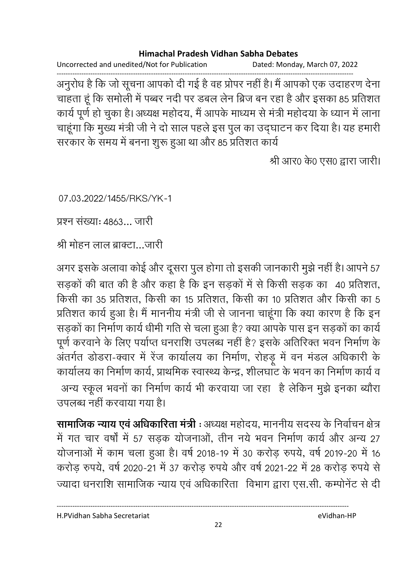Uncorrected and unedited/Not for Publication Dated: Monday, March 07, 2022

------------------------------------------------------------------------------------------------------------------------------------ अनुरोध है कि जो सूचना आपको दी गई है वह प्रोपर नहीं है। मैं आपको एक उदाहरण देना | चाहता हूँ कि समोली में पब्बर नदी पर डबल लेन ब्रिज बन रहा है और इसका 85 प्रतिशत कार्य पूर्ण हो चुका है। अध्यक्ष महोदय, मैं आपके माध्यम से मंत्री महोदया के ध्यान में लाना. चाहूँगा कि मुख्य मंत्री जी ने दो साल पहले इस पुल का उद्घाटन कर दिया है। यह हमारी सरकार के समय में बनना शुरू हुआ था और 85 प्रतिशत कार्य

श्री आर0 के0 एस0 द्वारा जारी।

07.03.2022/1455/RKS/YK-1

प्रश्न संख्याः 4863... जारी

श्री मोहन लाल ब्राक्टा…जारी

अगर इसके अलावा कोई और दूसरा पुल होगा तो इसकी जानकारी मुझे नहीं है।आपने 57 सड़को की बात की है और कहा है कि इन सड़कों में से किसी सड़क का 40 प्रतिशत, किसी का 35 प्रतिशत, किसी का 15 प्रतिशत, किसी का 10 प्रतिशत और किसी का 5 प्रतिशत कार्य हुआ है। मैं माननीय मंत्री जी से जानना चाहूंगा कि क्या कारण है कि इन सड़कों का निर्माण कार्य धीमी गति से चला हुआ है? क्या आपके पास इन सड़कों का कार्य पूर्ण करवाने के लिए पर्याप्त धनराशि उपलब्ध नहीं है? इसके अतिरिक्त भवन निर्माण के अंतर्गत डोडरा-क्वार में रेज कार्यालय का निर्माण, रोहड़ू में वन मंडल अधिकारी के कार्यालय का निर्माण कार्य, प्राथमिक स्वास्थ्य केन्द्र, शीलघाट के भवन का निर्माण कार्य व अन्य स्कूल भवनों का निर्माण कार्य भी करवाया जा रहा है लेकिन मुझे इनका ब्यौरा उपलब्ध नहीं करवाया गया है।

**सामाजिक न्याय एवं अधिकारिता मंत्री :** अध्यक्ष महोदय, माननीय सदस्य के निर्वाचन क्षेत्र | में गत चार वर्षा में 57 सड़क योजनाओं, तीन नये भवन निर्माण कार्य और अन्य 27 योजनाओं में काम चला हुआ है। वर्ष 2018-19 में 30 करोड़ रुपये, वर्ष 2019-20 में 16 करोड़ रुपये, वर्ष 2020-21 में 37 करोड़ रुपये और वर्ष 2021-22 में 28 करोड़ रुपये से ज्यादा धनराशि सामाजिक न्याय एवं अधिकारिता) विभाग द्वारा एस.सी. कम्पनिट से दी

H.PVidhan Sabha Secretariat eVidhan-HP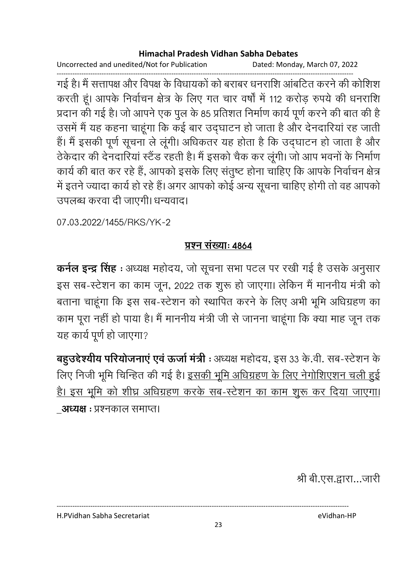Uncorrected and unedited/Not for Publication Dated: Monday, March 07, 2022

गई है। मैं सत्तापक्ष और विपक्ष के विधायकों को बराबर धनराशि आंबटित करने की कोशिश करती हूं। आपके निर्वाचन क्षेत्र के लिए गत चार वर्षों में 112 करोड़ रुपये की धनराशि प्रदान की गई है। जो आपने एक पुल के 85 प्रतिशत निर्माण कार्य पूर्ण करने की बात की है उसमें मैं यह कहना चाहूंगा कि कई बार उद्घाटन हो जाता है और देनदारियां रह जाती हैं। मैं इसकी पूर्ण सूचना ले लूंगी। अधिकतर यह होता है कि उद्घाटन हो जाता है और ठेकेदार की देनदारियां स्टैंड रहती है। मैं इसको चैक कर लूंगी। जो आप भवनों के निर्माण कार्य की बात कर रहे हैं, आपको इसके लिए संतुष्ट होना चाहिए कि आपके निर्वाचन क्षेत्र में इतने ज्यादा कार्य हो रहे हैं। अगर आपको कोई अन्य सूचना चाहिए होगी तो वह आपको उपलब्ध करवा दी जाएगी। धन्यवाद।

07.03.2022/1455/RKS/YK-2

### प्रश्न संख्याः ४८८४

कर्नल इन्द्र सिंह : अध्यक्ष महोदय, जो सूचना सभा पटल पर रखी गई है उसके अनुसार इस सब-स्टेशन का काम जून, 2022 तक शुरू हो जाएगा। लेकिन मैं माननीय मंत्री को बताना चाहूंगा कि इस सब-स्टेशन को स्थापित करने के लिए अभी भूमि अधिग्रहण का काम पूरा नहीं हो पाया है। मैं माननीय मंत्री जी से जानना चाहूंगा कि क्या माह जून तक यह कार्य पूर्ण हो जाएगा?

बहुउद्देश्यीय परियोजनाएं एवं ऊर्जा मंत्री : अध्यक्ष महोदय, इस 33 के.वी. सब-स्टेशन के लिए निजी भूमि चिन्हित की गई है। इसकी भूमि अधिग्रहण के लिए नेगोशिएशन चली हुई है। इस भूमि को शीघ्र अधिग्रहण करके सब-स्टेशन का काम शुरू कर दिया जाएगा। **अध्यक्ष** : प्रश्नकाल समाप्त।

श्री बी.एस.द्वारा...जारी

H.PVidhan Sabha Secretariat

eVidhan-HP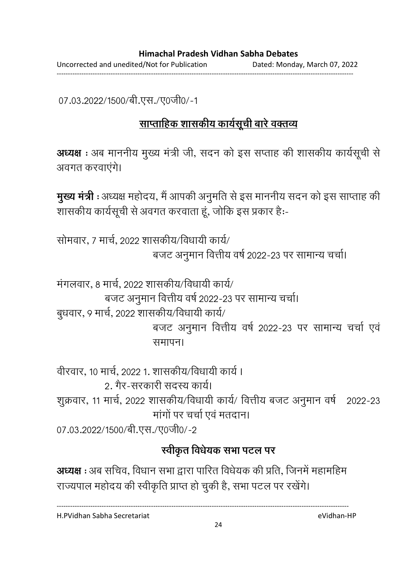------------------------------------------------------------------------------------------------------------------------------------

07.03.2022/1500/बी.एस./ए0जी0/-1

# <u>साप्ताहिक शासकीय कार्यसूची बारे वक्तव्य</u>

**अध्यक्ष** : अब माननीय मुख्य मंत्री जी, सदन को इस सप्ताह की शासकीय कार्यसूची से अवगत करवाएंगे।

**मुख्य मंत्री** : अध्यक्ष महोदय, मैं आपकी अनुमति से इस माननीय सदन को इस साप्ताह की शासकीय कार्यसूची से अवगत करवाता हूं, जोकि इस प्रकार हैं:-

सोमवार, ७ मार्च, २०२२ शासकीय/विधायी कार्य/ बजट अनुमान वित्तीय वर्ष 2022-23 पर सामान्य चर्चा।

मगलवार, 8 मार्च, 2022 शासकीय/विधायी कार्य/ बजट अनुमान वित्तीय वर्ष 2022-23 पर सामान्य चर्चा। बुधवार, 9 मार्च, 2022 शासकीय/विधायी कार्य/ बजट अनुमान वित्तीय वर्ष 2022-23 पर सामान्य चर्चा एवं समापन।

वीरवार, 10 मार्च, 2022 1. शासकीय/विधायी कार्य । 2. गैर-सरकारी सदस्य कार्य।

&0t, 11 , 2022 & /- / -ä +J 0 : 2022-23 मांगों पर चर्चा एवं मतदान।

07.03.2022/1500/बी.एस./ए0जी0/-2

# स्वीकृत विधेयक सभा पटल पर

**अध्यक्ष** : अब सचिव, विधान सभा द्वारा पारित विधेयक की प्रति, जिनमें महामहिम राज्यपाल महोदय की स्वीकृति प्राप्त हो चुकी है, सभा पटल पर रखेंगे।

----------------------------------------------------------------------------------------------------------------------------------

H.PVidhan Sabha Secretariat eVidhan-HP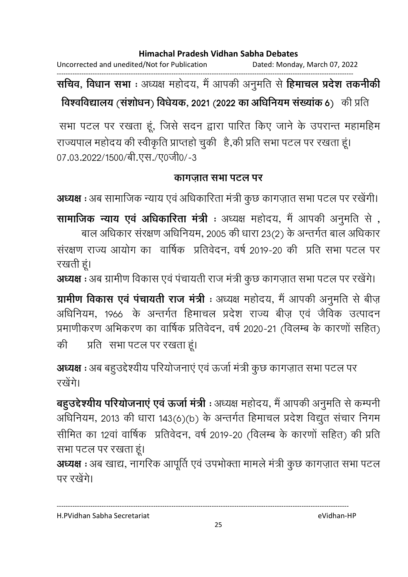Uncorrected and unedited/Not for Publication Dated: Monday, March 07, 2022

------------------------------------------------------------------------------------------------------------------------------------ **सचिव, विधान सभा** : अध्यक्ष महोदय, मैं आपकी अनुमति से **हिमाचल प्रदेश तकनीकी विश्वविद्यालय (सशोधन) विधेयक, 2021 (2022 का अधिनियम संख्याक 6) की प्रति ।** 

सभा पटल पर रखता हूं, जिसे सदन द्वारा पारित किए जाने के उपरान्त महामहिम राज्यपाल महोदय की स्वीकृति प्राप्तहों चुकी -है,की प्रति सभा पटल पर रखता हूं। 07.03.2022/1500/बी.एस./ए0जी0/-3

### <u>कागजात सभा पटल पर</u>

**अध्यक्ष** : अब सामाजिक न्याय एवं अधिकारिता मंत्री कुछ कांगजात सभा पटल पर रखेगी।

**सामाजिक न्याय एव अधिकारिता मंत्री** : अध्यक्ष महोदय, मैं आपकी अनुमति से , बाल अधिकार सरक्षण अधिनियम, 2005 की धारा 23(2) के अन्तर्गत बाल अधिकार सरक्षण राज्य आयोग का वार्षिक प्रतिवेदन, वर्ष 2019-20 की प्रति सभा पटल पर रखती हूं।

**अध्यक्ष** : अब ग्रामीण विकास एवं पंचायती राज मंत्री कुछ कांगज़ात सभा पटल पर रखेंगे।

**ग्रामीण विकास एव पचायती राज मंत्री** : अध्यक्ष महोदय, मैं आपकी अनुमति से बीज़ आंधनियम, 1966 के अन्तर्गत हिमाचल प्रदेश राज्य बीज़ एव जैविक उत्पादन प्रमाणीकरण अभिकरण का वार्षिक प्रतिवेदन, वर्ष 2020-21 (विलम्ब के कारणों सहित) | की े प्रति । सभा पटल पर रखता हूं।

**अध्यक्ष** : अब बहुउद्देश्यीय परियोजनाए एवं ऊर्जा मंत्री कुछ कांगज़ात सभा पटल पर रखेंगे।

**बहुउद्देश्यीय परियोजनाएं एवं ऊर्जा मंत्री** : अध्यक्ष महोदय, मैं आपकी अनुमति से कम्पनी | अधिनियम, 2013 की धारा 143(6)(b) के अन्तर्गत हिमाचल प्रदेश विद्युत सचार निगम सीमित का 12वा वार्षिक प्रतिवेदन, वर्ष 2019-20 (विलम्ब के कारणो सहित) की प्रति सभा पटल पर रखता हूं।

**अध्यक्ष** : अब खाद्य, नागरिक आपूर्ति एव उपभोक्ता मामले मंत्री कुछ कांगज़ात सभा पटल पर रखेंगे।

H.PVidhan Sabha Secretariat eVidhan-HP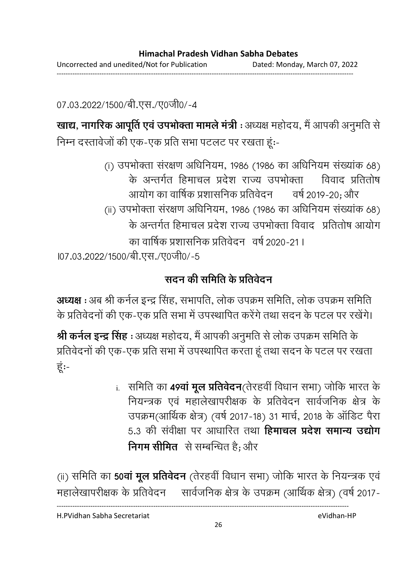07.03.2022/1500/बी.एस./ए0जी0/-4

**खाद्य, नागरिक आपूर्ति एव उपभोक्ता मामले मंत्री** : अध्यक्ष महोदय, मैं आपकी अनुमति से निम्न दस्तावेजो की एक-एक प्रति सभा पटलट पर रखता हू:-

(i) उपभोक्ता सरक्षण अधिनियम, 1986 (1986 का अधिनियम संख्याक 68) के अन्तर्गत हिमाचल प्रदेश राज्य उपभोक्ता । 1 वेवाद प्रतितोष आयोग का वार्षिक प्रशासनिक प्रो वर्ष 2019-20; और (ii) उपभोक्ता सरक्षण अधिनियम, 1986 (1986 का अधिनियम संख्याक 68) के अन्तर्गत हिमाचल प्रदेश राज्य उपभोक्ता विवाद प्रतितोष आयोग का वार्षिक प्रशासनिक प्रतिवेदन ) वर्ष 2020-21 I l07.03.2022/1500/बी.एस./ए0जी0/-5

# सदन की समिति के प्रतिवेदन

**अध्यक्ष** : अब श्री कर्नल इन्द्र सिंह, सभापति, लोक उपक्रम समिति, लोक उपक्रम समिति | के प्रतिवेदनों की एक-एक प्रति सभा में उपस्थापित करेंगे तथा सदन के पटल पर रखेंगे।

**श्री कर्नल इन्द्र सिंह** : अध्यक्ष महोदय, मैं आपकी अनुमति से लोक उपक्रम समिति के प्रतिवेदनों की एक-एक प्रति सभा में उपस्थापित करता हूं तथा सदन के पटल पर रखता। हूं:-

> <u>i. समिति का **49वा मूल प्रतिवेदन**(तेरहवी विधान सभा) जोकि भारत के </u> नियन्त्रक एवं महालेखापरीक्षक के प्रतिवेदन सार्वजनिक क्षेत्र के उपक्रम(आर्थिक क्षेत्र) (वर्ष 2017-18) 31 मार्च, 2018 के आर्डिट पैरा 5.3 की सर्वीक्षा पर आधारित तथा **हिमाचल प्रदेश समान्य उद्योग निगम सीमित** से सम्बन्धित हैं; और

(ii) समिति का **50वा मूल प्रतिवेदन** (तेरहवी विधान सभा) जोकि भारत के नियन्त्रक एवं महालेखापरीक्षक के प्रतिवेदन सार्वजनिक क्षेत्र के उपक्रम (आर्थिक क्षेत्र) (वर्ष 2017-

----------------------------------------------------------------------------------------------------------------------------------

H.PVidhan Sabha Secretariat eVidhan-HP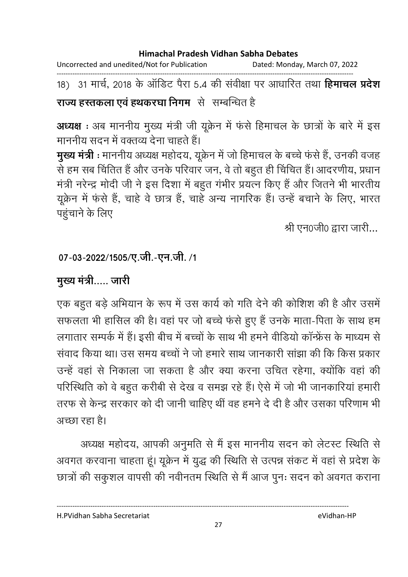Uncorrected and unedited/Not for Publication Dated: Monday, March 07, 2022

------------------------------------------------------------------------------------------------------------------------------------ 18) 31 मार्च, 2018 के आर्डिट पैरा 5.4 की सर्वीक्षा पर आधारित तथा **हिमाचल प्रदेश राज्य हस्तकला एव हथकरघा निगम** से सम्बन्धित हैं

**अध्यक्ष** : अब माननीय मुख्य मंत्री जी यूक्रेन में फर्स हिमाचल के छात्रों के बारे में इस माननीय सदन में वक्तव्य देना चाहते हैं।

**मुख्य मंत्री** : माननीय अध्यक्ष महोदय, यूक्रेन में जो हिमाचल के बच्चे फर्स हैं, उनकी वजह से हम सब चितित हैं और उनके परिवार जन, वे तो बहुत ही चिचित है। आदरणीय, प्रधान मंत्री नरेन्द्र मोदी जी ने इस दिशा में बहुत गंभीर प्रयत्न किए हैं और जितने भी भारतीय यूक्रेन में फर्स हैं, चाहें वे छात्र है, चाहें अन्य नागरिक हैं। उन्हें बचाने के लिए, भारत पहुचाने के लिए

श्री एन0जी0 द्वारा जारी...

# 07-03-2022/1505/ए.जी.-एन.जी. /1

# मुख्य मंत्री..... जारी

एक बहुत बड़े अभियान के रूप में उस कार्य को गति देने की कोशिश की है और उसमें सफलता भी हासिल की है। वहां पर जो बच्चे फर्स हुए हैं उनके माता-पिता के साथ हम लगातार सम्पर्क में हैं। इसी बीच में बच्चों के साथ भी हमने वीडियो कान्फ्रेंस के माध्यम से सवाद किया था। उस समय बच्चों ने जो हमारे साथ जानकारी साझा की कि किस प्रकार उन्हें वहां से निकाला जा सकता है और क्या करना उचित रहेगा, क्योंकि वहां की परिस्थिति को वे बहुत करीबी से देख व समझ रहे हैं। ऐसे में जो भी जानकारिया हमारी तरफ से केन्द्र सरकार को दी जानी चाहिए थी वह हमने दें दी हैं और उसका परिणाम भी अच्छा रहा है।

अध्यक्ष महोदय, आपकी अनुमति से मैं इस माननीय सदन को लेटस्ट स्थिति से अवगत करवाना चाहता हूं। यूक्रेन में युद्ध की स्थिति से उत्पन्न सकट में वहां से प्रदेश के छात्रों की संकुशल वापसी की नवीनतम स्थिति से मैं आज पुनः सदन को अवगत कराना

H.PVidhan Sabha Secretariat eVidhan-HP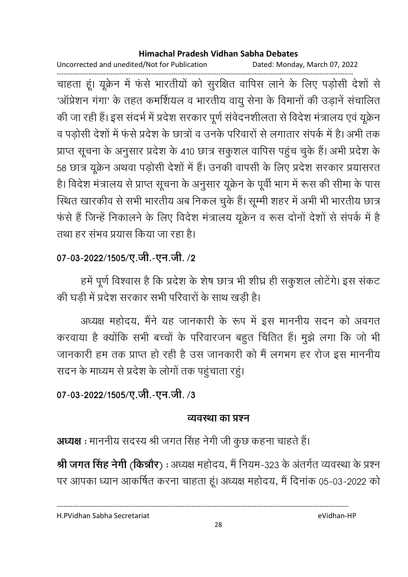Uncorrected and unedited/Not for Publication Dated: Monday, March 07, 2022

------------------------------------------------------------------------------------------------------------------------------------ चाहता हूं। यूक्रेन में फर्स भारतीयों को सुरक्षित वापिस लाने के लिए पड़ोसी देशों से 'आर्प्रेशन गंगा' के तहत कमर्शियल व भारतीय वायु सेना के विमानों की उड़ाने संचालित की जा रही है। इस सदर्भ में प्रदेश सरकार पूर्ण सर्वदनशीलता से विदेश मंत्रालय एवं यूक्रेन व पड़ोसी देशों में फर्स प्रदेश के छात्रों व उनके परिवारों से लगातार संपर्क में हैं। अभी तक प्राप्त सूचना के अनुसार प्रदेश के 410 छात्र सकुशल वापिस पहुच चुके हैं। अभी प्रदेश के 58 छात्र यूक्रेन अथवा पड़ोसी देशों में हैं। उनकी वापसी के लिए प्रदेश सरकार प्रयासरत हैं। विदेश मंत्रालय से प्राप्त सूचना के अनुसार यूक्रेन के पूर्वी भाग में रूस की सीमा के पास रिथेत खारकीव से सभी भारतीय अब निकल चुके हैं। सूम्मी शहर में अभी भी भारतीय छात्र फर्स है जिन्हें निकालने के लिए विदेश मंत्रालय यूक्रेन व रूस दोनों देशों से संपर्क में हैं तथा हर सभव प्रयास किया जा रहा है।

# 07-03-2022/1505/ए.जी.-एन.जी. /2

हमें पूर्ण विश्वास है कि प्रदेश के शेष छात्र भी शीघ्र ही संकुशल लोटेंगे। इस सकट की घड़ी में प्रदेश सरकार सभी परिवारों के साथ खड़ी हैं।

अध्यक्ष महोदय, मैंने यह जानकारी के रूप में इस माननीय सदन को अवगत करवाया है क्योंकि सभी बच्चों के परिवारजन बहुत चिर्तित हैं। मुझे लगा कि जो भी जानकारी हम तक प्राप्त हो रही है उस जानकारी को मैं लगभग हर रोज इस माननीय सदन के माध्यम से प्रदेश के लोगों तक पहुंचाता रहूं।

# 07-03-2022/1505/ए.जी.-एन.जी. /3

# <u>व्यवस्था का प्रश्न</u>

**अध्यक्ष** : माननीय सदस्य श्री जगत सिंह नेगी जी कुछ कहना चाहते हैं।

**श्री जगत सिंह नेगी (किन्नौर)** : अध्यक्ष महोदय, मैं नियम-323 के अंतर्गत व्यवस्था के प्रश्न पर आपका ध्यान आकर्षित करना चाहता हूं। अध्यक्ष महोदय, मैं दिनाक 05-03-2022 को

H.PVidhan Sabha Secretariat eVidhan-HP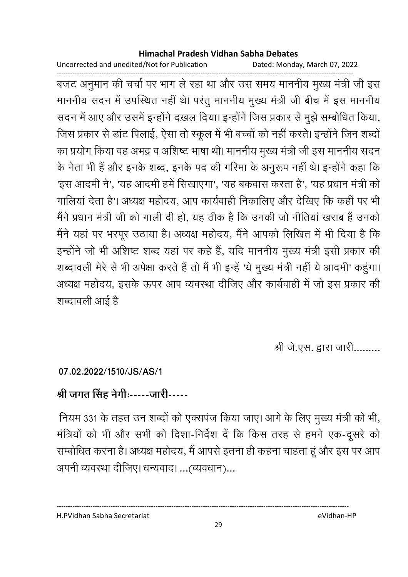Uncorrected and unedited/Not for Publication

Dated: Monday, March 07, 2022

बजट अनुमान की चर्चा पर भाग ले रहा था और उस समय माननीय मुख्य मंत्री जी इस माननीय सदन में उपस्थित नहीं थे। परंतु माननीय मुख्य मंत्री जी बीच में इस माननीय सदन में आए और उसमें इन्होंने दख़ल दिया। इन्होंने जिस प्रकार से मुझे सम्बोधित किया, जिस प्रकार से डांट पिलाई, ऐसा तो स्कूल में भी बच्चों को नहीं करते। इन्होंने जिन शब्दों का प्रयोग किया वह अभद्र व अशिष्ट भाषा थी। माननीय मुख्य मंत्री जी इस माननीय सदन के नेता भी हैं और इनके शब्द, इनके पद की गरिमा के अनुरूप नहीं थे। इन्होंने कहा कि 'इस आदमी ने', 'यह आदमी हमें सिखाएगा', 'यह बकवास करता है', 'यह प्रधान मंत्री को गालियां देता है'। अध्यक्ष महोदय, आप कार्यवाही निकालिए और देखिए कि कहीं पर भी मैंने प्रधान मंत्री जी को गाली दी हो. यह ठीक है कि उनकी जो नीतियां खराब हैं उनको मैंने यहां पर भरपूर उठाया है। अध्यक्ष महोदय, मैंने आपको लिखित में भी दिया है कि इन्होंने जो भी अशिष्ट शब्द यहां पर कहे हैं, यदि माननीय मुख्य मंत्री इसी प्रकार की शब्दावली मेरे से भी अपेक्षा करते हैं तो मैं भी इन्हें 'ये मुख्य मंत्री नहीं ये आदमी' कहूंगा। अध्यक्ष महोदय, इसके ऊपर आप व्यवस्था दीजिए और कार्यवाही में जो इस प्रकार की शब्दावली आई है

श्री जे.एस. द्वारा जारी.........

07.02.2022/1510/JS/AS/1

# श्री जगत सिंह नेगी:-----जारी-----

नियम 331 के तहत उन शब्दों को एक्सपंज किया जाए। आगे के लिए मुख्य मंत्री को भी, मंत्रियों को भी और सभी को दिशा-निर्देश दें कि किस तरह से हमने एक-दूसरे को सम्बोधित करना है। अध्यक्ष महोदय, मैं आपसे इतना ही कहना चाहता हूं और इस पर आप अपनी व्यवस्था दीजिए। धन्यवाद। ... (व्यवधान)...

H.PVidhan Sabha Secretariat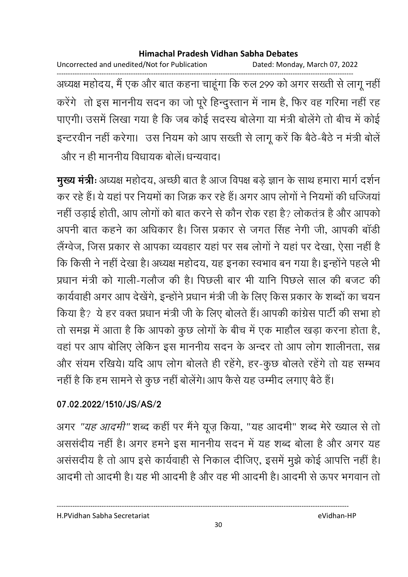Uncorrected and unedited/Not for Publication Dated: Monday, March 07, 2022 अध्यक्ष महोदय, मैं एक और बात कहना चाहूंगा कि रुल 299 को अगर सख्ती से लागू नहीं करेंगे तो इस माननीय सदन का जो पूरे हिन्दुस्तान में नाम है, फिर वह गरिमा नहीं रह पाएगी। उसमें लिखा गया है कि जब कोई सदस्य बोलेगा या मंत्री बोलेंगे तो बीच में कोई इन्टरवीन नहीं करेगा। उस नियम को आप सख्ती से लागू करें कि बैठे-बैठे न मंत्री बोलें और न ही माननीय विधायक बोलें। धन्यवाद।

मुख्य मंत्री: अध्यक्ष महोदय, अच्छी बात है आज विपक्ष बड़े ज्ञान के साथ हमारा मार्ग दर्शन कर रहे हैं। ये यहां पर नियमों का जिक्र कर रहे हैं। अगर आप लोगों ने नियमों की धज्जियां नहीं उड़ाई होती, आप लोगों को बात करने से कौन रोक रहा है? लोकतंत्र है और आपको अपनी बात कहने का अधिकार है। जिस प्रकार से जगत सिंह नेगी जी, आपकी बॉडी लैंग्वेज, जिस प्रकार से आपका व्यवहार यहां पर सब लोगों ने यहां पर देखा, ऐसा नहीं है कि किसी ने नहीं देखा है। अध्यक्ष महोदय, यह इनका स्वभाव बन गया है। इन्होंने पहले भी प्रधान मंत्री को गाली-गलौज की है। पिछली बार भी यानि पिछले साल की बजट की कार्यवाही अगर आप देखेंगे, इन्होंने प्रधान मंत्री जी के लिए किस प्रकार के शब्दों का चयन किया है? ये हर वक्त प्रधान मंत्री जी के लिए बोलते हैं। आपकी कांग्रेस पार्टी की सभा हो तो समझ में आता है कि आपको कुछ लोगों के बीच में एक माहौल खड़ा करना होता है, वहां पर आप बोलिए लेकिन इस माननीय सदन के अन्दर तो आप लोग शालीनता, सब्र और संयम रखिये। यदि आप लोग बोलते ही रहेंगे, हर-कुछ बोलते रहेंगे तो यह सम्भव नहीं है कि हम सामने से कुछ नहीं बोलेंगे। आप कैसे यह उम्मीद लगाए बैठे हैं।

# 07.02.2022/1510/JS/AS/2

अगर "यह आदमी" शब्द कहीं पर मैंने यूज़ किया, "यह आदमी" शब्द मेरे ख्याल से तो अससंदीय नहीं है। अगर हमने इस माननीय सदन में यह शब्द बोला है और अगर यह असंसदीय है तो आप इसे कार्यवाही से निकाल दीजिए, इसमें मूझे कोई आपत्ति नहीं है। आदमी तो आदमी है। यह भी आदमी है और वह भी आदमी है। आदमी से ऊपर भगवान तो

H.PVidhan Sabha Secretariat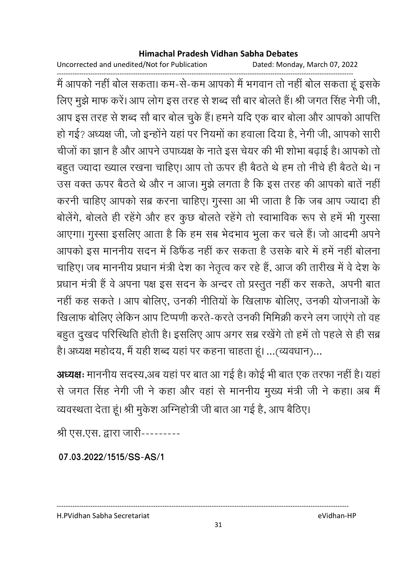Uncorrected and unedited/Not for Publication Dated: Monday, March 07, 2022

------------------------------------------------------------------------------------------------------------------------------------ में आपको नहीं बोल सकता। कम-से-कम आपको मैं भगवान तो नहीं बोल सकता हूं इसके लिए मुझे माफ करें। आप लोग इस तरह से शब्द सौ बार बोलते हैं। श्री जगत सिंह नेगी जी, आप इस तरह से शब्द सौ बार बोल चुके हैं। हमने यदि एक बार बोला और आपको आपत्ति | हो गई? अध्यक्ष जी, जो इन्होंने यहां पर नियमों का हवाला दिया है, नेगी जी, आपको सारी चीजों का ज्ञान है और आपने उपाध्यक्ष के नाते इस चेयर की भी शोभा बढ़ाई है। आपको तो बहुत ज्यादा ख्याल रखना चाहिए। आप तो ऊपर ही बैठते थे हम तो नीचे ही बैठते थे। न उस वक्त ऊपर बैठते थे और न आज। मुझे लगता है कि इस तरह की आपको बाते नहीं। करनी चाहिए आपको सब्र करना चाहिए। गुस्सा आ भी जाता है कि जब आप ज्यादा ही बोलेंगे, बोलते ही रहेंगे और हर कुछ बोलते रहेंगे तो स्वाभाविक रूप से हमें भी गुस्सा आएगा। गुस्सा इसलिए आता है कि हम सब भेदभाव भुला कर चले हैं। जो आदमी अपने आपको इस माननीय सदन में डिफैंड नहीं कर सकता है उसके बारे में हमें नहीं बोलना चाहिए। जब माननीय प्रधान मंत्री देश का नेतृत्व कर रहे हैं, आज की तारीख में वे देश के प्रधान मंत्री हैं वे अपना पक्ष इस सदन के अन्दर तो प्रस्तुत नहीं कर सकते, अपनी बात नहीं कह सकते । आप बोलिए, उनकी नीतियों के खिलाफ बोलिए, उनकी योजनाओं के खिलाफ बोलिए लेकिन आप टिप्पणी करते-करते उनकी मिमिक्री करने लग जाएंगे तो वह बहुत दुखद परिस्थिति होती है। इसलिए आप अगर सब्र रखेंगे तो हमें तो पहले से ही सब्र है। अध्यक्ष महोदय, मै यही शब्द यहां पर कहना चाहता हूं। …(व्यवधान)…

**अध्यक्षः** माननीय सदस्य,अब यहां पर बात आ गई है। कोई भी बात एक तरफा नहीं हैं। यहां से जगत सिंह नेगी जी ने कहा और वहां से माननीय मुख्य मंत्री जी ने कहा। अब मैं व्यवस्थता देता हूं। श्री मुकेश अग्निहोत्री जी बात आ गई है, आप बैठिए।

श्री एस.एस. द्वारा जारी---------

**07.03.2022/1515/SS-AS/1**

H.PVidhan Sabha Secretariat eVidhan-HP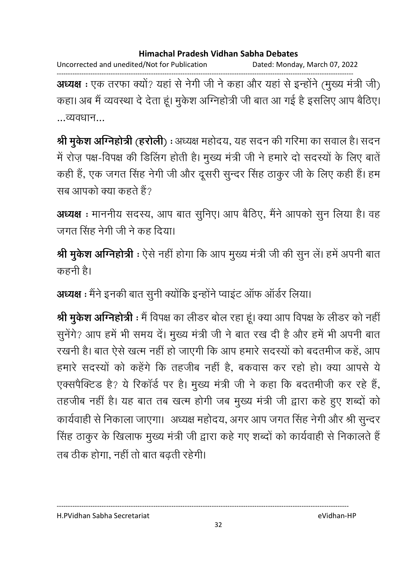Uncorrected and unedited/Not for Publication Dated: Monday, March 07, 2022

------------------------------------------------------------------------------------------------------------------------------------ **अध्यक्ष** : एक तरफा क्यो? यहां से नेगी जी ने कहा और यहां से इन्होंने (मुख्य मंत्री जी) कहा। अब मैं व्यवस्था दें देता हूं। मुकेश ओग्नेहोत्री जी बात आ गई है इसलिए आप बैठिए। ...व्यवधान...

**श्री मुर्कश अग्निहोत्री** (**हरलिो**) : अध्यक्ष महोदय, यह सदन की गरिमा का सवाल है। सदन में रोज़ पक्ष-विपक्ष की डिलिंग होती है। मुख्य मंत्री जी ने हमारे दो सदस्यों के लिए बातें कही है, एक जगत सिंह नेगी जी और दूसरी सुन्दर सिंह ठाकुर जी के लिए कही है। हम सब आपको क्या कहते हैं?

**अध्यक्ष** : माननीय सदस्य, आप बात सुनिए। आप बैठिए, मैंने आपको सुन लिया है। वह जगत सिंह नेगी जी ने कह दिया।

**श्री मुकेश अग्निहोत्री** : ऐसे नहीं होगा कि आप मुख्य मंत्री जी की सुन ले। हमें अपनी बात कहनी है।

**अध्यक्ष** : मैंने इनकी बात सुनी क्योंकि इन्होंने प्वाइट आफ आर्डर लिया।

**श्री मुकेश अग्निहोत्री** : मैं विपक्ष का लेंडिर बोल रहा हूं। क्या आप विपक्ष के लेंडिर को नहीं | सुनेगें? आप हमें भी समय दें। मुख्य मंत्री जी ने बात रख दी है और हमें भी अपनी बात रखनी है। बात ऐसे खत्म नहीं हो जाएगी कि आप हमारे सदस्यों को बदतमीज कहे, आप हमारे सदस्यों को कहेंगे कि तहजीब नहीं हैं, बकवास कर रहों हो। क्या आपसे ये एक्सपैक्टिंड है? ये रिकार्ड पर हैं। मुख्य मंत्री जी ने कहा कि बदतमीजी कर रहे हैं, तहजीब नहीं है। यह बात तब खत्म होगी जब मुख्य मंत्री जी द्वारा कहें हुए शब्दों को कार्यवाही से निकाला जाएगा। अध्यक्ष महोदय, अगर आप जगत सिंह नेगी और श्री सुन्दर सिंह ठाकुर के खिलाफ मुख्य मंत्री जी द्वारा कहे गए शब्दों को कार्यवाही से निकालते हैं तब ठीक होगा, नहीं तो बात बढ़ती रहेगी।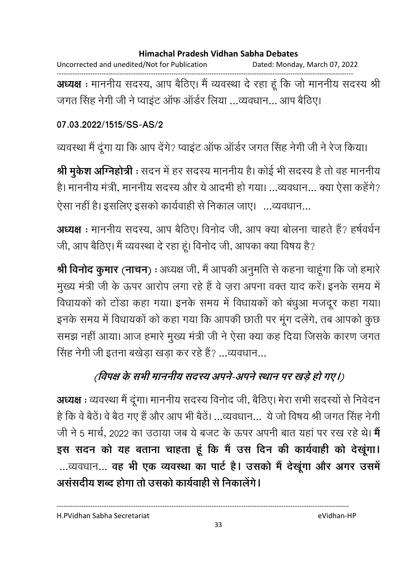Uncorrected and unedited/Not for Publication Dated: Monday, March 07, 2022

------------------------------------------------------------------------------------------------------------------------------------ **अध्यक्ष** : माननीय सदस्य, आप बैठिए। मैं व्यवस्था दें रहा हूं कि जो माननीय सदस्य श्री जगत सिंह नेगी जी ने प्वाइट आफ आर्डर लिया …व्यवधान… आप बैठिए।

### **07.03.2022/1515/SS-AS/2**

व्यवस्था मैं दूँगा या कि आप देंगे? प्वाइट आफ आर्डर जगत सिंह नेगी जी ने रेज किया।

**श्री मुकेश अग्निहोत्री** : सदन में हर सदस्य माननीय है। कोई भी सदस्य है तो वह माननीय है। माननीय मंत्री, माननीय सदस्य और ये आदमी हो गया। …व्यवधान… क्या ऐसा कहेंगे? ऐसा नहीं है। इसलिए इसको कार्यवाही से निकाल जाए। …व्यवधान…

**अध्यक्ष** : माननीय सदस्य, आप बैठिए। विनोद जी, आप क्या बोलना चाहते है? हर्षवर्धन जी, आप बैठिए। मैं व्यवस्था दे रहा हूं। विनोद जी, आपका क्या विषय है?

**श्री विनोद कुमार (नाचन) :** अध्यक्ष जी, मैं आपकी अनुमति से कहना चाहूंगा कि जो हमारे | मुख्य मंत्री जी के ऊपर आरोप लगा रहे हैं वे ज़रा अपना वक्त याद करें। इनके समय में विधायको को टोडा कहा गया। इनके समय में विधायकों को बंधुआ मजदूर कहा गया। इनके समय में विधायकों को कहा गया कि आपकी छाती पर मूग दलेंगे, तब आपको कुछ समझ नहीं आया। आज हमारे मुख्य मंत्री जी ने ऐसा क्या कह दिया जिसके कारण जगत सिंह नेगी जी इतना बर्खड़ा खड़ा कर रहे हैं? …व्यवधान…

# (विपक्ष के सभी माननीय सदस्य अपने-अपने स्थान पर खड़े हो गए।)

**अध्यक्ष** : व्यवस्था मैं दूंगा। माननीय सदस्य विनोद जी, बैठिए। मेरा सभी सदस्यों से निवेदन है कि वे बैठे। वे बैठ गए हैं और आप भी बैठें। …व्यवधान… ये जो विषय श्री जगत सिंह नेगी जी ने 5 मार्च, 2022 का उठाया जब ये बजट के ऊपर अपनी बात यहां पर रख रहे थे। **मे** इस सदन को यह बताना चाहता हूं कि मैं उस दिन की कार्यवाही को देखूगा। ...व्यवधान... **वह भी एक व्यवस्था का पार्ट है। उसको मैं देखूगा और अगर उसमें** असंसदीय शब्द होगा तो उसको कार्यवाही से निकालेंगे।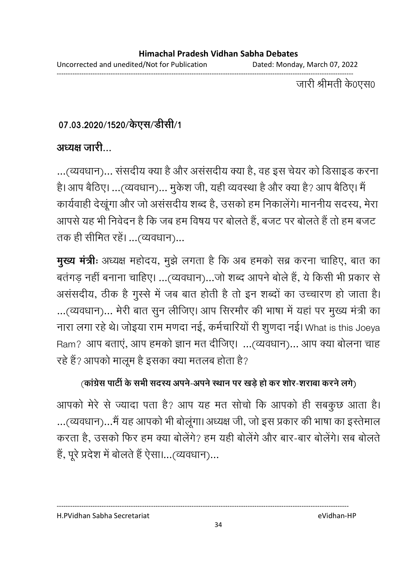Uncorrected and unedited/Not for Publication Dated: Monday, March 07, 2022 ------------------------------------------------------------------------------------------------------------------------------------

जारी श्रीमती के0एस0

# 07.03.2020/1520/केएस/डेसि1⁄1

### <u>अध्यक्ष जारी</u>

...(व्यवधान)... संसदीय क्या है और असंसदीय क्या है, वह इस चेयर को डिसाइड करना है। आप बैठिए। …(व्यवधान)… मुकेश जी, यही व्यवस्था है और क्या है? आप बैठिए। मै कार्यवाही देखूँगा और जो असंसदीय शब्द हैं, उसको हम निकालेंगे। माननीय सदस्य, मेरा आपसे यह भी निवेदन हैं कि जब हम विषय पर बोलते हैं, बजट पर बोलते हैं तो हम बजट तक ही सीमित रहे। ...(व्यवधान)...

**मुख्य मंत्रीः** अध्यक्ष महोदय, मुझे लगता है कि अब हमको सब्र करना चाहिए, बात का बतगड़ नहीं बनाना चाहिए। …(व्यवधान)…जो शब्द आपने बोले हैं, ये किसी भी प्रकार से असंसदीय, ठीक है गुस्से में जब बात होती है तो इन शब्दों का उच्चारण हो जाता है। ...(व्यवधान)... मेरी बात सुन लीजिए। आप सिरमोर की भाषा में यहां पर मुख्य मंत्री का नारा लगा रहे थे। जोइया राम मणदा नई, कर्मचारियों री शुणदा नई। What is this Joeya Ram? आप बताए, आप हमको ज्ञान मत दीजिए। ...(व्यवधान)... आप क्या बोलना चाह रहे हैं? आपको मालूम है इसका क्या मतलब होता है?

# <u>(कांग्रेस पार्टी के सभी सदस्य अपने-अपने स्थान पर खड़े हो कर शोर-शराबा करने लगे)</u>

आपको मेरे से ज्यादा पता है? आप यह मत सोचों कि आपको ही सबकुछ आता है। ...(व्यवधान)...मै यह आपको भी बोलूगा। अध्यक्ष जी, जो इस प्रकार की भाषा का इस्तेमाल करता है, उसको फिर हम क्या बोलेंगे? हम यही बोलेंगे और बार-बार बोलेंगे। सब बोलते हैं, पूरे प्रदेश में बोलते हैं ऐसा।...(व्यवधान)...

H.PVidhan Sabha Secretariat eVidhan-HP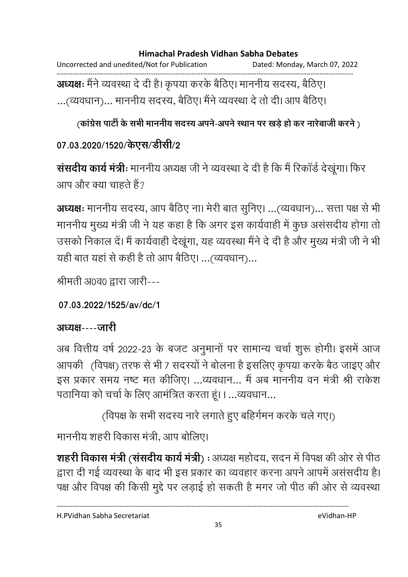Uncorrected and unedited/Not for Publication Dated: Monday, March 07, 2022 ------------------------------------------------------------------------------------------------------------------------------------ **अध्यक्षः** मैने व्यवस्था दे दी है। कृपया करके बैठिए। माननीय सदस्य, बैठिए। ...(व्यवधान)... माननीय सदस्य, बैठिए। मैने व्यवस्था दे तो दी। आप बैठिए।

(कांग्रेस पार्टी के सभी माननीय सदस्य अपने-अपने स्थान पर खड़े हो कर नारेबाजी करने )

# 07.03.2020/1520/केएस/डेसि**1**/2

**संसदीय कार्य मंत्रीः** माननीय अध्यक्ष जी ने व्यवस्था दे दी है कि मैं रिकार्ड देखूगा। फिर आप और क्या चाहते हैं?

**अध्यक्षः** माननीय सदस्य, आप बैठिए ना। मेरी बात सुनिए। ...(व्यवधान)... सत्ता पक्ष से भी माननीय मुख्य मंत्री जी ने यह कहा है कि अगर इस कार्यवाही में कुछ असंसदीय होगा तो उसको निकाल दें। मैं कार्यवाही देखूगा, यह व्यवस्था मैंने दें दी है और मुख्य मंत्री जी ने भी यही बात यहां से कही है तो आप बैठिए। …(व्यवधान)…

श्रीमती अ0व0 द्वारा जारी---

```
07.03.2022/1525/av/dc/1
```
# अध्यक्ष----जारी

अब वित्तीय वर्ष 2022-23 के बजट अनुमानों पर सामान्य चर्चा शुरू होगी। इसमें आज / (-) !H , 7 AL , \$ ह 6-\$; Ñ , 
+6; F इस प्रकार समय नष्ट मत कीजिए। ...व्यवधान... मैं अब माननीय वन मंत्री श्री राकेश पठानिया को चर्चा के लिए आमंत्रित करता हूं। I …व्यवधान…

(विपक्ष के सभी सदस्य नारे लगाते हुए बहिंगमन करके चले गए।)

माननीय शहरी विकास मंत्री, आप बोलिए।

**शहरी विकास मंत्री (संसदीय कार्य मंत्री) :** अध्यक्ष महोदय, सदन में विपक्ष की ओर से पीठ द्वारा दी गई व्यवस्था के बाद भी इस प्रकार का व्यवहार करना अपने आपमें असंसदीय है। पक्ष और विपक्ष की किसी मुद्दे पर लड़ाई हो सकती है मगर जो पीठ की ओर से व्यवस्था

H.PVidhan Sabha Secretariat eVidhan-HP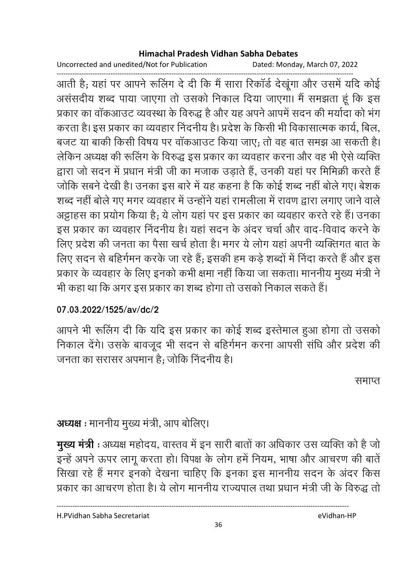Uncorrected and unedited/Not for Publication Dated: Monday, March 07, 2022

------------------------------------------------------------------------------------------------------------------------------------ आती हैं; यहां पर आपने रूलिंग दें दी कि मैं सारा रिकार्ड देखूंगा और उसमें यदि कोई असंसदीय शब्द पाया जाएंगा तो उसको निकाल दिया जाएंगा। मैं समझता हूँ कि इस प्रकार का वाकआउट व्यवस्था के विरुद्ध है और यह अपने आपमें सदन की मयोदा को भग करता है। इस प्रकार का व्यवहार निंदनीय है। प्रदेश के किसी भी विकासात्मक कार्य, बिल, बजट या बाकी किसी विषय पर वाकआउट किया जाए; तो वह बात समझ आ सकती है। लेकिन अध्यक्ष की रूलिंग के विरुद्ध इस प्रकार का व्यवहार करना और वह भी ऐसे व्यक्ति द्वारा जो सदन में प्रधान मंत्री जी का मजाक उड़ाते हैं, उनकी यहां पर मिमिक्री करते हैं | जोंकि सबने देखी है। उनका इस बारे में यह कहना है कि कोई शब्द नहीं बोले गए। बेशक शब्द नहीं बोले गए मगर व्यवहार में उन्होंने यहां रामलीला में रावण द्वारा लगाए जाने वाले. अट्टाहस का प्रयोग किया है; ये लोग यहां पर इस प्रकार का व्यवहार करते रहे हैं। उनका इस प्रकार का व्यवहार निंदनीय है। यहां सदन के अंदर चर्चा और वाद-विवाद करने के लिए प्रदेश की जनता का पैसा खर्च होता है। मगर ये लोग यहां अपनी व्यक्तिगत बात के लिए सदन से बहिंगमन करके जा रहे हैं; इसकी हम कड़े शब्दों में निंदा करते हैं और इस प्रकार के व्यवहार के लिए इनको कभी क्षमा नहीं किया जा सकता। माननीय मुख्य मंत्री ने भी कहा था कि अगर इस प्रकार का शब्द होगा तो उसको निकाल सकते हैं।

# **07.03.2022/1525/av/dc/2**

आपने भी रूलिंग दी कि यदि इस प्रकार का कोई शब्द इस्तेमाल हुआ होगा तो उसको निकाल देंगे। उसके बावजूद भी सदन से बहिंगेमन करना आपसी संधि और प्रदेश की जनता का सरासर अपमान है; जोकि निंदनीय है।

समाप्त

# **अध्यक्ष :** माननीय मुख्य मंत्री, आप बोलिए।

**मुख्य मंत्री** : अध्यक्ष महोदय, वास्तव में इन सारी बातों का अधिकार उस व्यक्ति को है जो इन्हें अपने ऊपर लागू करता हो। विपक्ष के लोग हमें नियम, भाषा और आचरण की बातें | सिखा रहे हैं मगर इनको देखना चाहिए कि इनका इस माननीय सदन के अंदर किस प्रकार का आचरण होता है। ये लोग माननीय राज्यपाल तथा प्रधान मंत्री जी के विरुद्ध तो

H.PVidhan Sabha Secretariat eVidhan-HP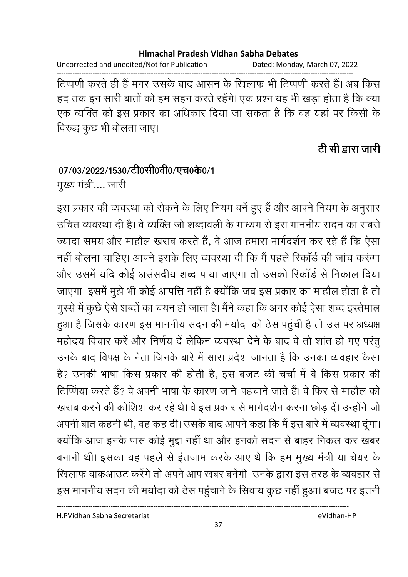Uncorrected and unedited/Not for Publication Dated: Monday, March 07, 2022

------------------------------------------------------------------------------------------------------------------------------------ टिप्पणी करते ही है मगर उसके बाद आसन के खिलाफ भी टिप्पणी करते हैं। अब किस हद तक इन सारी बातों को हम सहन करते रहेंगे। एक प्रश्न यह भी खड़ा होता है कि क्या एक व्यक्ति को इस प्रकार का अधिकार दिया जा सकता है कि वह यहां पर किसी के विरुद्ध कुछ भी बोलता जाए।

## <u>टी सी द्वारा जारी</u>

## 07/03/2022/1530/टी0सी0वी0/एच0के0/1

मुख्य मंत्री.... जारी

इस प्रकार की व्यवस्था को रोकने के लिए नियम बने हुए हैं और आपने नियम के अनुसार उचित व्यवस्था दी है। वे व्यक्ति जो शब्दावली के माध्यम से इस माननीय सदन का सबसे ज्यादा समय और माहौल खराब करते है, वे आज हमारा मार्गदर्शन कर रहे हैं कि ऐसा नहीं बोलना चाहिए। आपने इसके लिए व्यवस्था दी कि मैं पहले रिकार्ड की जांच करुंगा और उसमें यदि कोई असंसदीय शब्द पाया जाएंगा तो उसको रिकार्ड से निकाल दिया जाएगा। इसमें मुझे भी कोई आपत्ति नहीं है क्योंकि जब इस प्रकार का माहौल होता है तो गुस्से में कुछ ऐसे शब्दों का चयन हो जाता है। मैंने कहा कि अगर कोई ऐसा शब्द इस्तेमाल हुआ है जिसके कारण इस माननीय सदन की मर्यादा को ठेस पहुंची है तो उस पर अध्यक्ष महोदय विचार करें और निर्णय दे लेकिन व्यवस्था देने के बाद वे तो शांत हो गए परंतु उनके बाद विपक्ष के नेता जिनके बारे में सारा प्रदेश जानता है कि उनका व्यवहार कैसा है? उनकी भाषा किस प्रकार की होती है, इस बजट की चर्चा में वे किस प्रकार की टिप्णिया करते हैं? वे अपनी भाषा के कारण जाने-पहचाने जाते हैं। वे फिर से माहौल को खराब करने की कोशिश कर रहे थे। वे इस प्रकार से मार्गदर्शन करना छोड़ दें। उन्होंने जो अपनी बात कहनी थी, वह कह दी। उसके बाद आपने कहा कि मैं इस बारे में व्यवस्था दूंगा। क्योंकि आज इनके पास कोई मुद्दा नहीं था और इनको सदन से बाहर निकल कर खबर बनानी थी। इसका यह पहले से इतजाम करके आए थे कि हम मुख्य मंत्री या चेयर के खिलाफ वाकआउट करेंगे तो अपने आप खबर बनेगी। उनके द्वारा इस तरह के व्यवहार से इस माननीय सदन की मयोदा को ठेस पहुचाने के सिवाय कुछ नहीं हुआ। बजट पर इतनी

H.PVidhan Sabha Secretariat eVidhan-HP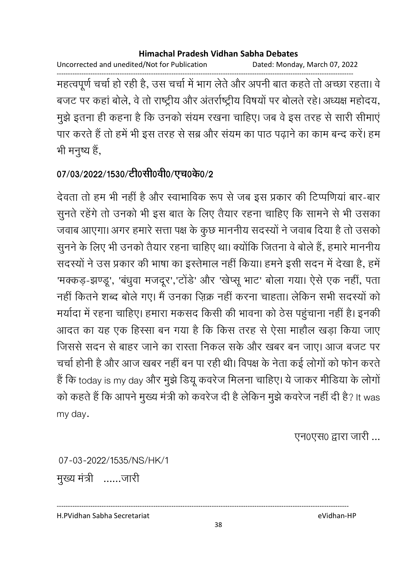Uncorrected and unedited/Not for Publication Dated: Monday, March 07, 2022

महत्वपूर्ण चर्चा हो रही है, उस चर्चा में भाग लेते और अपनी बात कहते तो अच्छा रहता। वे बजट पर कहां बोले, वे तो राष्ट्रीय और अंतर्राष्ट्रीय विषयों पर बोलते रहे। अध्यक्ष महोदय, मुझे इतना ही कहना है कि उनको संयम रखना चाहिए। जब वे इस तरह से सारी सीमाएं पार करते हैं तो हमें भी इस तरह से सब्र और संयम का पाठ पढ़ाने का काम बन्द करें। हम भी मनुष्य हैं,

## 07/03/2022/1530/टी0सी0वी0/एच0के0/2

देवता तो हम भी नहीं है और स्वाभाविक रूप से जब इस प्रकार की टिप्पणियां बार-बार सुनते रहेंगे तो उनको भी इस बात के लिए तैयार रहना चाहिए कि सामने से भी उसका जवाब आएगा। अगर हमारे सत्ता पक्ष के कुछ माननीय सदस्यों ने जवाब दिया है तो उसको सुनने के लिए भी उनको तैयार रहना चाहिए था। क्योंकि जितना वे बोले हैं, हमारे माननीय सदस्यों ने उस प्रकार की भाषा का इस्तेमाल नहीं किया। हमने इसी सदन में देखा है, हमें 'मक्कड़-झण्डू', 'बंधुवा मजदूर','टोंडे' और 'खेप्सू भाट' बोला गया। ऐसे एक नहीं, पता नहीं कितने शब्द बोले गए। मैं उनका ज़िक्र नहीं करना चाहता। लेकिन सभी सदस्यों को मर्यादा में रहना चाहिए। हमारा मकसद किसी की भावना को ठेस पहुंचाना नहीं है। इनकी आदत का यह एक हिस्सा बन गया है कि किस तरह से ऐसा माहौल खड़ा किया जाए जिससे सदन से बाहर जाने का रास्ता निकल सके और खबर बन जाए। आज बजट पर चर्चा होनी है और आज खबर नहीं बन पा रही थी। विपक्ष के नेता कई लोगों को फोन करते हैं कि today is my day और मुझे डियू कवरेज मिलना चाहिए। ये जाकर मीडिया के लोगों को कहते हैं कि आपने मुख्य मंत्री को कवरेज दी है लेकिन मूझे कवरेज नहीं दी है? It was my day.

एन0एस0 द्वारा जारी ...

07-03-2022/1535/NS/HK/1 मुख्य मंत्री ......जारी

H.PVidhan Sabha Secretariat

38

eVidhan-HP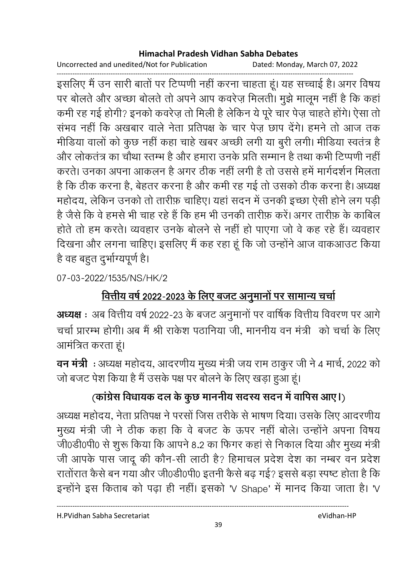Uncorrected and unedited/Not for Publication Dated: Monday, March 07, 2022

इसलिए मैं उन सारी बातों पर टिप्पणी नहीं करना चाहता हूं। यह सच्चाई है। अगर विषय पर बोलते और अच्छा बोलते तो अपने आप कवरेज़ मिलती। मुझे मालूम नहीं है कि कहां कमी रह गई होगी? इनको कवरेज़ तो मिली है लेकिन ये पूरे चार पेज़ चाहते होंगे। ऐसा तो संभव नहीं कि अखबार वाले नेता प्रतिपक्ष के चार पेज़ छाप देंगे। हमने तो आज तक मीडिया वालों को कुछ नहीं कहा चाहे खबर अच्छी लगी या बुरी लगी। मीडिया स्वतंत्र है और लोकतंत्र का चौथा स्तम्भ है और हमारा उनके प्रति सम्मान है तथा कभी टिप्पणी नहीं करते। उनका अपना आकलन है अगर ठीक नहीं लगी है तो उससे हमें मार्गदर्शन मिलता है कि ठीक करना है, बेहतर करना है और कमी रह गई तो उसको ठीक करना है। अध्यक्ष महोदय, लेकिन उनको तो तारीफ़ चाहिए। यहां सदन में उनकी इच्छा ऐसी होने लग पड़ी है जैसे कि वे हमसे भी चाह रहे हैं कि हम भी उनकी तारीफ़ करें। अगर तारीफ़ के काबिल होते तो हम करते। व्यवहार उनके बोलने से नहीं हो पाएगा जो वे कह रहे हैं। व्यवहार दिखना और लगना चाहिए। इसलिए मैं कह रहा हूं कि जो उन्होंने आज वाकआउट किया है वह बहुत दुर्भाग्यपूर्ण है।

07-03-2022/1535/NS/HK/2

## <u>वित्तीय वर्ष 2022-2023 के लिए बजट अनुमानों पर सामान्य चर्चा</u>

अध्यक्ष : अब वित्तीय वर्ष 2022-23 के बजट अनुमानों पर वार्षिक वित्तीय विवरण पर आगे चर्चा प्रारम्भ होगी। अब मैं श्री राकेश पठानिया जी, माननीय वन मंत्री को चर्चा के लिए आमंत्रित करता हूं।

वन मंत्री : अध्यक्ष महोदय, आदरणीय मुख्य मंत्री जय राम ठाकुर जी ने 4 मार्च, 2022 को जो बजट पेश किया है मैं उसके पक्ष पर बोलने के लिए खड़ा हुआ हूं।

## (कांग्रेस विधायक दल के कुछ माननीय सदस्य सदन में वापिस आए।)

अध्यक्ष महोदय, नेता प्रतिपक्ष ने परसों जिस तरीके से भाषण दिया। उसके लिए आदरणीय मुख्य मंत्री जी ने ठीक कहा कि वे बजट के ऊपर नहीं बोले। उन्होंने अपना विषय जी0डी0पी0 से शुरू किया कि आपने 8.2 का फिगर कहां से निकाल दिया और मुख्य मंत्री जी आपके पास जादू की कौन-सी लाठी है? हिमाचल प्रदेश देश का नम्बर वन प्रदेश रातोंरात कैसे बन गया और जी0डी0पी0 इतनी कैसे बढ़ गई? इससे बड़ा स्पष्ट होता है कि इन्होंने इस किताब को पढ़ा ही नहीं। इसको 'V Shape' में मानद किया जाता है। 'V

H.PVidhan Sabha Secretariat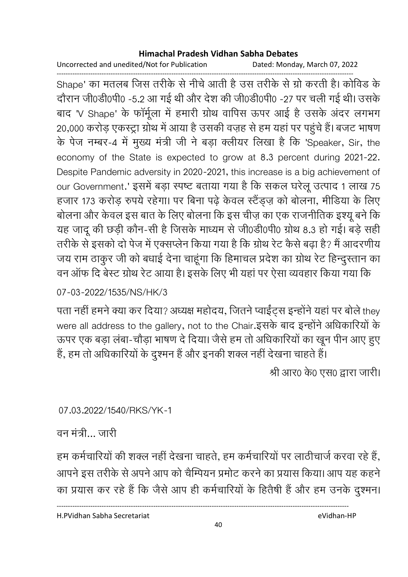Uncorrected and unedited/Not for Publication Dated: Monday, March 07, 2022

------------------------------------------------------------------------------------------------------------------------------------ Shape' का मतलब जिस तरीके से नीचे आती है उस तरीके से ग्रो करती है। कोविड के दौरान जी0डी0पी0 -5.2 आ गई थी और देश की जी0डी0पी0 -27 पर चली गई थी। उसके बाद 'V Shape' के फार्मूला में हमारी ग्रोथ वापिस ऊपर आई है उसके अंदर लगभग 20,000 करोड़ एकस्ट्रा ग्रोथ में आया है उसकी वज़ह से हम यहां पर पहुंचे हैं। बजट भाषण के पेज नम्बर-4 में मुख्य मंत्री जी ने बड़ा क्लीयर लिखा है कि 'Speaker, Sir, the economy of the State is expected to grow at 8.3 percent during 2021-22. Despite Pandemic adversity in 2020-2021, this increase is a big achievement of our Government.' इसमें बड़ा स्पष्ट बताया गया है कि सकल घरेलू उत्पाद 1 लाख 75 हजार 173 करोड़ रुपये रहेगा। पर बिना पढ़े केवल स्टैंड्ज़ को बोलना, मीडिया के लिए बोलना और केवल इस बात के लिए बोलना कि इस चीज़ का एक राजनीतिक इश्यू बने कि यह जांदू की छड़ी कौन-सी है जिसके माध्यम से जी0डी0पी0 ग्रोथ 8.3 हो गई। बड़े सही तरीके से इसको दो पेज में एक्सप्लेन किया गया है कि ग्रोथ रेट कैसे बढ़ा है? मैं आदरणीय जय राम ठाकुर जी को बंधाई देना चाहूंगा कि हिमाचल प्रदेश का ग्रोथ रेंट हिन्दुस्तान का वन आफ दि बेस्ट ग्रोथ रेंट आया है। इसके लिए भी यहां पर ऐसा व्यवहार किया गया कि

### 07-03-2022/1535/NS/HK/3

पता नहीं हमने क्या कर दिया? अध्यक्ष महोदय, जितने प्वाईट्स इन्होंने यहां पर बोले they were all address to the gallery, not to the Chair.इसके बाद इन्होंने अधिकारियों के ऊपर एक बड़ा लंबा-चौड़ा भाषण दे दिया। जैसे हम तो अधिकारियों का खून पीन आए हुए है, हम तो अधिकारियों के दुश्मन है और इनकी शक्ल नहीं देखना चाहते हैं।

श्री आर0 के0 एस0 द्वारा जारी।

### 07.03.2022/1540/RKS/YK-1

### वन मंत्री… जारी

हम कर्मचारियों की शक्ल नहीं देखना चाहते, हम कर्मचारियों पर लाठीचाजे करवा रहे हैं, आपने इस तरीके से अपने आप को चैम्पियन प्रमोट करने का प्रयास किया। आप यह कहने | का प्रयास कर रहे हैं कि जैसे आप ही कर्मचारियों के हितैषी है और हम उनके दुश्मन।

H.PVidhan Sabha Secretariat eVidhan-HP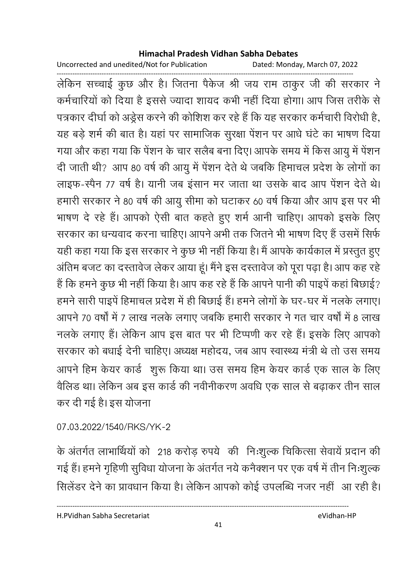Uncorrected and unedited/Not for Publication Dated: Monday, March 07, 2022

------------------------------------------------------------------------------------------------------------------------------------ लेकिन सच्चाई कुछ और है। जितना पैकेज श्री जय राम ठाकुर जी की सरकार ने कर्मचारियों को दिया है इससे ज्यादा शायद कभी नहीं दिया होगा। आप जिस तरीके से पत्रकार दीर्घा को अर्ड्रस करने की कोशिश कर रहे हैं कि यह सरकार कर्मचारी विरोधी है, यह बड़े शर्म की बात है। यहां पर सामाजिक सुरक्षा पेशन पर आर्ध घंटे का भाषण दिया गया और कहा गया कि पेशन के चार सलैब बना दिए। आपके समय में किस आयु में पेशन दी जाती थी? आप 80 वर्ष की आयु में पेशन देते थे जबकि हिमाचल प्रदेश के लोगों का लाइफ-स्पैन 77 वर्ष है। यानी जब इसान मर जाता था उसके बाद आप पेशन देते थे। हमारी सरकार ने 80 वर्ष की आयु सीमा को घटाकर 60 वर्ष किया और आप इस पर भी भाषण दे रहे हैं। आपको ऐसी बात कहते हुए शर्म आनी चाहिए। आपको इसके लिए सरकार का धन्यवाद करना चाहिए। आपने अभी तक जितने भी भाषण दिए हैं उसमें सिर्फ यही कहा गया कि इस सरकार ने कुछ भी नहीं किया है। मैं आपके कार्यकाल में प्रस्तुत हुए आतेम बजट का दस्तावेज लेकर आया हूं। मैंने इस दस्तावेज को पूरा पढ़ा है। आप कह रहें ' है कि हमने कुछ भी नहीं किया है। आप कह रहे हैं कि आपने पानी की पाइपे कहा बिछाई? हमने सारी पाइपे हिमाचल प्रदेश में ही बिछाई है। हमने लोगों के घर-घर में नलके लगाए। आपने 70 वर्षों में 7 लाख नलके लगाए जबकि हमारी सरकार ने गत चार वर्षों में 8 लाख नलके लगाए है। लेकिन आप इस बात पर भी टिप्पणी कर रहे हैं। इसके लिए आपको सरकार को बंधाई देनी चाहिए। अध्यक्ष महोदय, जब आप स्वास्थ्य मंत्री थे तो उस समय आपने हिम केयर कार्ड शुरू किया था। उस समय हिम केयर कार्ड एक साल के लिए वैलिड था। लेकिन अब इस कार्ड की नवीनीकरण अवधि एक साल से बढ़ाकर तीन साल कर दी गई है। इस योजना

07.03.2022/1540/RKS/YK-2

के अंतर्गत लाभार्थियों को 218 करोड़ रुपये की निःशुल्क चिकित्सा सेवाये प्रदान की गई है। हमने गृहिणी सुविधा योजना के अंतर्गत नये कनैक्शन पर एक वर्ष में तीन निःशुल्क सिलेंडर देने का प्रावधान किया है। लेकिन आपको कोई उपलब्धि नजर नहीं आ रही है।

H.PVidhan Sabha Secretariat eVidhan-HP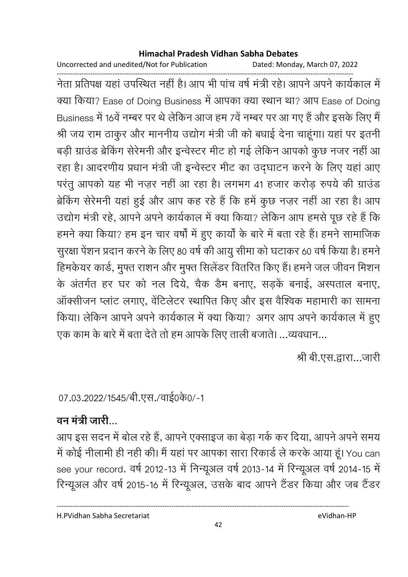Uncorrected and unedited/Not for Publication Dated: Monday, March 07, 2022

------------------------------------------------------------------------------------------------------------------------------------ नेता प्रतिपक्ष यहाँ उपस्थित नहीं है। आप भी पांच वर्ष मंत्री रहे। आपने अपने कार्यकाल में क्या किया? Ease of Doing Business में आपका क्या स्थान था? आप Ease of Doing Business में 16वें नम्बर पर थे लेकिन आज हम 7वें नम्बर पर आ गए हैं और इसके लिए मैं श्री जय राम ठाकुर और माननीय उद्योग मंत्री जी को बधाई देना चाहूगा। यहां पर इतनी बड़ी ग्राउंड ब्रेकिंग सेरेमनी और इन्वेस्टर मीट हो गई लेकिन आपको कुछ नजर नहीं आ रहा है। आदरणीय प्रधान मंत्री जी इन्वेस्टर मीट का उद्घाटन करने के लिए यहां आए परंतु आपको यह भी नज़र नहीं आ रहा है। लगभग 41 हजार करोड़ रुपये की ग्राउंड ब्रेकिंग सेरेमनी यहां हुई और आप कह रहे हैं कि हमें कुछ नज़र नहीं आ रहा है। आप उद्योग मंत्री रहे, आपने अपने कार्यकाल में क्या किया? लेकिन आप हमसे पूछ रहे हैं कि हमने क्या किया? हम इन चार वर्षा में हुए कार्या के बारे में बता रहे हैं। हमने सामाजिक सुरक्षा पेशन प्रदान करने के लिए 80 वर्ष की आयु सीमा को घटाकर 60 वर्ष किया है। हमने हिमकेयर कार्ड, मुफ्त राशन और मुफ्त सिलेंडर वितरित किए हैं। हमने जल जीवन मिशन के अंतर्गत हर घर को नल दिये, चैंक डैम बनाए, सड़के बनाई, अस्पताल बनाए, आर्क्सीजन प्लाट लगाए, वेटिलेंटर स्थापित किए और इस वैश्विक महामारी का सामना किया। लेकिन आपने अपने कार्यकाल में क्या किया? अगर आप अपने कार्यकाल में हुए एक काम के बारे में बता देते तो हम आपके लिए ताली बजाते। ...व्यवधान...

श्री बी.एस.द्वारा…जारी

07.03.2022/1545/बी.एस./वाई0के0/-1

## वन मंत्री जारी

आप इस सदन में बोल रहे हैं, आपने एक्साइज का बेड़ा गर्क कर दिया, आपने अपने समय में कोई नीलामी ही नहीं की। मैं यहां पर आपका सारा रिकार्ड ले करके आया हूं। You can see your record. वर्ष 2012-13 में निन्यूअल वर्ष 2013-14 में रिन्यूअल वर्ष 2014-15 में रिन्यूअल और वर्ष 2015-16 में रिन्यूअल, उसके बाद आपने टैंडर किया और जब टैंडर

H.PVidhan Sabha Secretariat eVidhan-HP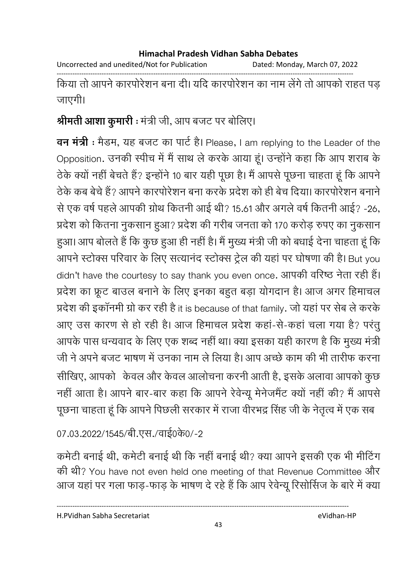Uncorrected and unedited/Not for Publication Dated: Monday, March 07, 2022

------------------------------------------------------------------------------------------------------------------------------------ किया तो आपने कारपोरेशन बना दी। यदि कारपोरेशन का नाम लेगे तो आपको राहत पड़ जाएगी।

## **श्रीमती आशा कुमारी :** मंत्री जी, आप बजट पर बोलिए।

**वन मंत्री :** मैडम, यह बजट का पार्ट है। Please, I am replying to the Leader of the Opposition. उनकी स्पीच में मैं साथ ले करके आया हूं। उन्होंने कहा कि आप शराब के ठेके क्यों नहीं बेचते हैं? इन्होंने 10 बार यही पूछा है। मैं आपसे पूछना चाहता हूं कि आपने ठेके कब बेचे हैं? आपने कारपोरेशन बना करके प्रदेश को ही बेच दिया। कारपोरेशन बनाने से एक वर्ष पहले आपकी ग्रोथ कितनी आई थी? 15.61 और अगले वर्ष कितनी आई? -26, प्रदेश को कितना नुकसान हुआ? प्रदेश की गरीब जनता को 170 करोड़ रुपए का नुकसान हुआ। आप बोलते हैं कि कुछ हुआ ही नहीं है। मैं मुख्य मंत्री जी को बधाई देना चाहता हूं कि आपने स्टोक्स परिवार के लिए सत्यानंद स्टोक्स ट्रेल की यहां पर घोषणा की है। But you didn't have the courtesy to say thank you even once. आपकी वरिष्ठ नेता रही है। प्रदेश का फ्रूट बाउल बनाने के लिए इनका बहुत बड़ा योगदान है। आज अगर हिमाचल प्रदेश की इकानमी ग्रो कर रही है it is because of that family. जो यहां पर सेब ले करके आए उस कारण से हो रही है। आज हिमाचल प्रदेश कहा-से-कहा चला गया है? परंतु आपके पास धन्यवाद के लिए एक शब्द नहीं था। क्या इसका यही कारण है कि मुख्य मंत्री जी ने अपने बजट भाषण में उनका नाम ले लिया है। आप अच्छे काम की भी तारीफ करना | सीखिए, आपको केवल और केवल आलोचना करनी आती है, इसके अलावा आपको कुछ नहीं आता है। आपने बार-बार कहा कि आपने रेवेन्यू मेनेजमैंट क्यों नहीं की? मैं आपसे पूछना चाहता हू कि आपने पिछली सरकार में राजा वीरभद्र सिंह जी के नेतृत्व में एक सब

07.03.2022/1545/बी.एस./वाई0के0/-2

कर्मटी बनाई थी, कर्मटी बनाई थी कि नहीं बनाई थी? क्या आपने इसकी एक भी मीटिंग की थी? You have not even held one meeting of that Revenue Committee और आज यहां पर गला फाड़-फाड़ के भाषण दे रहे हैं कि आप रेवेन्यू रिसोसिज के बारे में क्या

H.PVidhan Sabha Secretariat eVidhan-HP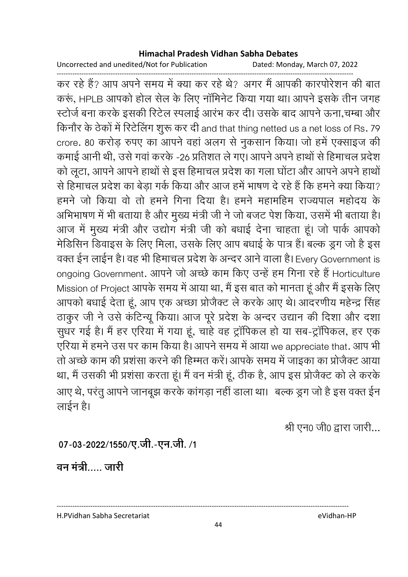Uncorrected and unedited/Not for Publication

Dated: Monday, March 07, 2022

कर रहे हैं? आप अपने समय में क्या कर रहे थे? अगर मैं आपकी कारपोरेशन की बात करूं, HPLB आपको होल सेल के लिए नॉमिनेट किया गया था। आपने इसके तीन जगह स्टोर्ज बना करके इसकी रिटेल स्पलाई आरंभ कर दी। उसके बाद आपने ऊना,चम्बा और किनौर के ठेकों में रिटेलिंग शुरू कर दी and that thing netted us a net loss of Rs. 79 crore. 80 करोड़ रुपए का आपने वहां अलग से नुकसान किया। जो हमें एक्साइज की कमाई आनी थी, उसे गवां करके -26 प्रतिशत ले गए। आपने अपने हाथों से हिमाचल प्रदेश को लूटा, आपने आपने हाथों से इस हिमाचल प्रदेश का गला घोंटा और आपने अपने हाथों से हिमाचल प्रदेश का बेड़ा गर्क किया और आज हमें भाषण दे रहे हैं कि हमने क्या किया? हमने जो किया वो तो हमने गिना दिया है। हमने महामहिम राज्यपाल महोदय के अभिभाषण में भी बताया है और मुख्य मंत्री जी ने जो बजट पेश किया, उसमें भी बताया है। आज में मुख्य मंत्री और उद्योग मंत्री जी को बधाई देना चाहता हूं। जो पार्क आपको मेडिसिन डिवाइस के लिए मिला, उसके लिए आप बधाई के पात्र हैं। बल्क ड्रग जो है इस वक्त ईन लाईन है। वह भी हिमाचल प्रदेश के अन्दर आने वाला है। Every Government is ongoing Government. आपने जो अच्छे काम किए उन्हें हम गिना रहे हैं Horticulture Mission of Project आपके समय में आया था, मैं इस बात को मानता हूं और मैं इसके लिए आपको बधाई देता हूं, आप एक अच्छा प्रोजैक्ट ले करके आए थे। आदरणीय महेन्द्र सिंह ठाकुर जी ने उसे कंटिन्यू किया। आज पूरे प्रदेश के अन्दर उद्यान की दिशा और दशा सूधर गई है। मैं हर एरिया में गया हूं, चाहे वह ट्रॉपिकल हो या सब-ट्रॉपिकल, हर एक एरिया में हमने उस पर काम किया है। आपने समय में आया we appreciate that. आप भी तो अच्छे काम की प्रशंसा करने की हिम्मत करें। आपके समय में जाइका का प्रोजैक्ट आया था, मैं उसकी भी प्रशंसा करता हूं। मैं वन मंत्री हूं, ठीक है, आप इस प्रोजैक्ट को ले करके आए थे, परंतु आपने जानबूझ करके कांगड़ा नहीं डाला था। बल्क डूग जो है इस वक्त ईन लाईन है।

श्री एन0 जी0 द्वारा जारी...

07-03-2022/1550/ए.जी.-एन.जी./1

वन मंत्री जारी

H.PVidhan Sabha Secretariat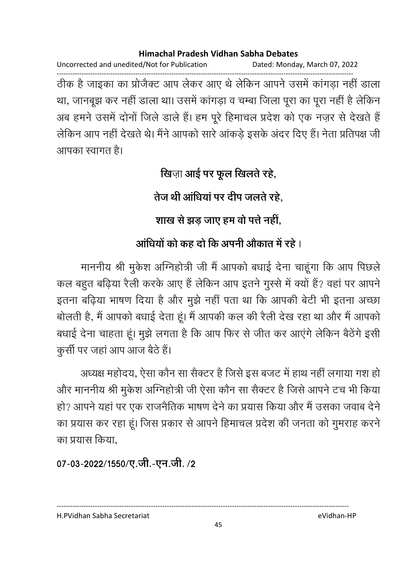Uncorrected and unedited/Not for Publication Dated: Monday, March 07, 2022 ------------------------------------------------------------------------------------------------------------------------------------ ठीक है जाइका का प्रजिक्ट आप लेकर आए थे लेकिन आपने उसमें कांगड़ा नहीं डाला था, जानबूझ कर नहीं डाला था। उसमें कांगड़ा व चम्बा जिला पूरा का पूरा नहीं है लेकिन अब हमने उसमें दोनों जिले डाले हैं। हम पूरे हिमाचल प्रदेश को एक नज़र से देखते हैं लेकिन आप नहीं देखते थे। मैंने आपको सारे आकड़े इसके अंदर दिए हैं। नेता प्रतिपक्ष जी आपका स्वागत है।

**खिजा आई पर फूल खिलते रहे,** 

तेज थी आधिया पर दीप जलते रहे,

शाख से झड़ जाए हम वो पत्ते नहीं,

## **आधियों को कह दो कि अपनी ओंकात में रहें** ।

माननीय श्री मुकेश ओग्नेहोत्री जी मैं आपको बधाई देना चाहूंगा कि आप पिछले. कल बहुत बढ़िया रैली करके आए हैं लेकिन आप इतने गुस्से में क्यों है? वहां पर आपने इतना बढ़िया भाषण दिया है और मुझे नहीं पता था कि आपकी बेटी भी इतना अच्छा बोलती है, मैं आपको बंधाई देता हूं। मैं आपकी कल की रैली देख रहा था और मैं आपको बंधाई देना चाहता हूं। मुझे लगता है कि आप फिर से जीत कर आएंगे लेकिन बैठेंगे इसी कुर्सी पर जहां आप आज बैठे हैं।

अध्यक्ष महोदय, ऐसा कौन सा सैक्टर है जिसे इस बजट में हाथ नहीं लगाया गश हो और माननीय श्री मुकेश अग्निहोत्री जी ऐसा कौन सा सैक्टर है जिसे आपने टच भी किया। हो? आपने यहां पर एक राजनैतिक भाषण देने का प्रयास किया और मैं उसका जवाब देने का प्रयास कर रहा हूं। जिस प्रकार से आपने हिमाचल प्रदेश की जनता को गुमराह करने का प्रयास किया,

07-03-2022/1550/ए.जी.-एन.जी. /2

---------------------------------------------------------------------------------------------------------------------------------- H.PVidhan Sabha Secretariat eVidhan-HP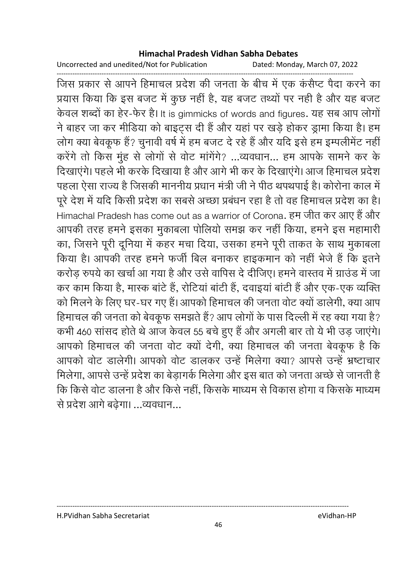Uncorrected and unedited/Not for Publication Dated: Monday, March 07, 2022

------------------------------------------------------------------------------------------------------------------------------------ जिस प्रकार से आपने हिमाचल प्रदेश की जनता के बीच में एक कसैप्ट पैदा करने का प्रयास किया कि इस बजट में कुछ नहीं है, यह बजट तथ्यों पर नहीं हैं और यह बजट केवल शब्दों का हेर-फेर है। It is gimmicks of words and figures. यह सब आप लोगों ने बाहर जा कर मीडिया को बाइट्स दी है और यहां पर खड़े होकर ड्रामा किया है। हम लोग क्या बेवकूफ है? चुनावी वर्ष में हम बजट दे रहे हैं और यदि इसे हम इम्पलेमिट नहीं। करेंगे तो किस मुंह से लोगों से वोट मार्गेंगे? …व्यवधान… हम आपके सामने कर के दिखाएंगे। पहले भी करके दिखाया है और आगे भी कर के दिखाएंगे। आज हिमाचल प्रदेश पहला ऐसा राज्य है जिसकी माननीय प्रधान मंत्री जी ने पीठ थपथपाई है। कोरोना काल में पूरे देश में यदि किसी प्रदेश का सबसे अच्छा प्रबंधन रहा है तो वह हिमाचल प्रदेश का है। Himachal Pradesh has come out as a warrior of Corona. हम जीत कर आए है और आपकी तरह हमने इसका मुकाबला पोलियो समझ कर नहीं किया, हमने इस महामारी का, जिसने पूरी दूनिया में कहर मचा दिया, उसका हमने पूरी ताकत के साथ मुकाबला किया है। आपकी तरह हमने फर्जी बिल बनाकर हाइकमान को नहीं भेजें हैं कि इतने करोड़ रुपये का खर्चा आ गया है और उसे वापिस दे दीजिए। हमने वास्तव में ग्राउड में जा कर काम किया है, मास्क बार्ट है, रोटिया बार्टी है, दवाइया बार्टी है और एक-एक व्यक्ति को मिलने के लिए घर-घर गए हैं। आपको हिमाचल की जनता वोट क्यों डालेंगी, क्या आप हिमाचल की जनता को बेवकूफ समझते हैं? आप लोगों के पास दिल्ली में रह क्या गया है? कभी 460 सासद होते थे आज केवल 55 बचे हुए हैं और अंगली बार तो ये भी उड़ जाएंगे। आपको हिमाचल की जनता वोट क्यो देंगी, क्या हिमाचल की जनता बेवकूफ हैं कि आपको वोट डालेंगी। आपको वोट डालकर उन्हें मिलेंगा क्या? आपसे उन्हें भ्रष्टाचार मिलेगा, आपर्स उन्हें प्रदेश का बेड़ांगके मिलेगा और इस बात को जनता अच्छे से जानती है कि किसे वोट डालना है और किसे नहीं, किसके माध्यम से विकास होगा व किसके माध्यम से प्रदेश आगे बढेगा। ...व्यवधान...

#### H.PVidhan Sabha Secretariat eVidhan-HP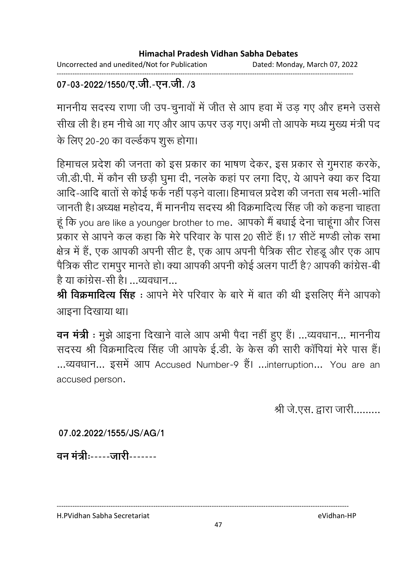Uncorrected and unedited/Not for Publication Dated: Monday, March 07, 2022

#### ------------------------------------------------------------------------------------------------------------------------------------ 07-03-2022/1550/ए.जी.-एन.जी. /3

माननीय सदस्य राणा जी उप-चुनावों में जीत से आप हवा में उड़ गए और हमने उससे सीख ली है। हम नीचे आ गए और आप ऊपर उड़ गए। अभी तो आपके मध्य मुख्य मंत्री पद के लिए 20-20 का वर्ल्डकप शुरू होगा।

हिमाचल प्रदेश की जनता को इस प्रकार का भाषण देकर, इस प्रकार से गुमराह करके, जी.डी.पी. में कौन सी छड़ी घुमा दी, नलके कहा पर लगा दिए, ये आपने क्या कर दिया आदि-आदि बातों से कोई फर्क नहीं पड़ने वाला। हिमाचल प्रदेश की जनता सब भली-भाति जानती है। अध्यक्ष महोदय, मैं माननीय सदस्य श्री विक्रमादित्य सिंह जी को कहना चाहता. हू कि you are like a younger brother to me. आपको मै बधाई देना चाहूगा और जिस प्रकार से आपने कल कहा कि मेरे परिवार के पास 20 सीटे हैं। 17 सीटे मण्डी लोक सभा क्षेत्र में हैं, एक आपकी अपनी सीट है, एक आप अपनी पैत्रिक सीट रोहडू और एक आप पैत्रिक सीट रामपुर मानते हो। क्या आपकी अपनी कोई अलग पार्टी है? आपकी कांग्रेस-बी है या कांग्रेस-सी है। …व्यवधान…

**श्री विक्रमादित्य सिंह** : आपने मेरे परिवार के बारे में बात की थी इसलिए मैंने आपको आइना दिखाया था।

**वन मंत्री** : मुझे आइना दिखाने वाले आप अभी पैदा नहीं हुए हैं। ...व्यवधान... माननीय सदस्य श्री विक्रमादित्य सिंह जी आपके ई.डी. के केस की सारी कार्पिया मेरे पास है। ...व्यवधान... इसमें आप Accused Number-9 हैं। ...interruption... You are an accused person.

श्री जे.एस. द्वारा जारी.........

**07.02.2022/1555/JS/AG/1**

वन मंत्रीः-----जारी-------

H.PVidhan Sabha Secretariat eVidhan-HP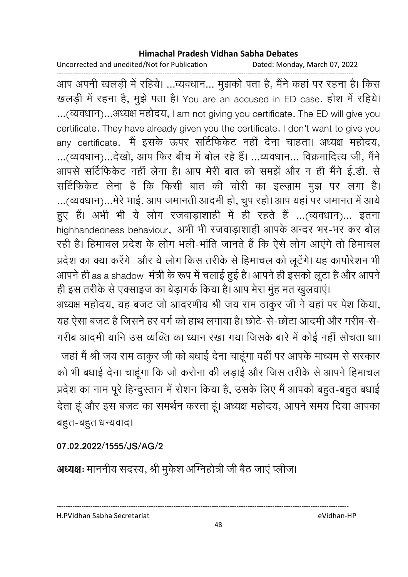Uncorrected and unedited/Not for Publication Dated: Monday, March 07, 2022

------------------------------------------------------------------------------------------------------------------------------------ आप अपनी खलड़ी में रहिये। …व्यवधान… मुझको पता है, मैंने कहा पर रहना है। किस खलड़ी में रहना है, मुझे पता है। You are an accused in ED case. होश में रहिये। ...(व्यवधान)...अध्यक्ष महोदय, I am not giving you certificate. The ED will give you certificate. They have already given you the certificate. I don't want to give you any certificate. मै इसके ऊपर सोटेफिकेट नहीं देना चाहता। अध्यक्ष महोदय, ...(व्यवधान)...देखो, आप फिर बीच में बोल रहे हैं। ...व्यवधान... विक्रमादित्य जी, मैंने आपर्स सर्टिफिकेट नहीं लेना है। आप मेरी बात को समझे और न ही मैंने ई.डी. से सोटेफिकेट लेना है कि किसी बात की चोरी का इल्ज़ाम मुझ पर लगा है। ...(व्यवधान)...मेरे भाई, आप जमानती आदमी हो, चुप रहो। आप यहां पर जमानत में आये हुए हैं। अभी भी ये लोग रजवाड़ाशाही में ही रहते हैं …(व्यवधान)… इतना highhandedness behaviour,अभी भी रजवाड़ाशाही आपके अन्दर भर-भर कर बोल रही है। हिमाचल प्रदेश के लोग भली-भाति जानते हैं कि ऐसे लोग आएंगे तो हिमाचल प्रदेश का क्या करेंगे। और ये लोग किस तरीके से हिमाचल को लूटेंगे। यह कार्पोरेशन भी आपने ही as a shadow मंत्री के रूप में चलाई हुई है। आपने ही इसको लूटा है और आपने

ही इस तरीके से एक्साइज का बेड़ांगके किया है। आप मेरा मुह मत खुलवाए। अध्यक्ष महोदय, यह बजट जो आदरणीय श्री जय राम ठाकुर जी ने यहां पर पेश किया, यह ऐसा बजट है जिसने हर वर्ग को हाथ लगाया है। छोटे-से-छोटा आदमी और गरीब-से-गरीब आदमी यानि उस व्यक्ति का ध्यान रखा गया जिसके बारे में कोई नहीं सोचता था। जहाँ मैं श्री जय राम ठाकुर जी को बंधाई देना चाहूँगा वहीं पर आपके माध्यम से सरकार को भी बंधाई देना चाहूँगा कि जो करोना की लड़ाई और जिस तरीके से आपने हिमाचल प्रदेश का नाम पूरे हिन्दुस्तान में रोशन किया है, उसके लिए मैं आपको बहुत-बहुत बधाई देता हूँ और इस बजट का समर्थन करता हूँ। अध्यक्ष महोदय, आपने समय दिया आपका बहुत-बहुत धन्यवाद।

**07.02.2022/1555/JS/AG/2**

**अध्यक्षः** माननीय सदस्य, श्री मुकेश ओग्नेहोत्री जी बैठ जाए प्लीज।

H.PVidhan Sabha Secretariat eVidhan-HP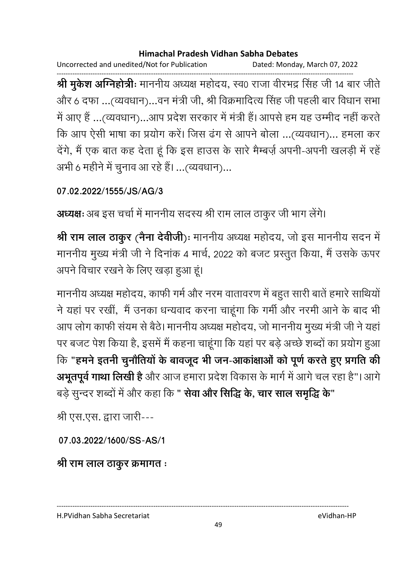Uncorrected and unedited/Not for Publication Dated: Monday, March 07, 2022

------------------------------------------------------------------------------------------------------------------------------------ **श्री मुकेश अग्निहोत्रीः** माननीय अध्यक्ष महोदय, स्व0 राजा वीरभद्र सिंह जी 14 बार जीते। और 6 दफा …(व्यवधान)…वन मंत्री जी, श्री विक्रमादित्य सिंह जी पहली बार विधान सभा में आए हैं …(व्यवधान)…आप प्रदेश सरकार में मंत्री हैं। आपसे हम यह उम्मीद नहीं करते कि आप ऐसी भाषा का प्रयोग करें। जिस ढंग से आपने बोला …(व्यवधान)… हमला कर देंगे, मैं एक बात कह देता हूं कि इस हाउस के सारे मैम्बज़े अपनी-अपनी खलड़ी में रहें अभी 6 महीने में चुनाव आ रहे हैं। …(व्यवधान)…

**07.02.2022/1555/JS/AG/3**

**अध्यक्षः** अब इस चर्चा में माननीय सदस्य श्री राम लाल ठाकुर जी भाग लेगे।

**श्री राम लाल ठाकुर (नैना देवीजी**)ः माननीय अध्यक्ष महोदय, जो इस माननीय सदन में माननीय मुख्य मंत्री जी ने दिनाक 4 मार्च, 2022 को बजट प्रस्तुत किया, मैं उसके ऊपर अपने विचार रखने के लिए खड़ा हुआ हूं।

माननीय अध्यक्ष महोदय, काफी गर्म और नरम वातावरण में बहुत सारी बातें हमारे साथियों | ने यहां पर रखी, मैं उनका धन्यवाद करना चाहूंगा कि गर्मी और नरमी आने के बाद भी आप लोग काफी सयम से बैठे। माननीय अध्यक्ष महोदय, जो माननीय मुख्य मंत्री जी ने यहां | पर बजट पेश किया है, इसमें मैं कहना चाहूंगा कि यहां पर बड़े अच्छे शब्दों का प्रयोग हुआ कि "हमने इतनी चुनौतियों के बावजूद भी जन-आकाक्षाओं को पूर्ण करते हुए प्रगति की **अभूतपूर्व गाथा लिखी है** और आज हमारा प्रदेश विकास के मार्ग में आगे चल रहा है"।आगे बड़े सुन्दर शब्दों में और कहा कि " **सेवा और सिद्धि के, चार साल समृद्धि के**"

श्री एस.एस. द्वारा जारी---

**07.03.2022/1600/SS-AS/1**

<u>श्री राम लाल ठाकुर क्रमागत ः</u>

H.PVidhan Sabha Secretariat eVidhan-HP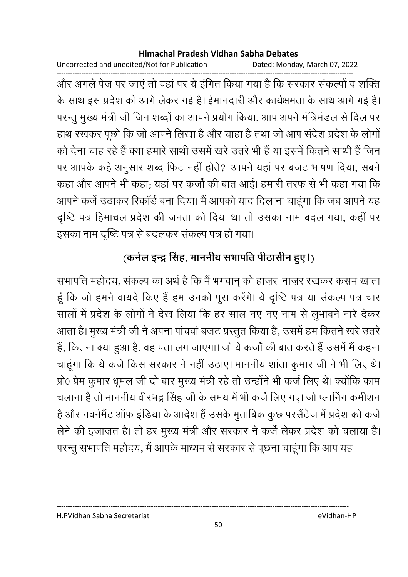Uncorrected and unedited/Not for Publication Dated: Monday, March 07, 2022

------------------------------------------------------------------------------------------------------------------------------------ और अगले पेज पर जाए तो वहां पर ये इंगित किया गया है कि सरकार सकल्पों व शक्ति. के साथ इस प्रदेश को आगे लेकर गई है। ईमानदारी और कार्यक्षमता के साथ आगे गई है। परन्तु मुख्य मंत्री जी जिन शब्दों का आपने प्रयोग किया, आप अपने मंत्रिमंडल से दिल पर हाथ रखकर पूछों कि जो आपने लिखा है और चाहा है तथा जो आप सर्देश प्रदेश के लोगो को देना चाह रहे हैं क्या हमारे साथी उसमें खरे उतरे भी हैं या इसमें कितने साथी है जिन पर आपके कहे अनुसार शब्द फिट नहीं होते? आपने यहां पर बजट भाषण दिया, सबने कहा और आपने भी कहा; यहां पर कर्जा की बात आई। हमारी तरफ से भी कहा गया कि आपने कर्ज उठाकर रिकार्ड बना दिया। मैं आपको याद दिलाना चाहूंगा कि जब आपने यह दृष्टि पत्र हिमाचल प्रदेश की जनता को दिया था तो उसका नाम बदल गया, कहीं पर इसका नाम दृष्टि पत्र से बदलकर संकल्प पत्र हो गया।

## (कर्नल इन्द्र सिंह, माननीय सभापति पीठासीन हुए।)

सभापति महोदय, सकल्प का अर्थ है कि मैं भगवान् को हाज़र-नाज़र रखकर कसम खाता. हू कि जो हमने वायदे किए है हम उनको पूरा करेंगे। ये दृष्टि पत्र या सकल्प पत्र चार सालों में प्रदेश के लोगों ने देख लिया कि हर साल नए-नए नाम से लुभावने नारे देकर आता है। मुख्य मंत्री जी ने अपना पाचवा बजट प्रस्तुत किया है, उसमें हम कितने खरे उतरे | हैं, कितना क्या हुआ है, वह पता लग जाएगा। जो ये कर्जा की बात करते हैं उसमें मैं कहना चाहूँगा कि ये कर्ज किस सरकार ने नहीं उठाए। माननीय शाता कुमार जी ने भी लिए थे। प्रो0 प्रेम कुमार धूमल जी दो बार मुख्य मंत्री रहे तो उन्होंने भी कर्ज लिए थे। क्योंकि काम चलाना है तो माननीय वीरभद्र सिंह जी के समय में भी कर्ज लिए गए। जो प्लानिंग कमीशन है और गवर्नमैंट आफ इंडिया के आर्देश हैं उसके मुताबिक कुछ परसैंटेज में प्रदेश को कर्ज लेने की इजाज़त है। तो हर मुख्य मंत्री और सरकार ने कर्ज लेकर प्रदेश को चलाया है। परन्तु सभापति महोदय, मैं आपके माध्यम से सरकार से पूछना चाहूंगा कि आप यह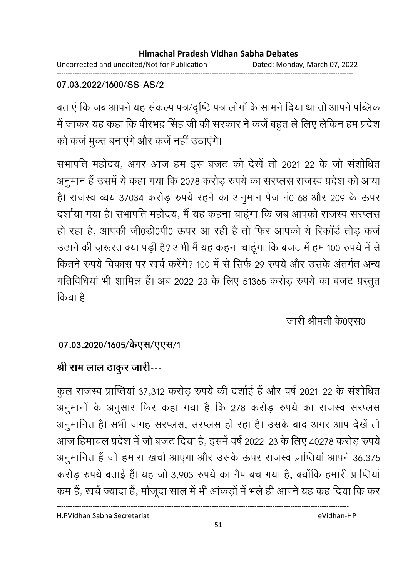Uncorrected and unedited/Not for Publication Dated: Monday, March 07, 2022 ------------------------------------------------------------------------------------------------------------------------------------

### **07.03.2022/1600/SS-AS/2**

बताए कि जब आपने यह सकल्प पत्र/दृष्टि पत्र लोगों के सामने दिया था तो आपने पब्लिक में जाकर यह कहा कि वीरभद्र सिंह जी की सरकार ने कर्ज बहुत ले लिए लेकिन हम प्रदेश को कर्ज मुक्त बनाएंगे और कर्जे नहीं उठाएंगे।

सभापति महोदय, अगर आज हम इस बजट को देखे तो 2021-22 के जो संशोधित अनुमान है उसमें ये कहा गया कि 2078 करोड़ रुपये का सरप्लस राजस्व प्रदेश को आया है। राजस्व व्यय 37034 करोड़ रुपये रहने का अनुमान पेज नं0 68 और 209 के ऊपर दशोया गया है। सभापति महोदय, मैं यह कहना चाहूंगा कि जब आपको राजस्व सरप्लस हो रहा है, आपकी जी0डी0पी0 ऊपर आ रही है तो फिर आपको ये रिकार्ड तोड़ कर्ज उठाने की ज़रूरत क्या पड़ी है? अभी मैं यह कहना चाहूगा कि बजट में हम 100 रुपये में से कितने रुपये विकास पर खर्च करेंगे? 100 में से सिर्फ 29 रुपये और उसके अंतर्गत अन्य गतिविधिया भी शामिल है। अब 2022-23 के लिए 51365 करोड़ रुपये का बजट प्रस्तुत किया है।

जारी श्रीमती के0एस0

## 07.03.2020/1605/केएस/एएस/1

## <u>श्री राम लाल ठाकुर जारी---</u>

कुल राजस्व प्राप्तिया 37,312 करोड़ रुपये की दशोई है और वर्ष 2021-22 के संशोधित अनुमानों के अनुसार फिर कहा गया है कि 278 करोड़ रुपये का राजस्व सरप्लस अनुमानित है। सभी जगह सरप्लस, सरप्लस हो रहा है। उसके बाद अगर आप देखें तो आज हिमाचल प्रदेश में जो बजट दिया है, इसमें वर्ष 2022-23 के लिए 40278 करोड़ रुपये। अनुमानित है जो हमारा खर्चा आएगा और उसके ऊपर राजस्व प्राप्तिया आपने 36,375 करोड़ रुपये बताई है। यह जो 3,903 रुपये का गैप बच गया है, क्योंकि हमारी प्राप्तिया कम है, खर्च ज्यादा है, मौजूदा साल में भी आकड़ों में भले ही आपने यह कह दिया कि कर

H.PVidhan Sabha Secretariat eVidhan-HP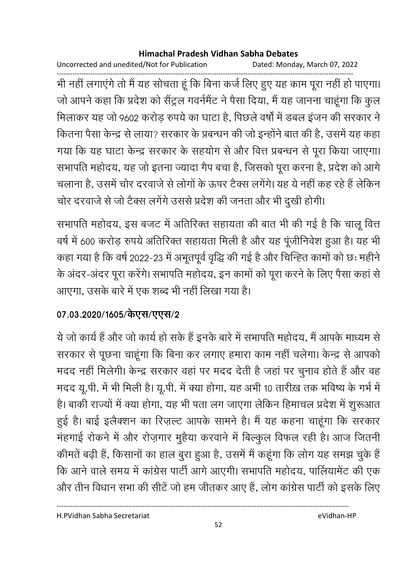Uncorrected and unedited/Not for Publication Dated: Monday, March 07, 2022

भी नहीं लगाएंगे तो मैं यह सोचता हूं कि बिना कर्ज लिए हुए यह काम पूरा नहीं हो पाएगा। जो आपने कहा कि प्रदेश को सैंट्रल गवर्नमैंट ने पैसा दिया, मैं यह जानना चाहूंगा कि कुल मिलाकर यह जो 9602 करोड़ रुपये का घाटा है, पिछले वर्षों में डबल इंजन की सरकार ने कितना पैसा केन्द्र से लाया? सरकार के प्रबन्धन की जो इन्होंने बात की है, उसमें यह कहा गया कि यह घाटा केन्द्र सरकार के सहयोग से और वित्त प्रबन्धन से पूरा किया जाएगा। सभापति महोदय, यह जो इतना ज्यादा गैप बचा है, जिसको पूरा करना है, प्रदेश को आगे चलाना है, उसमें चोर दरवाजे से लोगों के ऊपर टैक्स लगेंगे। यह ये नहीं कह रहे हैं लेकिन चोर दरवाजे से जो टैक्स लगेंगे उससे प्रदेश की जनता और भी दुखी होगी।

सभापति महोदय, इस बजट में अतिरिक्त सहायता की बात भी की गई है कि चालू वित्त वर्ष में 600 करोड़ रुपये अतिरिक्त सहायता मिली है और यह पूंजीनिवेश हुआ है। यह भी कहा गया है कि वर्ष 2022-23 में अभूतपूर्व वृद्धि की गई है और चिन्ह्ति कामों को छः महीने के अंदर-अंदर पूरा करेंगे। सभापति महोदय, इन कामों को पूरा करने के लिए पैसा कहां से आएगा, उसके बारे में एक शब्द भी नहीं लिखा गया है।

## 07.03.2020/1605/केएस/एएस/2

ये जो कार्य हैं और जो कार्य हो सके हैं इनके बारे में सभापति महोदय, मैं आपके माध्यम से सरकार से पूछना चाहूंगा कि बिना कर लगाए हमारा काम नहीं चलेगा। केन्द्र से आपको मदद नहीं मिलेगी। केन्द्र सरकार वहां पर मदद देती है जहां पर चुनाव होते हैं और वह मदद यू.पी. में भी मिली है। यू.पी. में क्या होगा, यह अभी 10 तारीख़ तक भविष्य के गर्भ में है। बाकी राज्यों में क्या होगा, यह भी पता लग जाएगा लेकिन हिमाचल प्रदेश में शुरूआत हुई है। बाई इलैक्शन का रिज़ल्ट आपके सामने है। मैं यह कहना चाहूंगा कि सरकार मंहगाई रोकने में और रोज़गार मुहैया करवाने में बिल्कुल विफल रही है। आज जितनी कीमतें बढ़ी हैं, किसानों का हाल बुरा हुआ है, उसमें मैं कहूंगा कि लोग यह समझ चुके हैं कि आने वाले समय में कांग्रेस पार्टी आगे आएगी। सभापति महोदय, पार्लियामेंट की एक और तीन विधान सभा की सीटें जो हम जीतकर आए हैं, लोग कांग्रेस पार्टी को इसके लिए

H.PVidhan Sabha Secretariat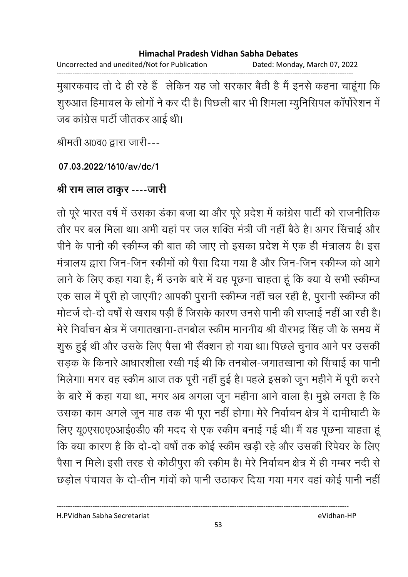Uncorrected and unedited/Not for Publication Dated: Monday, March 07, 2022

मुबारकवाद तो दे ही रहे हैं लेकिन यह जो सरकार बैठी है मैं इनसे कहना चाहूंगा कि शूरुआत हिमाचल के लोगों ने कर दी है। पिछली बार भी शिमला म्यूनिसिपल कॉर्पोरेशन में जब कांग्रेस पार्टी जीतकर आई थी।

श्रीमती अ0व0 द्वारा जारी---

07.03.2022/1610/av/dc/1

## श्री राम लाल ठाकुर ----जारी

तो पूरे भारत वर्ष में उसका डंका बजा था और पूरे प्रदेश में कांग्रेस पार्टी को राजनीतिक तौर पर बल मिला था। अभी यहां पर जल शक्ति मंत्री जी नहीं बैठे है। अगर सिंचाई और पीने के पानी की स्कीम्ज की बात की जाए तो इसका प्रदेश में एक ही मंत्रालय है। इस मंत्रालय द्वारा जिन-जिन स्कीमों को पैसा दिया गया है और जिन-जिन स्कीम्ज को आगे लाने के लिए कहा गया है; मैं उनके बारे में यह पूछना चाहता हूं कि क्या ये सभी स्कीम्ज एक साल में पूरी हो जाएगी? आपकी पुरानी स्कीम्ज नहीं चल रही है, पुरानी स्कीम्ज की मोटर्ज दो-दो वर्षों से खराब पड़ी हैं जिसके कारण उनसे पानी की सप्लाई नहीं आ रही है। मेरे निर्वाचन क्षेत्र में जगातखाना-तनबोल स्कीम माननीय श्री वीरभद्र सिंह जी के समय में शुरू हुई थी और उसके लिए पैसा भी सैंक्शन हो गया था। पिछले चुनाव आने पर उसकी सड़क के किनारे आधारशीला रखी गई थी कि तनबोल-जगातखाना को सिंचाई का पानी मिलेगा। मगर वह स्कीम आज तक पूरी नहीं हुई है। पहले इसको जून महीने में पूरी करने के बारे में कहा गया था, मगर अब अगला जून महीना आने वाला है। मुझे लगता है कि उसका काम अगले जून माह तक भी पूरा नहीं होगा। मेरे निर्वाचन क्षेत्र में दामीघाटी के लिए यू0एस0ए0आई0डी0 की मदद से एक स्कीम बनाई गई थी। मैं यह पूछना चाहता हूं कि क्या कारण है कि दो-दो वर्षों तक कोई स्कीम खड़ी रहे और उसकी रिपेयर के लिए पैसा न मिले। इसी तरह से कोठीपुरा की स्कीम है। मेरे निर्वाचन क्षेत्र में ही गम्बर नदी से छड़ोल पंचायत के दो-तीन गांवों को पानी उठाकर दिया गया मगर वहां कोई पानी नहीं

eVidhan-HP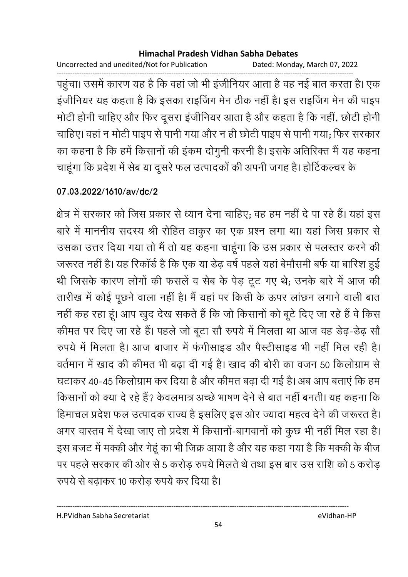Uncorrected and unedited/Not for Publication Dated: Monday, March 07, 2022

------------------------------------------------------------------------------------------------------------------------------------ पहुंचा। उसमें कारण यह है कि वहां जो भी इंजीनियर आता है वह नई बात करता है। एक इजीनियर यह कहता है कि इसका राइजिंग मेन ठीक नहीं है। इस राइजिंग मेन की पाइप मोटी होनी चाहिए और फिर दूसरा इजीनियर आता है और कहता है कि नहीं, छोटी होनी चाहिए। वहां न मोटी पाइप से पानी गया और न ही छोटी पाइप से पानी गया; फिर सरकार का कहना है कि हमें किसानों की इकम दोगुनी करनी है। इसके अतिरिक्त में यह कहना चाहूँगा कि प्रदेश में सेब या दूसरे फल उत्पादकों की अपनी जगह है। होटिकल्चर के

### **07.03.2022/1610/av/dc/2**

क्षेत्र में सरकार को जिस प्रकार से ध्यान देना चाहिए; वह हम नहीं दें पा रहे हैं। यहां इस बारे में माननीय सदस्य श्री रोहित ठाकुर का एक प्रश्न लगा था। यहां जिस प्रकार से उसका उत्तर दिया गया तो मैं तो यह कहना चाहूंगा कि उस प्रकार से पलस्तर करने की जरूरत नहीं है। यह रिकार्ड है कि एक या डेढ़ वर्ष पहले यहां बेमौसमी बर्फ या बारिश हुई थी जिसके कारण लोगों की फसले व सेब के पेड़ टूट गए थे; उनके बारे में आज की तारीख में कोई पूछने वाला नहीं हैं। मैं यहां पर किसी के ऊपर लाछन लगाने वाली बात नहीं कह रहा हूं। आप खुद देख सकते हैं कि जो किसानों को बूटे दिए जा रहे हैं वे किस कीमत पर दिए जा रहे हैं। पहले जो बूटा सो रुपये में मिलता था आज वह डेढ़-डेढ़ सो रुपर्य में मिलता है। आज बाजार में फंगीसाइंड और पैस्टीसाइंड भी नहीं मिल रही है। वर्तमान में खाद की कीमत भी बढ़ा दी गई है। खाद की बोरी का वजन 50 किलोग्राम से घटाकर 40-45 किलोग्राम कर दिया है और कीमत बढ़ा दी गई है। अब आप बताएं कि हम किसानों को क्या दें रहे हैं? केवलमात्र अच्छे भाषण देने से बात नहीं बनती। यह कहना कि हिमाचल प्रदेश फल उत्पादक राज्य है इसलिए इस ओर ज्यादा महत्व देने की जरूरत है। अगर वास्तव में देखा जाए तो प्रदेश में किसानो-बागवानों को कुछ भी नहीं मिल रहा है। इस बजट में मक्की और गेहूं का भी जिक्र आया है और यह कहा गया है कि मक्की के बीज पर पहले सरकार की ओर से 5 करोड़ रुपये मिलते थे तथा इस बार उस राशि को 5 करोड़ रुपर्य से बढ़ाकर 10 करोड़ रुपर्य कर दिया है।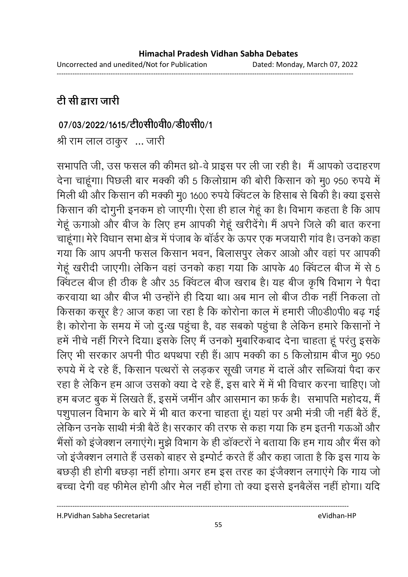## <u>टी सी द्वारा जारी</u>

### 07/03/2022/1615/टी0सी0वी0/डी0सी0/1

श्री राम लाल ठाकुर ... जारी

सभापति जी, उस फसल की कीमत थ्रो-वे प्राइस पर ली जा रही है। मैं आपको उदाहरण देना चाहूँगा। पिछली बार मक्की की 5 किलोग्राम की बोरी किसान को मु0 950 रुपये में मिली थी और किसान की मक्की मु0 1600 रुपये क्विटल के हिसाब से बिकी है। क्या इससे किसान की दोगुनी इनकम हो जाएगी। ऐसा ही हाल गेहूँ का है। विभाग कहता है कि आप गेहूँ ऊँगाओं और बीज के लिए हम आपकी गेहूँ खरीदेंगे। मैं अपने जिले की बात करना चाहूंगा। मेरे विधान सभा क्षेत्र में पंजाब के बार्डर के ऊपर एक मजयारी गांव है। उनको कहा गया कि आप अपनी फसल किसान भवन, बिलासपुर लेकर आओ और वहां पर आपकी गेहूँ खरीदी जाएगी। लेकिन वहाँ उनको कहा गया कि आपके 40 क्विटल बीज में से 5 क्विटल बीज ही ठीक है और 35 क्विटल बीज खराब है। यह बीज कृषि विभाग ने पैदा करवाया था और बीज भी उन्होंने ही दिया था। अब मान लो बीज ठीक नहीं निकला तो किसका कसूर है? आज कहा जा रहा है कि कोरोना काल में हमारी जी0डी0पी0 बढ़ गई है। कोरोना के समय में जो दुःख पहुचा है, वह सबको पहुचा है लेकिन हमारे किसानों ने हमें नीचे नहीं गिरने दिया। इसके लिए मैं उनको मुबारिकबाद देना चाहता हूं परंतु इसके लिए भी सरकार अपनी पीठ थपथपा रही है। आप मक्की का 5 किलोग्राम बीज मु0 950  $\,$ रुपर्य में दें रहे हैं, किसान पत्थरों से लड़कर सूखी जगह में दाले और सब्जिया पैदा कर रहा है लेकिन हम आज उसको क्या दे रहे है, इस बारे में में भी विचार करना चाहिए। जो हम बजट बुक में लिखते हैं, इसमें जमीन और आसमान का फ़र्क है। सभापति महोदय, मैं पशुपालन विभाग के बारे में भी बात करना चाहता हूं। यहां पर अभी मंत्री जी नहीं बैठे हैं, लेकिन उनके साथी मंत्री बैठे हैं। सरकार की तरफ से कहा गया कि हम इतनी गऊओ और भैसों को इजेक्शन लगाएंगे। मुझे विभाग के ही डाक्टरों ने बताया कि हम गाय और भैस को जो इजैक्शन लगाते हैं उसको बाहर से इम्पोर्ट करते हैं और कहा जाता है कि इस गाय के बछड़ी ही होगी बछड़ा नहीं होगा। अगर हम इस तरह का इजैक्शन लगाएंगे कि गाय जो बच्चा देंगी वह फॅमिल होंगी और मेल नहीं होगा तो क्या इससे इनबैलेस नहीं होगा। यदि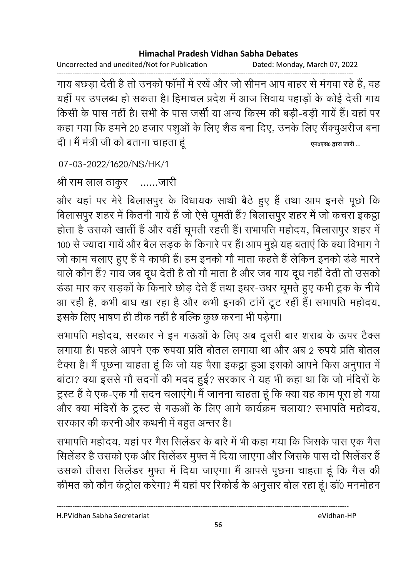Uncorrected and unedited/Not for Publication Dated: Monday, March 07, 2022

------------------------------------------------------------------------------------------------------------------------------------ गाय बछड़ा देती है तो उनको फामों में रखे और जो सीमन आप बाहर से मंगवा रहे हैं, वह यही पर उपलब्ध हो सकता है। हिमाचल प्रदेश में आज सिवाय पहाड़ों के कोई देसी गाय किसी के पास नहीं है। सभी के पास जर्सी या अन्य किरम की बड़ी-बड़ी गायें हैं। यहां पर कहा गया कि हमने 20 हजार पशुओं के लिए शैंड बना दिए, उनके लिए सैक्चुअरीज बना 2 = > + ! ह! ह? **.0.0 i ( ...**

07-03-2022/1620/NS/HK/1

श्री राम लाल ठाकुर – ……जारी

और यहां पर मेरे बिलासपुर के विधायक साथी बैठे हुए हैं तथा आप इनसे पूछों कि बिलासपुर शहर में कितनी गाये हैं जो ऐसे घूमती हैं? बिलासपुर शहर में जो कचरा इकट्ठा होता है उसको खाती है और वहीं घूमती रहती है। सभापति महोदय, बिलासपुर शहर में 100 से ज्यादा गाये और बैल सड़क के किनारे पर है। आप मुझे यह बताए कि क्या विभाग ने जो काम चलाए हुए है वे काफी है। हम इनको गों माता कहते हैं लेकिन इनको डर्ड मारने वाले कौन है? गाय जब दूध देती है तो गों माता है और जब गाय दूध नहीं देती तो उसको डडा मार कर सड़कों के किनारे छोड़ देते हैं तथा इधर-उधर घूमते हुए कभी ट्रक के नीचे आ रही है, कभी बाघ खा रहा है और कभी इनकी टार्ग टूट रही है। सभापति महोदय, इसके लिए भाषण ही ठीक नहीं है बल्कि कुछ करना भी पड़ेगा।

सभापति महोदय, सरकार ने इन गऊओं के लिए अब दूसरी बार शराब के ऊपर टैक्स लगाया है। पहले आपने एक रुपया प्रति बोतल लगाया था और अब 2 रुपये प्रति बोतल टैक्स है। मैं पूछना चाहता हूँ कि जो यह पैसा इकट्ठा हुआ इसको आपने किस अनुपात में बाटा? क्या इससे गो सदनों की मदद हुई? सरकार ने यह भी कहा था कि जो मंदिरों के ट्रस्ट है वे एक-एक गों सदन चलाएंगे। मैं जानना चाहता हूं कि क्या यह काम पूरा हो गया और क्या मंदिरों के ट्रस्ट से गऊओं के लिए आगे कार्यक्रम चलाया? संभापति महोदय, सरकार की करनी और कथनी में बहुत अन्तर है।

सभापति महोदय, यहां पर गैस सिलेंडर के बारे में भी कहा गया कि जिसके पास एक गैस सिलेंडर है उसको एक और सिलेंडर मुफ्त में दिया जाएगा और जिसके पास दो सिलेंडर है उसको तीसरा सिलेंडर मुफ्त में दिया जाएगा। मैं आपसे पूछना चाहता हूं कि गैस की कीमत को कौन कंट्रील करेगा? मैं यहां पर रिकांडे के अनुसार बोल रहा हूं। डा0 मनमोहन

H.PVidhan Sabha Secretariat eVidhan-HP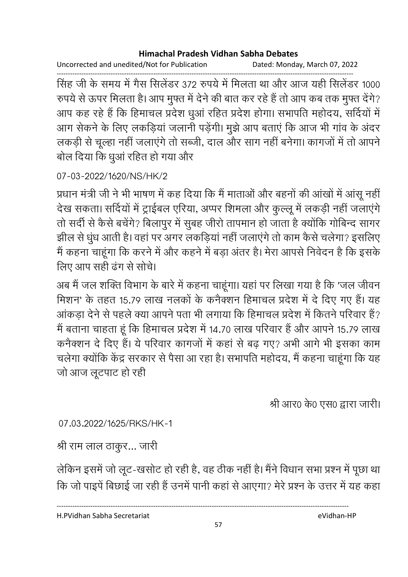Uncorrected and unedited/Not for Publication Dated: Monday, March 07, 2022

------------------------------------------------------------------------------------------------------------------------------------ सिंह जी के समय में गैस सिलेंडर 372 रुपये में मिलता था और आज यही सिलेंडर 1000 रुपर्य से ऊपर मिलता है। आप मुफ्त में देने की बात कर रहे हैं तो आप कब तक मुफ्त देंगे? आप कह रहे हैं कि हिमाचल प्रदेश धुआ रहित प्रदेश होगा। सभापति महोदय, सर्दियों में आग सेकने के लिए लकड़िया जलानी पड़ेगी। मुझे आप बताए कि आज भी गांव के अंदर लकड़ी से चूल्हा नहीं जलाएंगे तो सब्जी, दाल और सांग नहीं बनेगा। कांगजों में तो आपने बोल दिया कि धुआ रहित हो गया और

## 07-03-2022/1620/NS/HK/2

प्रधान मंत्री जी ने भी भाषण में कह दिया कि मैं माताओं और बहनों की आखों में आसू नहीं | देख सकता। सर्दियों में ट्राईबल एरिया, अप्पर शिमला और कुल्लू में लकड़ी नहीं जलाएंगे तो सदी से कैसे बचेंगे? बिलापुर में सुबह जीरो तापमान हो जाता है क्योंकि गोबिन्द सागर झील से धुध आती है। वहां पर अगर लकड़िया नहीं जलाएंगे तो काम कैसे चलेगा? इसलिए में कहना चाहूंगा कि करने में और कहने में बड़ा अंतर है। मेरा आपसे निवेदन हैं कि इसके लिए आप सही ढंग से सचि।

अब मैं जल शक्ति विभाग के बारे में कहना चाहूंगा। यहां पर लिखा गया है कि 'जल जीवन मिशन' के तहत 15.79 लाख नलकों के कनैक्शन हिमाचल प्रदेश में दें दिए गए हैं। यह आकड़ा देने से पहले क्या आपने पता भी लगाया कि हिमाचल प्रदेश में कितने परिवार है? में बताना चाहता हूं कि हिमाचल प्रदेश में 14.70 लाख परिवार है और आपने 15.79 लाख कर्नेक्शन दे दिए हैं। ये परिवार कांगजों में कहा से बढ़ गए? अभी आगे भी इसका काम चलेगा क्योंकि केंद्र सरकार से पैसा आ रहा है। सभापति महोदय, मैं कहना चाहूंगा कि यह जो आज लूटपाट हो रही

श्री आर0 के0 एस0 द्वारा जारी।

07.03.2022/1625/RKS/HK-1

श्री राम लाल ठाकुर… जारी

लेकिन इसमें जो लूट-खसोट हो रही है, वह ठीक नहीं है। मैंने विधान सभा प्रश्न में पूछा था कि जो पाइपे बिछाई जा रही है उनमें पानी कहा से आएगा? मेरे प्रश्न के उत्तर में यह कहा

H.PVidhan Sabha Secretariat eVidhan-HP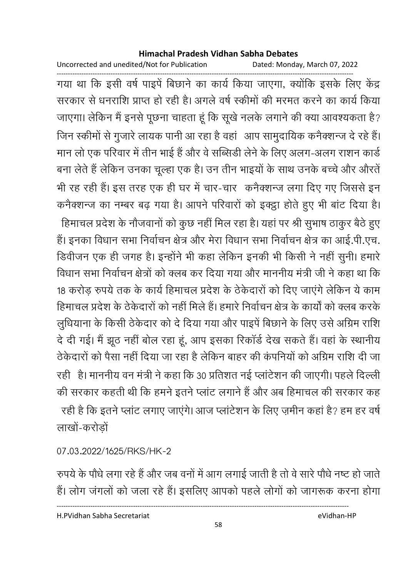Uncorrected and unedited/Not for Publication Dated: Monday, March 07, 2022

------------------------------------------------------------------------------------------------------------------------------------ गया था कि इसी वर्ष पाइपे बिछाने का कार्य किया जाएगा, क्योंकि इसके लिए केंद्र सरकार से धनराशि प्राप्त हो रही है। अगले वर्ष स्कीमों की मरमत करने का कार्य किया जाएगा। लेकिन मैं इनसे पूछना चाहता हूँ कि सूखे नलके लगाने की क्या आवश्यकता है? जिन स्कीमों से गुजारे लायक पानी आ रहा है वहां। आप सामुदायिक कर्नेक्शन्ज दे रहे हैं। मान लो एक परिवार में तीन भाई है और वे सब्सिडी लेने के लिए अलग-अलग राशन कार्ड बना लेते हैं लेकिन उनका चूल्हा एक है। उन तीन भाइयों के साथ उनके बच्चे और औरतें भी रह रही है। इस तरह एक ही घर में चार-चार) कर्नेक्शन्ज लगा दिए गए जिससे इन कनैक्शन्ज का नम्बर बढ़ गया है। आपने परिवारों को इक्ट्ठा होते हुए भी बाट दिया है। हिमाचल प्रदेश के नौजवानों को कुछ नहीं मिल रहा है। यहां पर श्री सुभाष ठाकुर बैठे हुए हैं। इनका विधान सभा निर्वाचन क्षेत्र और मेरा विधान सभा निर्वाचन क्षेत्र का आई.पी.एच. डिवीजन एक ही जगह है। इन्होंने भी कहा लेकिन इनकी भी किसी ने नहीं सुनी। हमारे विधान सभा निर्वाचन क्षेत्रों को क्लब कर दिया गया और माननीय मंत्री जी ने कहा था कि 18 करोड़ रुपये तक के कार्य हिमाचल प्रदेश के ठेकेदारों को दिए जाएंगे लेकिन ये काम हिमाचल प्रदेश के ठेकेदारों को नहीं मिले हैं। हमारे निर्वाचन क्षेत्र के कार्यों को क्लब करके लुधियाना के किसी ठेकेदार को दें दिया गया और पाइपे बिछाने के लिए उसे अग्रिम राशि दे दी गई। मैं झूठ नहीं बोल रहा हूं, आप इसका रिकार्ड देख सकते हैं। वहां के स्थानीय ठेकेदारों को पैसा नहीं दिया जा रहा है लेकिन बाहर की कंपनियों को अग्रिम राशि दी जा रही | है। माननीय वन मंत्री ने कहा कि 30 प्रतिशत नई प्लाटेशन की जाएगी। पहले दिल्ली की सरकार कहती थी कि हमने इतने प्लांट लगाने हैं और अब हिमाचल की सरकार कह रही है कि इतने प्लांट लगाए जाएंगे। आज प्लांटेशन के लिए ज़मीन कहा है? हम हर वर्ष लाखों-करोड़ों

07.03.2022/1625/RKS/HK-2

रुपर्य के पौधे लगा रहे हैं और जब वर्ना में आग लगाई जाती है तो वे सारे पौधे नष्ट हो जाते. हैं। लोग जगलों को जला रहे हैं। इसलिए आपको पहले लोगों को जागरूक करना होगा

----------------------------------------------------------------------------------------------------------------------------------

H.PVidhan Sabha Secretariat eVidhan-HP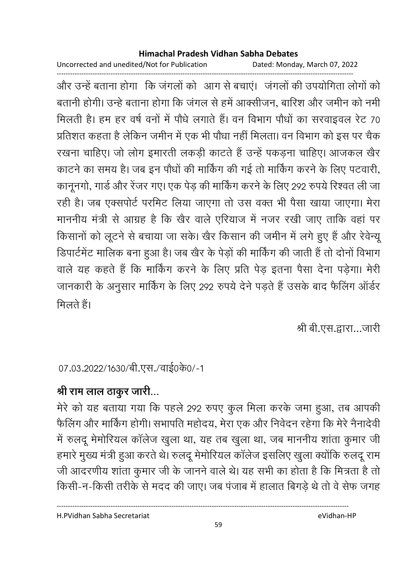Uncorrected and unedited/Not for Publication Dated: Monday, March 07, 2022

------------------------------------------------------------------------------------------------------------------------------------ और उन्हें बताना होगा |कि जगलों को |आग से बचाए। |जगलों की उपयोगिता लोगों को | बतानी होगी। उन्हें बताना होगा कि जगल से हमें आक्सीजन, बारिश और जमीन को नमी मिलती है। हम हर वर्ष वनों में पौंधे लगाते हैं। वन विभाग पौंधों का सरवाइवल रेंट 70 प्रतिशत कहता है लेकिन जमीन में एक भी पौधा नहीं मिलता। वन विभाग को इस पर चैक रखना चाहिए। जो लोग इमारती लकड़ी काटते हैं उन्हें पकड़ना चाहिए। आजकल खैर काटने का समय है। जब इन पौधों की मार्किंग की गई तो मार्किंग करने के लिए पटवारी, कानूनगो, गार्ड और रेजर गए। एक पेड़ की मार्किंग करने के लिए 292 रुपये रिश्वत ली जा रही है। जब एक्सपोर्ट परमिट लिया जाएगा तो उस वक्त भी पैसा खाया जाएगा। मेरा माननीय मंत्री से आग्रह है कि खैर वाले एरियाज में नजर रखी जाए ताकि वहां पर किसानों को लूटने से बचाया जा सके। खैर किसान की जमीन में लगे हुए हैं और रेवेन्यू डिपार्टमेंट मालिक बना हुआ है। जब खैर के पेड़ों की मार्किंग की जाती है तो दोनों विभाग वाले यह कहते हैं कि मार्किंग करने के लिए प्रति पेड़ इतना पैसा देना पड़ेगा। मेरी जानकारी के अनुसार मार्किंग के लिए 292 रुपये देने पड़ते हैं उसके बाद फैलिंग आर्डर मिलते हैं।

श्री बी.एस.द्वारा…जारी

07.03.2022/1630/बी.एस./वाई0के0/-1

## श्री राम लाल ठाकुर जारी...

मेरे को यह बताया गया कि पहले 292 रुपए कुल मिला करके जमा हुआ, तब आपकी फैलिंग और मार्किंग होगी। सभापति महोदय, मेरा एक और निवेदन रहेगा कि मेरे नैनादेवी में रुलंदू मेमोरियल कालेज खुला था, यह तब खुला था, जब माननीय शांता कुमार जी हमारे मुख्य मंत्री हुआ करते थे। रुलदू मेमोरियल कालेज इसलिए खुला क्योंकि रुलदू राम जी आदरणीय शांता कुमार जी के जानने वाले थे। यह सभी का होता है कि मित्रता है तो किसी-न-किसी तरीके से मदद की जाए। जब पंजाब में हालात बिगड़े थे तो वे सेफ जगह

H.PVidhan Sabha Secretariat eVidhan-HP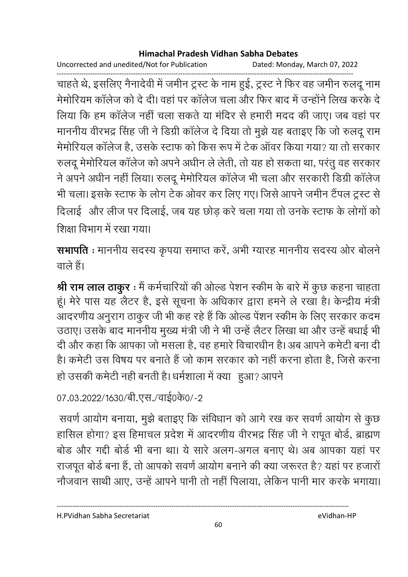Uncorrected and unedited/Not for Publication Dated: Monday, March 07, 2022

चाहते थे, इसलिए नैनादेवी में जमीन ट्रस्ट के नाम हुई, ट्रस्ट ने फिर वह जमीन रुलदू नाम मेमोरियम कॉलेज को दे दी। वहां पर कॉलेज चला और फिर बाद में उन्होंने लिख करके दे लिया कि हम कॉलेज नहीं चला सकते या मंदिर से हमारी मदद की जाए। जब वहां पर माननीय वीरभद्र सिंह जी ने डिग्री कॉलेज दे दिया तो मुझे यह बताइए कि जो रुलदू राम मेमोरियल कॉलेज है, उसके स्टाफ को किस रूप में टेक ऑवर किया गया? या तो सरकार रुलदू मेमोरियल कॉलेज को अपने अधीन ले लेती, तो यह हो सकता था, परंतू वह सरकार ने अपने अधीन नहीं लिया। रुलदू मेमोरियल कॉलेज भी चला और सरकारी डिग्री कॉलेज भी चला। इसके स्टाफ के लोग टेक ओवर कर लिए गए। जिसे आपने जमीन टैंपल ट्रस्ट से दिलाई और लीज पर दिलाई, जब यह छोड़ करे चला गया तो उनके स्टाफ के लोगों को शिक्षा विभाग में रखा गया।

सभापति : माननीय सदस्य कृपया समाप्त करें, अभी ग्यारह माननीय सदस्य ओर बोलने वाले हैं।

श्री राम लाल ठाकुर : मैं कर्मचारियों की ओल्ड पेशन स्कीम के बारे में कुछ कहना चाहता हूं। मेरे पास यह लैटर है, इसे सूचना के अधिकार द्वारा हमने ले रखा है। केन्द्रीय मंत्री आदरणीय अनुराग ठाकुर जी भी कह रहे हैं कि ओल्ड पेंशन स्कीम के लिए सरकार कदम उठाए। उसके बाद माननीय मुख्य मंत्री जी ने भी उन्हें लैटर लिखा था और उन्हें बधाई भी दी और कहा कि आपका जो मसला है, वह हमारे विचारधीन है। अब आपने कमेटी बना दी है। कमेटी उस विषय पर बनाते हैं जो काम सरकार को नहीं करना होता है, जिसे करना हो उसकी कमेटी नही बनती है। धर्मशाला में क्या हुआ? आपने

07.03.2022/1630/बी.एस./वाई0के0/-2

सवर्ण आयोग बनाया, मुझे बताइए कि संविधान को आगे रख कर सवर्ण आयोग से कुछ हासिल होगा? इस हिमाचल प्रदेश में आदरणीय वीरभद्र सिंह जी ने रापूत बोर्ड, ब्राह्मण बोड़ और गद्दी बोर्ड भी बना था। ये सारे अलग-अगल बनाए थे। अब आपका यहां पर राजपूत बोर्ड बना हैं, तो आपको सवर्ण आयोग बनाने की क्या जरूरत है? यहां पर हजारों नौजवान साथी आए, उन्हें आपने पानी तो नहीं पिलाया, लेकिन पानी मार करके भगाया।

H.PVidhan Sabha Secretariat

eVidhan-HP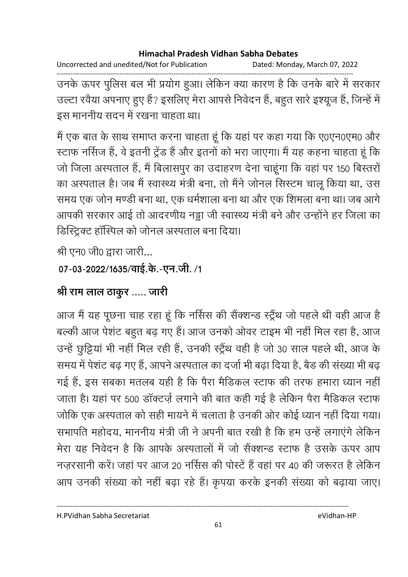Uncorrected and unedited/Not for Publication Dated: Monday, March 07, 2022

उनके ऊपर पुलिस बल भी प्रयोग हुआ। लेकिन क्या कारण है कि उनके बारे में सरकार उल्टा रवैया अपनाए हुए हैं? इसलिए मेरा आपसे निवेदन हैं, बहुत सारे इश्यूज हैं, जिन्हें में इस माननीय सदन में रखना चाहता था।

मैं एक बात के साथ समाप्त करना चाहता हूं कि यहां पर कहा गया कि ए0एन0एम0 और स्टाफ नर्सिज हैं, वे इतनी ट्रेंड हैं और इतनों को भरा जाएगा। मैं यह कहना चाहता हूं कि जो जिला अस्पताल हैं, मैं बिलासपुर का उदाहरण देना चाहूंगा कि वहां पर 150 बिस्तरों का अस्पताल है। जब मैं स्वास्थ्य मंत्री बना, तो मैंने जोनल सिस्टम चालू किया था, उस समय एक जोन मण्डी बना था, एक धर्मशाला बना था और एक शिमला बना था। जब आगे आपकी सरकार आई तो आदरणीय नड्डा जी स्वास्थ्य मंत्री बने और उन्होंने हर जिला का डिस्ट्रिक्ट हॉस्पिल को जोनल अस्पताल बना दिया।

श्री एन0 जी0 द्वारा जारी...

```
07-03-2022/1635/वाई.के.-एन.जी./1
```
## श्री राम लाल ठाकुर ..... जारी

आज मैं यह पूछना चाह रहा हूं कि नर्सिस की सैंक्शन्ड स्ट्रैंथ जो पहले थी वही आज है बल्की आज पेशंट बहुत बढ़ गए हैं। आज उनको ओवर टाइम भी नहीं मिल रहा है, आज उन्हें छुट्टियां भी नहीं मिल रही हैं, उनकी स्ट्रैंथ वही है जो 30 साल पहले थी, आज के समय में पेशंट बढ़ गए हैं, आपने अस्पताल का दर्जा भी बढ़ा दिया है, बैड की संख्या भी बढ़ गई हैं, इस सबका मतलब यही है कि पैरा मैडिकल स्टाफ की तरफ हमारा ध्यान नहीं जाता है। यहां पर 500 डॉक्टर्ज़ लगाने की बात कही गई है लेकिन पैरा मैडिकल स्टाफ जोकि एक अस्पताल को सही मायने में चलाता है उनकी ओर कोई ध्यान नहीं दिया गया। सभापति महोदय, माननीय मंत्री जी ने अपनी बात रखी है कि हम उन्हें लगाएंगे लेकिन मेरा यह निवेदन है कि आपके अस्पतालों में जो सैंक्शन्ड स्टाफ है उसके ऊपर आप नजरसानी करें। जहां पर आज 20 नर्सिस की पोस्टें हैं वहां पर 40 की जरूरत है लेकिन आप उनकी संख्या को नहीं बढ़ा रहे हैं। कृपया करके इनकी संख्या को बढ़ाया जाए।

H.PVidhan Sabha Secretariat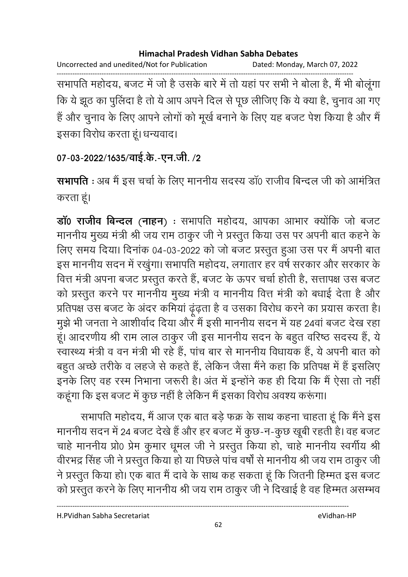Uncorrected and unedited/Not for Publication Dated: Monday, March 07, 2022 ------------------------------------------------------------------------------------------------------------------------------------ सभापति महोदय, बजट में जो है उसके बारे में तो यहां पर सभी ने बोला है, मैं भी बोलूगा कि ये झूठ का पुलिदा है तो ये आप अपने दिल से पूछ लीजिए कि ये क्या है, चुनाव आ गए है और चुनाव के लिए आपने लोगों को मूखे बनाने के लिए यह बजट पेश किया है और मैं।

इसका विरोध करता हूं। धन्यवाद।

## 07-03-2022/1635/वाई.के.-एन.जी. **/2**

**सभापति** : अब मैं इस चर्चा के लिए माननीय सदस्य डा0 राजीव बिन्दल जी को आमंत्रित करता हूं।

**डाॅ0 राजीव बिन्दल (नाहन)** : सभापति महोदय, आपका आभार क्योंकि जो बजट माननीय मुख्य मंत्री श्री जय राम ठाकुर जी ने प्रस्तुत किया उस पर अपनी बात कहने के लिए समय दिया। दिनाक 04-03-2022 को जो बजट प्रस्तुत हुआ उस पर मैं अपनी बात इस माननीय सदन में रखुगा। सभापति महोदय, लगातार हर वर्ष सरकार और सरकार के वित्त मंत्री अपना बजट प्रस्तुत करते हैं, बजट के ऊपर चर्चा होती है, सत्तापक्ष उस बजट को प्रस्तुत करने पर माननीय मुख्य मंत्री व माननीय वित्त मंत्री को बधाई देता है और प्रतिपक्ष उस बजट के अंदर कमिया ढूढ़ता है व उसका विरोध करने का प्रयास करता है। मुझे भी जनता ने आशीर्वाद दिया और मैं इसी माननीय सदन में यह 24वां बजट देख रहां | हूं। आंदरणीय श्री राम लाल ठाकुर जी इस माननीय सदन के बहुत वरिष्ठ सदस्य है, ये स्वास्थ्य मंत्री व वन मंत्री भी रहे हैं, पांच बार से माननीय विधायक है, ये अपनी बात को बहुत अच्छे तरीके व लहजे से कहते हैं, लेकिन जैसा मैंने कहा कि प्रतिपक्ष में है इसलिए इनके लिए वह रस्म निभाना जरूरी है। अंत में इन्होंने कह ही दिया कि मैं ऐसा तो नहीं कहूँगा कि इस बजट में कुछ नहीं है लेकिन मैं इसका विरोध अवश्य करूगा।

सभापति महोदय, मैं आज एक बात बड़े फक्र के साथ कहना चाहता हूं कि मैंने इस माननीय सदन में 24 बजट देखे हैं और हर बजट में कुछ-न-कुछ खूबी रहती है। वह बजट चाहे माननीय प्रो0 प्रेम कुमार धूमल जी ने प्रस्तुत किया हो, चाहे माननीय स्वर्गीय श्री वीरभद्र सिंह जी ने प्रस्तुत किया हो या पिछले पाच वर्षा से माननीय श्री जय राम ठाकुर जी ने प्रस्तुत किया हो। एक बात मैं दावें के साथ कह सकता हूं कि जितनी हिम्मत इस बजट को प्रस्तुत करने के लिए माननीय श्री जय राम ठाकुर जी ने दिखाई है वह हिम्मत असम्भव

H.PVidhan Sabha Secretariat eVidhan-HP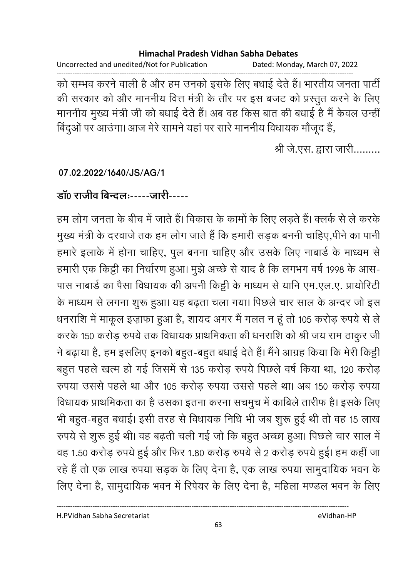Uncorrected and unedited/Not for Publication Dated: Monday, March 07, 2022

को सम्भव करने वाली है और हम उनको इसके लिए बधाई देते हैं। भारतीय जनता पार्टी की सरकार को और माननीय वित्त मंत्री के तौर पर इस बजट को प्रस्तुत करने के लिए माननीय मुख्य मंत्री जी को बधाई देते हैं। अब वह किस बात की बधाई है मैं केवल उन्हीं बिंदुओं पर आउंगा। आज मेरे सामने यहां पर सारे माननीय विधायक मौजूद हैं,

श्री जे.एस. द्वारा जारी.........

07.02.2022/1640/JS/AG/1

डॉ0 राजीव बिन्दलः-----जारी-----

हम लोग जनता के बीच में जाते हैं। विकास के कामों के लिए लड़ते हैं। क्लर्क से ले करके मुख्य मंत्री के दरवाजे तक हम लोग जाते हैं कि हमारी सड़क बननी चाहिए,पीने का पानी हमारे इलाके में होना चाहिए, पुल बनना चाहिए और उसके लिए नाबार्ड के माध्यम से हमारी एक किट्टी का निर्धारण हुआ। मुझे अच्छे से याद है कि लगभग वर्ष 1998 के आस-पास नाबार्ड का पैसा विधायक की अपनी किट्टी के माध्यम से यानि एम.एल.ए. प्रायोरिटी के माध्यम से लगना शुरू हुआ। यह बढ़ता चला गया। पिछले चार साल के अन्दर जो इस धनराशि में माकूल इज़ाफा हुआ है, शायद अगर मैं गलत न हूं तो 105 करोड़ रुपये से ले करके 150 करोड़ रुपये तक विधायक प्राथमिकता की धनराशि को श्री जय राम ठाकुर जी ने बढ़ाया है, हम इसलिए इनको बहुत-बहुत बधाई देते हैं। मैंने आग्रह किया कि मेरी किट्टी बहुत पहले खत्म हो गई जिसमें से 135 करोड़ रुपये पिछले वर्ष किया था, 120 करोड़ रुपया उससे पहले था और 105 करोड़ रुपया उससे पहले था। अब 150 करोड़ रुपया विधायक प्राथमिकता का है उसका इतना करना सचमुच में काबिले तारीफ है। इसके लिए भी बहुत-बहुत बधाई। इसी तरह से विधायक निधि भी जब शुरू हुई थी तो वह 15 लाख रुपये से शुरू हुई थी। वह बढ़ती चली गई जो कि बहुत अच्छा हुआ। पिछले चार साल में वह 1.50 करोड़ रुपये हुई और फिर 1.80 करोड़ रुपये से 2 करोड़ रुपये हुई। हम कहीं जा रहे हैं तो एक लाख रुपया सड़क के लिए देना है, एक लाख रुपया सामुदायिक भवन के लिए देना है, सामुदायिक भवन में रिपेयर के लिए देना है, महिला मण्डल भवन के लिए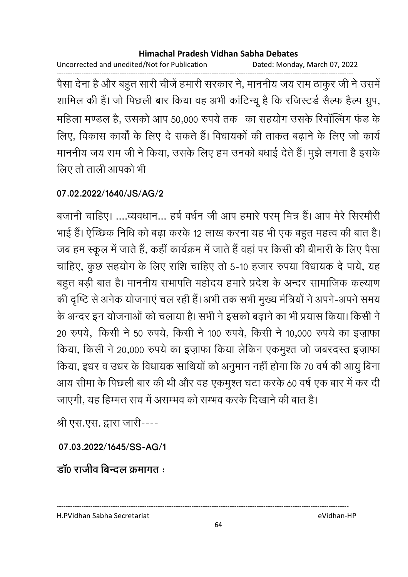Uncorrected and unedited/Not for Publication Dated: Monday, March 07, 2022

पैसा देना है और बहुत सारी चीजें हमारी सरकार ने, माननीय जय राम ठाकुर जी ने उसमें शामिल की हैं। जो पिछली बार किया वह अभी कांटिन्यू है कि रजिस्टर्ड सैल्फ हैल्प ग्रुप, महिला मण्डल है, उसको आप 50,000 रुपये तक) का सहयोग उसके रिवॉल्विंग फंड के लिए, विकास कार्यों के लिए दे सकते हैं। विधायकों की ताकत बढ़ाने के लिए जो कार्य माननीय जय राम जी ने किया, उसके लिए हम उनको बधाई देते हैं। मुझे लगता है इसके लिए तो ताली आपको भी

### 07.02.2022/1640/JS/AG/2

बजानी चाहिए। ....व्यवधान... हर्ष वर्धन जी आप हमारे परम् मित्र हैं। आप मेरे सिरमौरी भाई हैं। ऐच्छिक निधि को बढ़ा करके 12 लाख करना यह भी एक बहुत महत्व की बात है। जब हम स्कूल में जाते हैं, कहीं कार्यक्रम में जाते हैं वहां पर किसी की बीमारी के लिए पैसा चाहिए, कुछ सहयोग के लिए राशि चाहिए तो 5-10 हजार रुपया विधायक दे पाये, यह बहुत बड़ी बात है। माननीय सभापति महोदय हमारे प्रदेश के अन्दर सामाजिक कल्याण की दृष्टि से अनेक योजनाएं चल रही हैं। अभी तक सभी मुख्य मंत्रियों ने अपने-अपने समय के अन्दर इन योजनाओं को चलाया है। सभी ने इसको बढ़ाने का भी प्रयास किया। किसी ने 20 रुपये, किसी ने 50 रुपये, किसी ने 100 रुपये, किसी ने 10,000 रुपये का इज़ाफा किया, किसी ने 20,000 रुपये का इज़ाफा किया लेकिन एकमुश्त जो जबरदस्त इज़ाफा किया, इधर व उधर के विधायक साथियों को अनुमान नहीं होगा कि 70 वर्ष की आयु बिना आय सीमा के पिछली बार की थी और वह एकमुश्त घटा करके 60 वर्ष एक बार में कर दी जाएगी, यह हिम्मत सच में असम्भव को सम्भव करके दिखाने की बात है।

श्री एस.एस. द्वारा जारी----

07.03.2022/1645/SS-AG/1

डॉ0 राजीव बिन्टल क्रमागत :

H.PVidhan Sabha Secretariat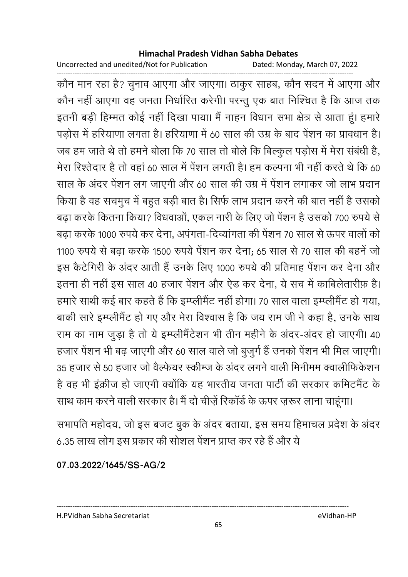Uncorrected and unedited/Not for Publication Dated: Monday, March 07, 2022

------------------------------------------------------------------------------------------------------------------------------------ कौन मान रहा है? चुनाव आएगा और जाएगा। ठाकुर साहब, कौन सदन में आएगा और कौन नहीं आएगा वह जनता निर्धारित करेगी। परन्तु एक बात निश्चित है कि आज तक इतनी बड़ी हिम्मत कोई नहीं दिखा पाया। मैं नाहन विधान सभा क्षेत्र से आता हूं। हमारे पड़ोस में हरियाणा लगता है। हरियाणा में 60 साल की उम्र के बाद पेशन का प्रावधान है। जब हम जाते थे तो हमने बोला कि 70 साल तो बोले कि बिल्कुल पड़ोस में मेरा सबधी है, मेरा रिश्तेदार है तो वहां 60 साल में पेशन लगती है। हम कल्पना भी नहीं करते थे कि 60  $\,$ साल के अंदर पेशन लग जाएगी और 60 साल की उम्र में पेशन लगाकर जो लाभ प्रदान किया है वह सचमुच में बहुत बड़ी बात है। सिर्फ लाभ प्रदान करने की बात नहीं है उसको बढ़ा करके कितना किया? विधवाओं, एकल नारी के लिए जो पेशन है उसको 700 रुपये से बढ़ा करके 1000 रुपये कर देना, अपगता-दिव्यागता की पेशन 70 साल से ऊपर वालों को 1100 रुपये से बढ़ा करके 1500 रुपये पेशन कर देना; 65 साल से 70 साल की बहने जो इस कैटेगिरी के अंदर आती है उनके लिए 1000 रुपये की प्रतिमाह पेशन कर देना और इतना ही नहीं इस साल 40 हजार पेशन और ऐंड कर देना, ये सच में कार्बिलेतारीफ़ हैं। हमारे साथी कई बार कहते हैं कि इम्प्लेमिट नहीं होगा। 70 साल वाला इम्प्लेमिट हो गया, बाकी सारे इम्प्लेमिट हो गए और मेरा विश्वास है कि जय राम जी ने कहा है, उनके साथ राम का नाम जुड़ा है तो ये इम्प्लेमिटेशन भी तीन महीने के अदर-अदर हो जाएगी। 40 हजार पेशन भी बढ़ जाएगी और 60 साल वाले जो बुजुर्ग है उनको पेशन भी मिल जाएगी। 35 हजार से 50 हजार जो वैल्फेयर स्कीम्ज के अंदर लगने वाली मिनीमम क्वालीफिकेशन है वह भी इंक्रीज हो जाएगी क्योंकि यह भारतीय जनता पार्टी की सरकार कमिटमैंट के साथ काम करने वाली सरकार है। मैं दो चीज़े रिकार्ड के ऊपर ज़रूर लाना चाहूगा।

सभापति महोदय, जो इस बजट बुक के अदर बताया, इस समय हिमाचल प्रदेश के अदर 6.35 लाख लोग इस प्रकार की सोशल पेशन प्राप्त कर रहे हैं और ये

**07.03.2022/1645/SS-AG/2**

---------------------------------------------------------------------------------------------------------------------------------- H.PVidhan Sabha Secretariat eVidhan-HP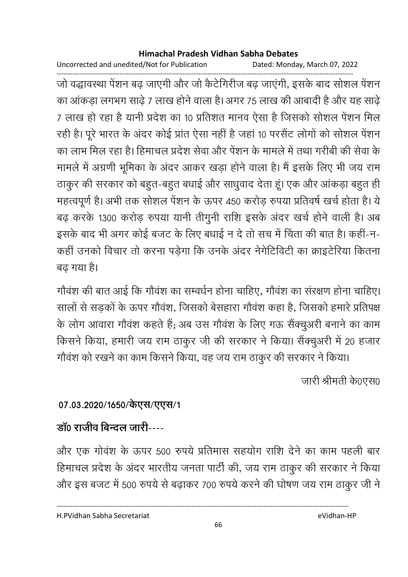Uncorrected and unedited/Not for Publication Dated: Monday, March 07, 2022

जो वद्धावस्था पेंशन बढ़ जाएगी और जो कैटेगिरीज बढ़ जाएंगी, इसके बाद सोशल पेंशन का आंकड़ा लगभग साढ़े 7 लाख होने वाला है। अगर 75 लाख की आबादी है और यह साढ़े 7 लाख हो रहा है यानी प्रदेश का 10 प्रतिशत मानव ऐसा है जिसको सोशल पेंशन मिल रही है। पूरे भारत के अंदर कोई प्रांत ऐसा नहीं है जहां 10 परसैंट लोगों को सोशल पेंशन का लाभ मिल रहा है। हिमाचल प्रदेश सेवा और पेंशन के मामले में तथा गरीबी की सेवा के मामले में अग्रणी भूमिका के अंदर आकर खड़ा होने वाला है। मैं इसके लिए भी जय राम ठाकुर की सरकार को बहुत-बहुत बधाई और साधुवाद देता हूं। एक और आंकड़ा बहुत ही महत्वपूर्ण है। अभी तक सोशल पेंशन के ऊपर 450 करोड़ रुपया प्रतिवर्ष खर्च होता है। ये बढ़ करके 1300 करोड़ रुपया यानी तीगुनी राशि इसके अंदर खर्च होने वाली है। अब इसके बाद भी अगर कोई बजट के लिए बधाई न दे तो सच में चिंता की बात है। कहीं-न-कहीं उनको विचार तो करना पड़ेगा कि उनके अंदर नेगेटिविटी का क्राइटेरिया कितना बढ गया है।

गौवंश की बात आई कि गौवंश का सम्वर्धन होना चाहिए, गौवंश का संरक्षण होना चाहिए। सालों से सड़कों के ऊपर गौवंश, जिसको बेसहारा गौवंश कहा है, जिसको हमारे प्रतिपक्ष के लोग आवारा गौवंश कहते हैं; अब उस गौवंश के लिए गऊ सैंक्चुअरी बनाने का काम किसने किया, हमारी जय राम ठाकुर जी की सरकार ने किया। सैंक्चुअरी में 20 हजार गौवंश को रखने का काम किसने किया, वह जय राम ठाकुर की सरकार ने किया।

जारी श्रीमती के0एस0

## 07.03.2020/1650/केएस/एएस/1

## डॉ० राजीव बिन्दल जारी----

और एक गोवंश के ऊपर 500 रुपये प्रतिमास सहयोग राशि देने का काम पहली बार हिमाचल प्रदेश के अंदर भारतीय जनता पार्टी की, जय राम ठाकुर की सरकार ने किया और इस बजट में 500 रुपये से बढ़ाकर 700 रुपये करने की घोषण जय राम ठाकुर जी ने

H.PVidhan Sabha Secretariat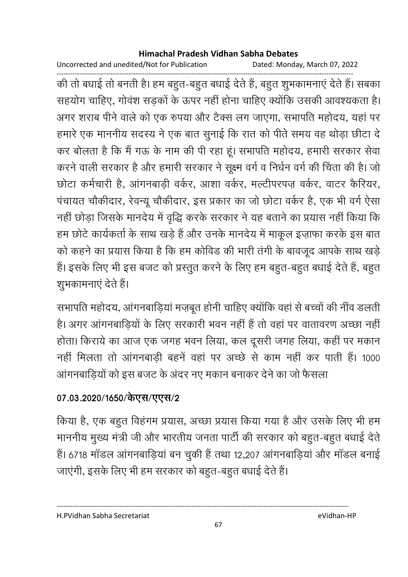Uncorrected and unedited/Not for Publication Dated: Monday, March 07, 2022

------------------------------------------------------------------------------------------------------------------------------------ की तो बंधाई तो बनती है। हम बहुत-बहुत बंधाई देते हैं, बहुत शुभकामनाएं देते हैं। संबका सहयोग चाहिए, गोवश सड़कों के ऊपर नहीं होना चाहिए क्योंकि उसकी आवश्यकता है। अगर शराब पीने वाले को एक रुपया और टैक्स लग जाएगा, सभापति महोदय, यहां पर हमारे एक माननीय सदस्य ने एक बात सुनाई कि रात को पीते समय वह थोड़ा छीटा दे कर बोलता है कि मैं गऊ के नाम की पी रहा हूं। सभापति महोदय, हमारी सरकार सेवा करने वाली सरकार है और हमारी सरकार ने सूक्ष्म वर्ग व निर्धन वर्ग की चिंता की है। जो छोटा कर्मचारी है, आगनबाड़ी वर्कर, आशा वर्कर, मल्टीपरपज़ वर्कर, वाटर कैरियर, पंचायत चौकीदार, रेवन्यू चौकीदार, इस प्रकार का जो छोटा वर्कर है, एक भी वर्ग ऐसा नहीं छोड़ा जिसके मानदेय में वृद्धि करके सरकार ने यह बताने का प्रयास नहीं किया कि हम छोटे कार्यकर्ता के साथ खड़े हैं और उनके मानदेय में माकूल इज़ाफा करके इस बात को कहने का प्रयास किया है कि हम कोविड की भारी तंगी के बावजूद आपके साथ खड़े है। इसके लिए भी इस बजट को प्रस्तुत करने के लिए हम बहुत-बहुत बधाई देते है, बहुत शुभकामनाएं देते हैं।

सभापति महोदय, आगनबाड़िया मज़बूत होनी चाहिए क्योंकि वहां से बच्चों की नींव डलती. हैं। अगर आगनबाड़ियों के लिए सरकारी भवन नहीं है तो वहां पर वातावरण अच्छा नहीं | होता। किराये का आज एक जगह भवन लिया, कल दूसरी जगह लिया, कहीं पर मकान नहीं मिलता तो आगनबाड़ी बहने वहां पर अच्छे से काम नहीं कर पाती हैं। 1000 आगनबाड़ियों को इस बजट के अंदर नए मकान बनाकर देने का जो फैसला

## 07.03.2020/1650/केएस/एएस/2

किया है, एक बहुत विहंगम प्रयास, अच्छा प्रयास किया गया है और उसके लिए भी हम माननीय मुख्य मंत्री जी और भारतीय जनता पार्टी की सरकार को बहुत-बहुत बधाई देते. हैं। 6718 मांडल आगनबाड़िया बन चुकी है तथा 12,207 आगनबाड़िया और मांडल बनाई जाएगी, इसके लिए भी हम सरकार को बहुत-बहुत बधाई देते हैं।

H.PVidhan Sabha Secretariat eVidhan-HP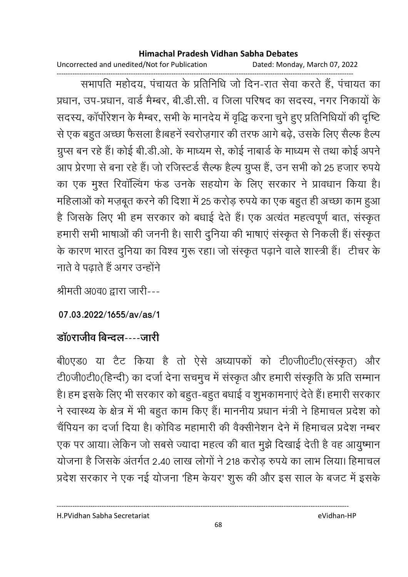Uncorrected and unedited/Not for Publication Dated: Monday, March 07, 2022

------------------------------------------------------------------------------------------------------------------------------------ सभापति महोदय, पंचायत के प्रतिनिधि जो दिन-रात सेवा करते हैं, पंचायत का प्रधान, उप-प्रधान, वार्ड मैम्बर, बी.डी.सी. व जिला परिषद का सदस्य, नगर निकार्या के सदस्य, कापरिशन के मैम्बर, सभी के मानदेय में वृद्धि करना चुने हुए प्रतिनिधियों की दृष्टि से एक बहुत अच्छा फैसला है।बहने स्वरोज़गार की तरफ आगे बढ़े, उसके लिए सैल्फ हैल्प ग्रुप्स बन रहे हैं। कोई बी.डी.ओ. के माध्यम से, कोई नाबार्ड के माध्यम से तथा कोई अपने आप प्रेरणा से बना रहे हैं। जो रजिस्टर्ड सैल्फ हैल्प ग्रुप्स है, उन सभी को 25 हजार रुपये का एक मुश्त रिवाल्विंग फंड उनके सहयोग के लिए सरकार ने प्रावधान किया है। महिलाओं को मज़बूत करने की दिशा में 25 करोड़ रुपये का एक बहुत ही अच्छा काम हुआ। है जिसके लिए भी हम सरकार को बधाई देते हैं। एक अत्यत महत्वपूर्ण बात, संस्कृत हमारी सभी भाषाओं की जननी है। सारी दुनिया की भाषाएं संस्कृत से निकली हैं। संस्कृत के कारण भारत दुनिया का विश्व गुरू रहा। जो संस्कृत पढ़ाने वाले शास्त्री है। टीचर के नाते वे पढाते हैं अगर उन्होंने

श्रीमती अ0व0 द्वारा जारी---

### **07.03.2022/1655/av/as/1**

## **डाॅ0राजीव बिन्दल----जारी**

बी0एड0 या टैट किया है तो ऐसे अध्यापको को टी0जी0टी0(संस्कृत) और टी0जी0टी0(हिन्दी) का दर्जा देना सचमुच में संस्कृत और हमारी संस्कृति के प्रति सम्मान हैं। हम इसके लिए भी सरकार को बहुत-बहुत बधाई व शुभकामनाएं देते हैं। हमारी सरकार ने स्वास्थ्य के क्षेत्र में भी बहुत काम किए हैं। माननीय प्रधान मंत्री ने हिमाचल प्रदेश को चैंपियन का दर्जा दिया है। कोविड महामारी की वैक्सनिशन देने में हिमाचल प्रदेश नम्बर एक पर आया। लेकिन जो सबसे ज्यादा महत्व की बात मुझे दिखाई देती है वह आयुष्मान योजना है जिसके अंतर्गत 2.40 लाख लोगों ने 218 करोड़ रुपये का लाभ लिया। हिमाचल प्रदेश सरकार ने एक नई योजना 'हिम केयर' शुरू की और इस साल के बजट में इसके

H.PVidhan Sabha Secretariat eVidhan-HP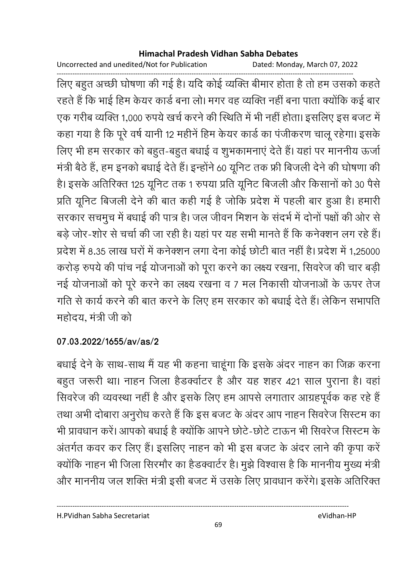Uncorrected and unedited/Not for Publication Dated: Monday, March 07, 2022

------------------------------------------------------------------------------------------------------------------------------------ लिए बहुत अच्छी घोषणा की गई है। यदि कोई व्यक्ति बीमार होता है तो हम उसको कहते। रहते हैं कि भाई हिम केयर कार्ड बना लो। मगर वह व्यक्ति नहीं बना पाता क्योंकि कई बार एक गरीब व्यक्ति 1,000 रुपये खर्च करने की स्थिति में भी नहीं होता। इसलिए इस बजट में कहा गया है कि पूरे वर्ष यानी 12 महीने हिम केयर कार्ड का पंजीकरण चालू रहेगा। इसके लिए भी हम सरकार को बहुत-बहुत बधाई व शुभकामनाएं देते हैं। यहां पर माननीय ऊर्जा मंत्री बैठे हैं, हम इनको बधाई देते हैं। इन्होंने 60 यूनिट तक फ्री बिजली देने की घोषणा की हैं। इसके अतिरिक्त 125 यूनिट तक 1 रुपया प्रति यूनिट बिजली और किसानों को 30 पैसे प्रति यूनिट बिजली देने की बात कहीं गई है जोकि प्रदेश में पहली बार हुआ है। हमारी सरकार संचमुच में बंधाई की पात्र है। जल जीवन मिशन के सदर्भ में दोनों पक्षों की ओर से बड़े जोर-शोर से चर्चा की जा रही है। यहां पर यह सभी मानते हैं कि कर्नक्शन लग रहे हैं। प्रदेश में 8.35 लाख घरों में कर्नक्शन लगा देना कोई छोटी बात नहीं हैं। प्रदेश में 1,25000 करोड़ रुपये की पाच नई योजनाओं को पूरा करने का लक्ष्य रखना, सिवरेज की चार बड़ी नई योजनाओं को पूरे करने का लक्ष्य रखना व 7 मल निकासी योजनाओं के ऊपर तेज गति से कार्य करने की बात करने के लिए हम सरकार को बधाई देते हैं। लेकिन सभापति महोदय, मंत्री जी को

## **07.03.2022/1655/av/as/2**

बंधाई देने के साथ-साथ में यह भी कहना चाहूंगा कि इसके अंदर नाहन का जिक्र करना बहुत जरूरी था। नाहन जिला हैंडक्वोटर है और यह शहर 421 साल पुराना है। वहां सिवरेज की व्यवस्था नहीं है और इसके लिए हम आपसे लगातार आग्रहपूर्वक कह रहे हैं । तथा अभी दोबारा अनुरोध करते हैं कि इस बजट के अंदर आप नाहन सिवरेज सिस्टम का भी प्रावधान करें। आपको बंधाई है क्योंकि आपने छोटे-छोटे टाऊन भी सिवरेज सिस्टम के अंतर्गत कवर कर लिए हैं। इसलिए नाहन को भी इस बजट के अंदर लाने की कृपा करें क्योंकि नाहन भी जिला सिरमौर का हैंडक्वार्टर है। मुझे विश्वास है कि माननीय मुख्य मंत्री और माननीय जल शक्ति मंत्री इसी बजट में उसके लिए प्रावधान करेंगे। इसके अतिरिक्त

H.PVidhan Sabha Secretariat eVidhan-HP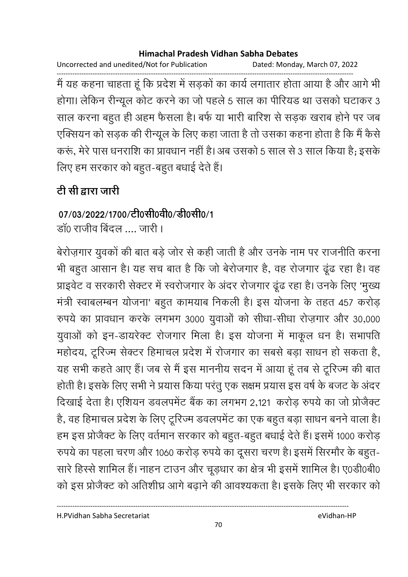Uncorrected and unedited/Not for Publication Dated: Monday, March 07, 2022

मैं यह कहना चाहता हूं कि प्रदेश में सड़कों का कार्य लगातार होता आया है और आगे भी होगा। लेकिन रीन्यूल कोट करने का जो पहले 5 साल का पीरियड था उसको घटाकर 3 साल करना बहुत ही अहम फैसला है। बर्फ या भारी बारिश से सड़क खराब होने पर जब एक्सियन को सड़क की रीन्यूल के लिए कहा जाता है तो उसका कहना होता है कि मैं कैसे करूं, मेरे पास धनराशि का प्रावधान नहीं है। अब उसको 5 साल से 3 साल किया है; इसके लिए हम सरकार को बहुत-बहुत बधाई देते हैं।

# टी सी द्वारा जारी

## 07/03/2022/1700/टी0सी0वी0/डी0सी0/1

डॉ0 राजीव बिंदल .... जारी।

बेरोज़गार युवकों की बात बड़े जोर से कही जाती है और उनके नाम पर राजनीति करना भी बहुत आसान है। यह सच बात है कि जो बेरोजगार है, वह रोजगार ढूंढ रहा है। वह प्राइवेट व सरकारी सेक्टर में स्वरोजगार के अंदर रोजगार ढूंढ रहा है। उनके लिए 'मुख्य मंत्री स्वाबलम्बन योजना' बहुत कामयाब निकली है। इस योजना के तहत 457 करोड़ रुपये का प्रावधान करके लगभग 3000 युवाओं को सीधा-सीधा रोज़गार और 30,000 युवाओं को इन-डायरेक्ट रोजगार मिला है। इस योजना में माकूल धन है। सभापति महोदय, टूरिज्म सेक्टर हिमाचल प्रदेश में रोजगार का सबसे बड़ा साधन हो सकता है, यह सभी कहते आए हैं। जब से मैं इस माननीय सदन में आया हूं तब से टूरिज्म की बात होती है। इसके लिए सभी ने प्रयास किया परंतु एक सक्षम प्रयास इस वर्ष के बजट के अंदर दिखाई देता है। एशियन डवलपमेंट बैंक का लगभग 2,121 करोड़ रुपये का जो प्रोजैक्ट है, वह हिमाचल प्रदेश के लिए टूरिज्म डवलपमेंट का एक बहुत बड़ा साधन बनने वाला है। हम इस प्रोजैक्ट के लिए वर्तमान सरकार को बहुत-बहुत बधाई देते हैं। इसमें 1000 करोड़ रुपये का पहला चरण और 1060 करोड़ रुपये का दूसरा चरण है। इसमें सिरमौर के बहुत-सारे हिस्से शामिल हैं। नाहन टाउन और चूड़धार का क्षेत्र भी इसमें शामिल है। ए0डी0बी0 को इस प्रोजैक्ट को अतिशीघ्र आगे बढ़ाने की आवश्यकता है। इसके लिए भी सरकार को

eVidhan-HP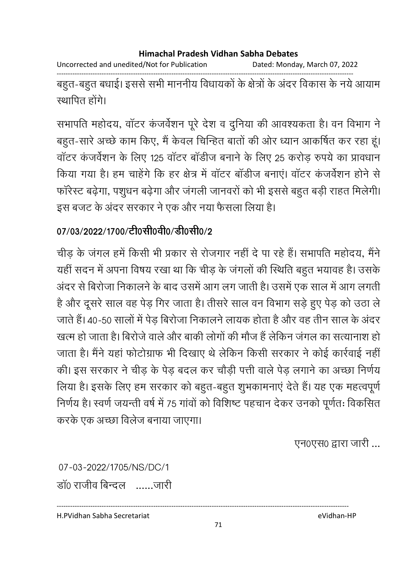Uncorrected and unedited/Not for Publication Dated: Monday, March 07, 2022

------------------------------------------------------------------------------------------------------------------------------------ बहुत-बहुत बधाई। इससे सभी माननीय विधायकों के क्षेत्रों के अंदर विकास के नये आयाम स्थापित होंगे।

सभापति महोदय, वाटर कजवेशन पूरे देश व दुर्निया की आवश्यकता है। वन विभाग ने बहुत-सारे अच्छे काम किए, मैं केवल चिन्हित बातों की ओर ध्यान आकर्षित कर रहा हूं। वाटर कजर्वेशन के लिए 125 वाटर बार्डीज बनाने के लिए 25 करोड़ रुपये का प्रावधान किया गया है। हम चाहेंगे कि हर क्षेत्र में वाटर बाडीज बनाए। वाटर कजर्वेशन होने से फारेस्ट बढ़ेगा, पशुधन बढ़ेगा और जगली जानवरों को भी इससे बहुत बड़ी राहत मिलेगी। इस बजट के अंदर सरकार ने एक और नया फैसला लिया है।

## 07/03/2022/1700/टी0सी0वी0/डी0सी0/2

चीड़ के जगल हमें किसी भी प्रकार से रोजगार नहीं दें पा रहे हैं। सभापति महोदय, मैंने यही सदन में अपना विषय रखा था कि चीड़ के जगलों की स्थिति बहुत भयावह है। उसके अंदर से बिरोजा निकालने के बाद उसमें आग लग जाती है। उसमें एक साल में आग लगती है और दूसरे साल वह पेड़ गिर जाता है। तीसरे साल वन विभाग सड़े हुए पेड़ को उठा ले जाते हैं। 40-50 सालों में पेड़ बिरोजा निकालने लायक होता है और वह तीन साल के अंदर खत्म हो जाता है। बिरोजे वाले और बाकी लोगों की मौज है लेकिन जगल का सत्यानाश हो। जाता है। मैंने यहां फोटोग्राफ भी दिखाएं थे लेकिन किसी सरकार ने कोई कार्रवाई नहीं। की। इस सरकार ने चीड़ के पेड़ बदल कर चौड़ी पत्ती वाले पेड़ लगाने का अच्छा निर्णय लिया है। इसके लिए हम सरकार को बहुत-बहुत शुभकामनाएं देते हैं। यह एक महत्वपूर्ण निर्णय है। स्वर्ण जयन्ती वर्ष में 75 गावों को विशिष्ट पहचान देकर उनको पूर्णतः विकसित करके एक अच्छा विलेज बनाया जाएगा।

एन0एस0 द्वारा जारी ...

07-03-2022/1705/NS/DC/1 डा0 राजीव बिन्दल ......जारी

H.PVidhan Sabha Secretariat eVidhan-HP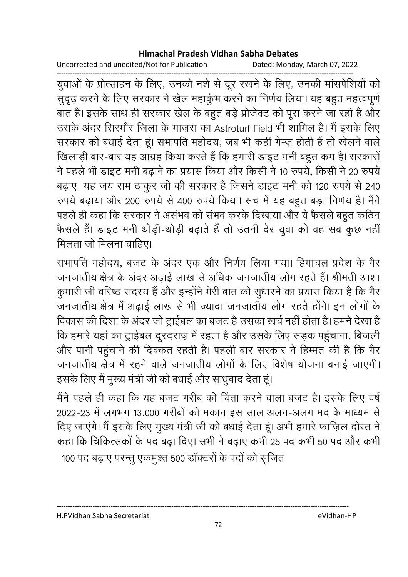Uncorrected and unedited/Not for Publication Dated: Monday, March 07, 2022

------------------------------------------------------------------------------------------------------------------------------------ युवाओं के प्रत्सिाहन के लिए, उनको नशे से दूर रखने के लिए, उनकी मासपेशियों को सुदृढ़ करने के लिए सरकार ने खेल महाकुभ करने का निर्णय लिया। यह बहुत महत्वपूर्ण बात है। इसके साथ ही सरकार खेल के बहुत बड़े प्रजिक्ट को पूरा करने जा रही है और उसके अदर सिरमोर जिला के माज़रा का Astroturf Field भी शामिल है। मैं इसके लिए सरकार को बंधाई देता हूं। सभापति महोदय, जब भी कहीं गेम्ज़ होती है तो खेलने वाले खिलाड़ी बार-बार यह आग्रह किया करते हैं कि हमारी डाइट मनी बहुत कम है। सरकारो ने पहले भी डाइट मनी बढ़ाने का प्रयास किया और किसी ने 10 रुपये, किसी ने 20 रुपये बढ़ाए। यह जय राम ठाकुर जी की सरकार है जिसने डाइट मनी को 120 रुपये से 240 रुपर्य बढ़ाया और 200 रुपर्य से 400 रुपर्य किया। सच में यह बहुत बड़ा निर्णय है। मैंने पहले ही कहा कि सरकार ने असभव को सभव करके दिखाया और ये फैसले बहुत कठिन फैसले हैं। डाइट मनी थोड़ी-थोड़ी बढ़ाते हैं तो उतनी देर युवा को वह सब कुछ नहीं मिलता जो मिलना चाहिए।

सभापति महोदय, बजट के अंदर एक और निर्णय लिया गया। हिमाचल प्रदेश के गैर जनजातीय क्षेत्र के अंदर अढ़ाई लाख से अधिक जनजातीय लोग रहते हैं। श्रीमती आशा कुमारी जी वरिष्ठ सदस्य है और इन्होंने मेरी बात को सुधारने का प्रयास किया है कि गैर जनजातीय क्षेत्र में अढ़ाई लाख से भी ज्यादा जनजातीय लोग रहते होंगे। इन लोगों के विकास की दिशा के अंदर जो ट्राईबल का बजट है उसका खर्च नहीं होता है। हमने देखा है कि हमारे यहाँ का ट्राईबल दूरदराज़ में रहता है और उसके लिए सड़क पहुंचाना, बिजली और पानी पहुंचाने की दिक्कत रहती है। पहली बार सरकार ने हिम्मत की है कि गैर जनजातीय क्षेत्र में रहने वाले जनजातीय लोगों के लिए विशेष योजना बनाई जाएगी। इसके लिए मैं मुख्य मंत्री जी को बंधाई और साधुवाद देता हूं।

मैंने पहले ही कहा कि यह बजट गरीब की चिंता करने वाला बजट है। इसके लिए वर्ष 2022-23 में लगभग 13,000 गरीबों को मकान इस साल अलग-अलग मद के माध्यम से दिए जाएंगे। मैं इसके लिए मुख्य मंत्री जी को बधाई देता हूं। अभी हमारे फाज़िल दोस्त ने कहा कि चिकित्सकों के पद बढ़ा दिए। सभी ने बढ़ाए कभी 25 पद कभी 50 पद और कभी

100 पद बढ़ाए परन्तु एकमुश्त 500 डाक्टरों के पदों को सृजित

H.PVidhan Sabha Secretariat eVidhan-HP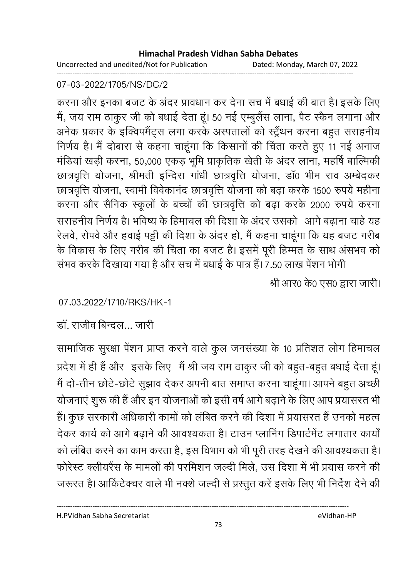Uncorrected and unedited/Not for Publication Dated: Monday, March 07, 2022 ------------------------------------------------------------------------------------------------------------------------------------

### 07-03-2022/1705/NS/DC/2

करना और इनका बजट के अंदर प्रावधान कर देना संच में बंधाई की बात है। इसके लिए में, जय राम ठाकुर जी को बधाई देता हूं। 50 नई एम्बुलैस लाना, पैट स्कैन लगाना और अनेक प्रकार के इक्विपमैट्स लगा करके अस्पतालों को स्ट्रेंथन करना बहुत सराहनीय निर्णय है। मैं दोबारा से कहना चाहूँगा कि किसानों की चिंता करते हुए 11 नई अनाज मर्डिया खड़ी करना, 50,000 एकड़ भूमि प्राकृतिक खेती के अंदर लाना, महर्षि बाल्मिकी छात्रवृत्तिं योजना, श्रीमती इन्दिरा गांधी छात्रवृत्तिं योजना, डा0 भीम राव अम्बेदकर छात्रवृत्ति योजना, स्वामी विवेकानंद छात्रवृत्ति योजना को बढ़ा करके 1500 रुपये महीना | करना और सैनिक स्कूलों के बच्चों की छात्रवृत्ति को बढ़ा करके 2000 रुपये करना सराहनीय निर्णय है। भविष्य के हिमाचल की दिशा के अंदर उसको आगे बढ़ाना चाहे यह रेलवे, रोपर्व और हवाई पट्टी की दिशा के अंदर हो, मैं कहना चाहूँगा कि यह बजट गरीब के विकास के लिए गरीब की चिंता का बजट है। इसमें पूरी हिम्मत के साथ असभव को सभव करके दिखाया गया है और सच में बंधाई के पात्र हैं। 7.50 लाख पेशन भोगी

श्री आर0 के0 एस0 द्वारा जारी।

07.03.2022/1710/RKS/HK-1

डा. राजीव बिन्दल… जारी

सामाजिक सुरक्षा पेशन प्राप्त करने वाले कुल जनसंख्या के 10 प्रतिशत लोग हिमाचल प्रदेश में ही है और "इसके लिए" मैं श्री जय राम ठाकुर जी को बहुत-बहुत बंधाई देता हूं। मैं दो-तीन छोटे-छोटे सुझाव देकर अपनी बात समाप्त करना चाहूगा। आपने बहुत अच्छी योजनाए शुरू की है और इन योजनाओं को इसी वर्ष आगे बढ़ाने के लिए आप प्रयासरत भी है। कुछ सरकारी अधिकारी कामों को लंबित करने की दिशा में प्रयासरत हैं उनको महत्व देकर कार्य को आगे बढ़ाने की आवश्यकता है। टाउन प्लानिंग डिपार्टमेंट लगातार कार्यो को लंबित करने का काम करता है, इस विभाग को भी पूरी तरह देखने की आवश्यकता है। फरिस्ट क्लीयरैस के मामलों की परमिशन जल्दी मिले, उस दिशा में भी प्रयास करने की जरूरत है। आकिटेक्चर वाले भी नक्शे जल्दी से प्रस्तुत करे इसके लिए भी निर्देश देने की

H.PVidhan Sabha Secretariat eVidhan-HP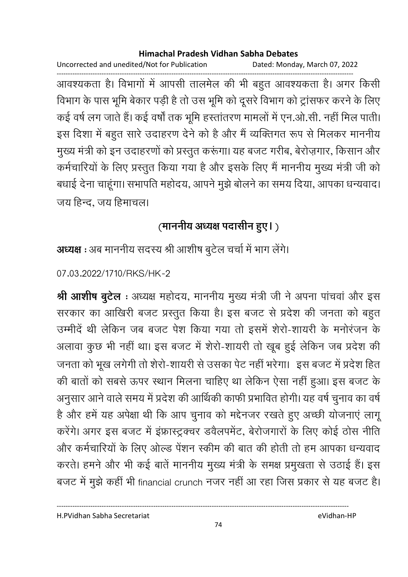Uncorrected and unedited/Not for Publication Dated: Monday, March 07, 2022

------------------------------------------------------------------------------------------------------------------------------------ आवश्यकता है। विभागों में आपसी तालमेल की भी बहुत आवश्यकता है। अगर किसी विभाग के पास भूमि बेकार पड़ी है तो उस भूमि को दूसरे विभाग को ट्रासफर करने के लिए कई वर्ष लग जाते हैं। कई वर्षा तक भूमि हस्तातरण मामलों में एन.ओ.सी. नहीं मिल पाती। इस दिशा में बहुत सारे उदाहरण देने को है और मैं व्यक्तिगत रूप से मिलकर माननीय मुख्य मंत्री को इन उदाहरणों को प्रस्तुत करूंगा। यह बजट गरीब, बेरोज़गार, किसान और कर्मचारियों के लिए प्रस्तुत किया गया है और इसके लिए मैं माननीय मुख्य मंत्री जी को बधाई देना चाहूँगा। सभापति महोदय, आपने मुझे बोलने का समय दिया, आपका धन्यवाद। जय हिन्द, जय हिमाचल।

# (माननीय अध्यक्ष पदासीन हुए।)

**अध्यक्ष** : अब माननीय सदस्य श्री आशीष बुटेल चर्चा में भाग लेंगे।

07.03.2022/1710/RKS/HK-2

**श्री आशीष बुटेल** : अध्यक्ष महोदय, माननीय मुख्य मंत्री जी ने अपना पाचवा और इस सरकार का आखिरी बजट प्रस्तुत किया है। इस बजट से प्रदेश की जनता को बहुत उम्मीदे थी लेकिन जब बजट पेश किया गया तो इसमें शेरो-शायरी के मनोरंजन के अलावा कुछ भी नहीं था। इस बजट में शैरी-शायरी तो खूब हुई लेकिन जब प्रदेश की जनता को भूख लगेगी तो शेरी-शायरी से उसका पेट नहीं भरेगा। इस बजट में प्रदेश हित की बातों को सबसे ऊपर स्थान मिलना चाहिए था लेकिन ऐसा नहीं हुआ। इस बजट के अनुसार आने वाले समय में प्रदेश की आर्थिकी काफी प्रभावित होगी। यह वर्ष चुनाव का वर्ष है और हमें यह अपेक्षा थी कि आप चुनाव को मद्देनजर रखते हुए अच्छी योजनाए लागू करेंगे। अगर इस बजट में इफ्रास्ट्रक्चर डवैलपमेंट, बेरोजगारों के लिए कोई ठोस नीति और कर्मचारियों के लिए ओल्ड पेशन स्कीम की बात की होती तो हम आपका धन्यवाद करते। हमने और भी कई बातें माननीय मुख्य मंत्री के समक्ष प्रमुखता से उठाई है। इस बजट में मुझे कहीं भी financial crunch नजर नहीं आ रहा जिस प्रकार से यह बजट हैं।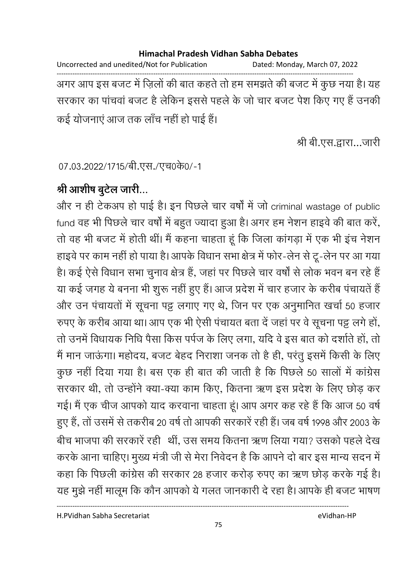Uncorrected and unedited/Not for Publication Dated: Monday, March 07, 2022 ------------------------------------------------------------------------------------------------------------------------------------ अगर आप इस बजट में ज़िलों की बात कहते तो हम समझते की बजट में कुछ नया है। यह सरकार का पाचवा बजट है लेकिन इससे पहले के जो चार बजट पेश किए गए हैं उनकी कई योजनाएं आज तक लाँच नहीं हो पाई हैं।

श्री बी.एस.द्वारा…जारी

07.03.2022/1715/बी.एस./एच0के0/-1

## श्री आशीष बुटेल जारी…

और न ही टेकअप हो पाई है। इन पिछले चार वर्षों में जो criminal wastage of public fund वह भी पिछले चार वर्षों में बहुत ज्यादा हुआ है। अगर हम नेशन हाइवें की बात करे, तों वह भी बजट में होती थी। मैं कहना चाहता हूं कि जिला कांगड़ा में एक भी इच नेशन हाइवें पर काम नहीं हो पाया है। आपके विधान सभा क्षेत्र में फोर-लेन से टू-लेन पर आ गया है। कई ऐसे विधान सभा चुनाव क्षेत्र है, जहां पर पिछले चार वर्षों से लोक भवन बन रहे हैं | या कई जगह ये बनना भी शुरू नहीं हुए हैं। आज प्रदेश में चार हजार के करीब पचायते हैं और उन पंचायतों में सूचना पट्ट लगाए गए थे, जिन पर एक अनुमानित खर्चा 50 हजार रुपए के करीब आया था। आप एक भी ऐसी पंचायत बता दे जहां पर वे सूचना पट्ट लगे हो, तो उनमें विधायक निधि पैसा किस पर्पज के लिए लगा, यदि वे इस बात को दशोते हो, तो में मान जाऊंगा। महोदय, बजट बेहद निराशा जनक तो है ही, परंतु इसमें किसी के लिए कुछ नहीं दिया गया है। बस एक ही बात की जाती है कि पिछले 50 सालों में कांग्रेस सरकार थी, तो उन्होंने क्या-क्या काम किए, कितना ऋण इस प्रदेश के लिए छोड़ कर गई। मैं एक चीज आपको याद करवाना चाहता हूं। आप अगर कह रहे हैं कि आज 50 वर्ष हुए हैं, तो उसमें से तकरीब 20 वर्ष तो आपकी सरकारें रही हैं। जब वर्ष 1998 और 2003 के बीच भाजपा की सरकारे रही | थी, उस समय कितना ऋण लिया गया? उसको पहले देख करके आना चाहिए। मुख्य मंत्री जी से मेरा निवेदन है कि आपने दो बार इस मान्य सदन में कहा कि पिछली कांग्रेस की सरकार 28 हजार करोड़ रुपए का ऋण छोड़ करके गई है। यह मुझे नहीं मालूम कि कौन आपको ये गलत जानकारी दे रहा है। आपके ही बजट भाषण

H.PVidhan Sabha Secretariat eVidhan-HP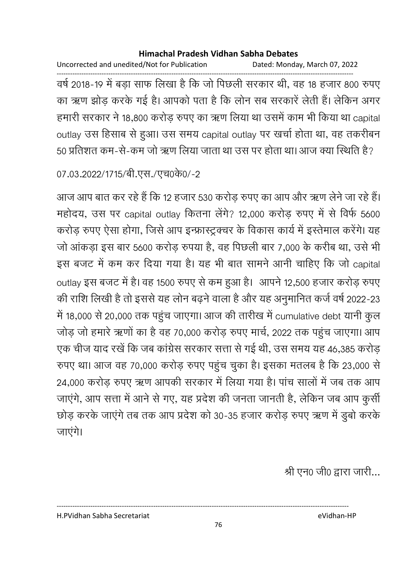Uncorrected and unedited/Not for Publication Dated: Monday, March 07, 2022

------------------------------------------------------------------------------------------------------------------------------------ वर्ष 2018-19 में बड़ा साफ लिखा है कि जो पिछली सरकार थी, वह 18 हजार 800 रुपए का ऋण झोड़ करके गई है। आपको पता है कि लोन सब सरकारे लेती है। लेकिन अगर हमारी सरकार ने 18,800 करोड़ रुपए का ऋण लिया था उसमें काम भी किया था capital outlay उस हिसाब से हुआ। उस समय capital outlay पर खर्चा होता था, वह तकरीबन 50 प्रतिशत कम-से-कम जो ऋण लिया जाता था उस पर होता था। आज क्या स्थिति है?

## 07.03.2022/1715/बी.एस./एच0के0/-2

आज आप बात कर रहे हैं कि 12 हजार 530 करोड़ रुपए का आप और ऋण लेने जा रहे हैं। महोदय, उस पर capital outlay कितना लेंगे? 12,000 करोड़ रुपए में से विर्फ 5600 करोड़ रुपए ऐसा होगा, जिसे आप इन्फ्रास्ट्रक्चर के विकास कार्य में इस्तेमाल करेंगे। यह जो आकड़ा इस बार 5600 करोड़ रुपया है, वह पिछली बार 7,000 के करीब था, उसे भी इस बजट में कम कर दिया गया है। यह भी बात सामने आनी चाहिए कि जो capital outlay इस बजट में है। वह 1500 रुपए से कम हुआ है। आपने 12,500 हजार करोड़ रुपए की राशि लिखी है तो इससे यह लोन बढ़ने वाला है और यह अनुमानित कर्ज वर्ष 2022-23 | में 18,000 से 20,000 तक पहुंच जाएगा। आज की तारीख में cumulative debt यानी कुल जोड़ जो हमारे ऋणों का है वह 70,000 करोड़ रुपए मार्च, 2022 तक पहुंच जाएगा। आप एक चीज याद रखे कि जब कांग्रेस सरकार सत्ता से गई थी, उस समय यह 46,385 करोड़ रुपए था। आज वह 70,000 करोड़ रुपए पहुंच चुका है। इसका मतलब है कि 23,000 से 24,000 करोड़ रुपए ऋण आपकी सरकार में लिया गया है। पांच सालों में जब तक आप जाएंगे, आप सत्ता में आने से गए, यह प्रदेश की जनता जानती है, लेकिन जब आप कुसी छोड़ करके जाएंगे तब तक आप प्रदेश को 30-35 हजार करोड़ रुपए ऋण में डूबो करके जाएंगे।

श्री एन0 जी0 द्वारा जारी...

H.PVidhan Sabha Secretariat eVidhan-HP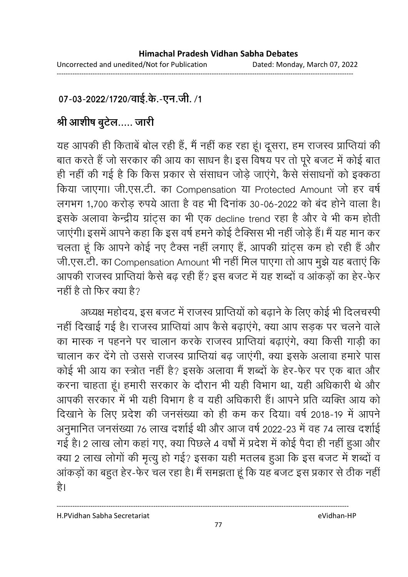## 07-03-2022/1720/वाई.के.-एन.जी. /1

# श्री आशीष बुटेल….. जारी

यह आपकी ही किताबे बोल रही है, मैं नहीं कह रहा हूं। दूसरा, हम राजस्व प्राप्तिया की बात करते हैं जो सरकार की आय का साधन है। इस विषय पर तो पूरे बजट में कोई बात ही नहीं की गई है कि किस प्रकार से संसाधन जोड़े जाएंगे, कैसे संसाधनों को इक्कठा किया जाएगा। जी.एस.टी. का Compensation या Protected Amount जो हर वर्ष लगभग 1,700 करोड़ रुपये आता है वह भी दिनाक 30-06-2022 को बंद होने वाला है। इसके अलावा केन्द्रीय ग्राट्स का भी एक decline trend रहा है और वे भी कम होती जाएगी। इसमें आपने कहा कि इस वर्ष हमने कोई टैक्सिस भी नहीं जोड़े हैं। मैं यह मान कर चलता हूँ कि आपने कोई नए टैक्स नहीं लगाएं हैं, आपकी ग्राट्स कम हो रही है और जी.एस.टी. का Compensation Amount भी नहीं मिल पाएगा तो आप मुझे यह बताए कि आपकी राजस्व प्राप्तिया कैसे बढ़ रही है? इस बजट में यह शब्दों व आकड़ों का हैर-फेर नहीं है तो फिर क्या है?

अध्यक्ष महोदय, इस बजट में राजस्व प्राप्तियों को बढ़ाने के लिए कोई भी दिलचस्पी नहीं दिखाई गई है। राजस्व प्राप्तिया आप कैसे बढ़ाएंगे, क्या आप सड़क पर चलने वाले का मास्क न पहनने पर चालान करके राजस्व प्राप्तिया बढ़ाएंगे, क्या किसी गाड़ी का चालान कर देंगे तो उससे राजस्व प्राप्तिया बढ़ जाएंगी, क्या इसके अलावा हमारे पास कोई भी आय का स्त्रोत नहीं है? इसके अलावा मैं शब्दों के हेर-फेर पर एक बात और करना चाहता हूं। हमारी सरकार के दौरान भी यही विभाग था, यही अधिकारी थे और आपकी सरकार में भी यही विभाग है व यही अधिकारी है। आपने प्रति व्यक्ति आय को दिखाने के लिए प्रदेश की जनसंख्या को ही कम कर दिया। वर्ष 2018-19 में आपने अनुमानित जनसंख्या 76 लाख दशोई थी और आज वर्ष 2022-23 में वह 74 लाख दशोई गई है। 2 लाख लोग कहा गए, क्या पिछले 4 वर्षों में प्रदेश में कोई पैदा ही नहीं हुआ और क्या 2 लाख लोगों की मृत्यु हो गई? इसका यही मतलब हुआ कि इस बजट में शब्दों व आकड़ों का बहुत हेर-फेर चल रहा है। मैं समझता हूं कि यह बजट इस प्रकार से ठीक नहीं। है।

H.PVidhan Sabha Secretariat eVidhan-HP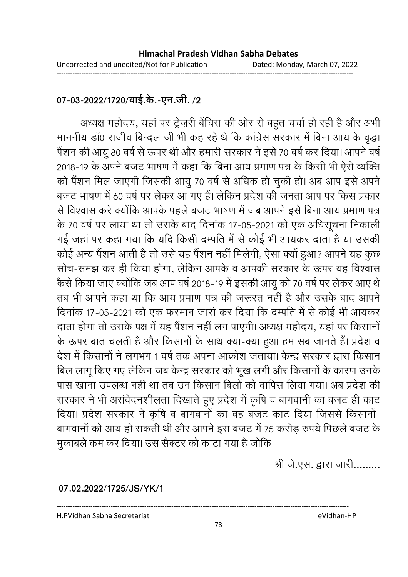### 07-03-2022/1720/वाई.के.-एन.जी. /2

अध्यक्ष महोदय, यहां पर ट्रेज़री बेचिस की ओर से बहुत चर्चा हो रही है और अभी माननीय डा0 राजीव बिन्दल जी भी कह रहे थे कि कांग्रेस सरकार में बिना आय के वृद्धा पैशन की आयु 80 वर्ष से ऊपर थी और हमारी सरकार ने इसे 70 वर्ष कर दिया। आपने वर्षे 2018-19 के अपने बजट भाषण में कहा कि बिना आय प्रमाण पत्र के किसी भी ऐसे व्यक्ति को पैशन मिल जाएगी जिसकी आयु 70 वर्ष से अधिक हो चुकी हो। अब आप इसे अपने बजट भाषण में 60 वर्ष पर लेकर आ गए हैं। लेकिन प्रदेश की जनता आप पर किस प्रकार से विश्वास करें क्योंकि आपके पहले बजट भाषण में जब आपने इसे बिना आय प्रमाण पत्र के 70 वर्ष पर लाया था तो उसके बाद दिनाक 17-05-2021 को एक अधिसूचना निकाली गई जहां पर कहा गया कि यदि किसी दम्पति में से कोई भी आयंकर दाता है या उसकी कोई अन्य पैशन आती है तो उसे यह पैशन नहीं मिलेगी, ऐसा क्यों हुआ? आपने यह कुछ सोच-समझ कर ही किया होगा, लेकिन आपर्क व आपकी सरकार के ऊपर यह विश्वास कैसे किया जाए क्योंकि जब आप वर्ष 2018-19 में इसकी आयु को 70 वर्ष पर लेकर आए थे। तब भी आपने कहा था कि आय प्रमाण पत्र की जरूरत नहीं है और उसके बाद आपने दिनाक 17-05-2021 को एक फरमान जारी कर दिया कि दम्पति में से कोई भी आयंकर दाता होगा तो उसके पक्ष में यह पैशन नहीं लग पाएगी। अध्यक्ष महोदय, यहां पर किसानों | के ऊपर बात चलती है और किसानों के साथ क्या-क्या हुआ हम सब जानते हैं। प्रदेश व देश में किसानों ने लगभग 1 वर्ष तक अपना आक्रोश जताया। केन्द्र सरकार द्वारा किसान बिल लागू किए गए लेकिन जब केन्द्र सरकार को भूख लगी और किसानों के कारण उनके पास खाना उपलब्ध नहीं था तब उन किसान बिलों को वार्पिस लिया गया। अब प्रदेश की सरकार ने भी असर्वेदनशीलता दिखाते हुए प्रदेश में कृषि व बागवानी का बजट ही काट दिया। प्रदेश सरकार ने कृषि व बागवानों का वह बजट काट दिया जिससे किसानों-बागवानों को आय हो सकती थी और आपने इस बजट में 75 करोड़ रुपये पिछले बजट के मुकाबले कम कर दिया। उस सैक्टर को काटा गया है जोकि

श्री जे.एस. द्वारा जारी.........

**07.02.2022/1725/JS/YK/1**

H.PVidhan Sabha Secretariat eVidhan-HP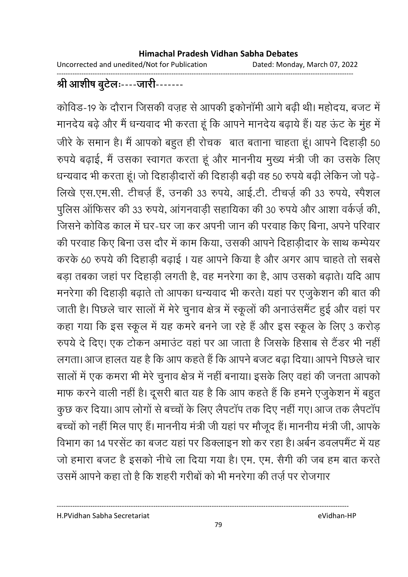Uncorrected and unedited/Not for Publication Dated: Monday, March 07, 2022

#### ------------------------------------------------------------------------------------------------------------------------------------ श्री आशीष बुटेलः----जारी-------

कोविड-19 के दौरान जिसकी वज़ह से आपकी इकोनामी आगे बढ़ी थी। महोदय, बजट में मानदेय बढ़े और मैं धन्यवाद भी करता हूं कि आपने मानदेय बढ़ायें हैं। यह ऊंट के मुंह में जीरे के समान है। मैं आपको बहुत ही रोचक बात बताना चाहता हूं। आपने दिहाड़ी 50 रुपर्य बढ़ाई, मैं उसका स्वागत करता हूं और माननीय मुख्य मंत्री जी का उसके लिए धन्यवाद भी करता हूं। जो दिहाड़ीदारों की दिहाड़ी बढ़ी वह 50 रुपये बढ़ी लेकिन जो पढ़ें-लिखे एस.एम.सी. टीचर्ज़ है, उनकी 33 रुपर्य, आई.टी. टीचर्ज़ की 33 रुपर्य, स्पैशल पुलिस आफिसर की 33 रुपये, आगनवाड़ी सहायिका की 30 रुपये और आशा वर्कज़े की, जिसने कोविंड काल में घर-घर जा कर अपनी जान की परवाह किए बिना, अपने परिवार की परवाह किए बिना उस दौर में काम किया, उसकी आपने दिहाड़ीदार के साथ कम्पेयर करके 60 रुपये की दिहाड़ी बढ़ाई । यह आपने किया है और अगर आप चाहते तो सबसे बड़ा तबका जहां पर दिहाड़ी लगती है, वह मनरेगा का है, आप उसको बढ़ाते। यदि आप मनरेगा की दिहाड़ी बढ़ाते तो आपका धन्यवाद भी करते। यहां पर एजुर्कशन की बात की जाती है। पिछले चार सालों में मेरे चुनाव क्षेत्र में स्कूलों की अनाउसमैट हुई और वहां पर कहा गया कि इस स्कूल में यह कमरे बनने जा रहे हैं और इस स्कूल के लिए 3 करोड़ रुपर्य दे दिए। एक टोकन अमाउंट वहां पर आ जाता है जिसके हिसाब से टैंडर भी नहीं लगता। आज हालत यह है कि आप कहते हैं कि आपने बजट बढ़ा दिया। आपने पिछले चार सालों में एक कमरा भी मेरे चुनाव क्षेत्र में नहीं बनाया। इसके लिए वहां की जनता आपको माफ करने वाली नहीं है। दूसरी बात यह है कि आप कहते हैं कि हमने एजुकेशन में बहुत कुछ कर दिया। आप लोगों से बच्चों के लिए लैपटाप तक दिए नहीं गए। आज तक लैपटाप बच्चों को नहीं मिल पाए हैं। माननीय मंत्री जी यहां पर मौजूद हैं। माननीय मंत्री जी, आपके विभाग का 14 परसेंट का बजट यहां पर डिक्लाइन शो कर रहा है। अबेन डवलपमैंट में यह जो हमारा बजट है इसको नीचे ला दिया गया है। एम. एम. सैगी की जब हम बात करते उसमें आपने कहा तो है कि शहरी गरीबों को भी मनरेगा की तर्ज़ पर रोजगार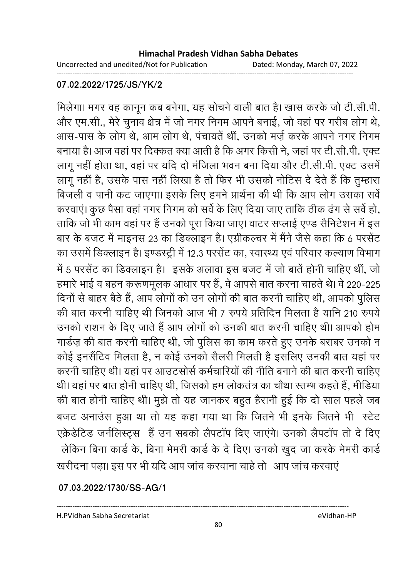Uncorrected and unedited/Not for Publication Dated: Monday, March 07, 2022

------------------------------------------------------------------------------------------------------------------------------------

#### **07.02.2022/1725/JS/YK/2**

मिलेगा। मगर वह कानून कब बनेगा, यह सोचने वाली बात है। खास करके जो टी.सी.पी. और एम.सी., मेरे चुनाव क्षेत्र में जो नगर निगम आपने बनाई, जो वहां पर गरीब लोग थे, आस-पास के लोग थे, आम लोग थे, पंचायते थी, उनको मर्ज़ करके आपने नगर निगम बनाया है। आज वहां पर दिक्कत क्या आती है कि अगर किसी ने, जहां पर टी.सी.पी. एक्ट लागू नहीं होता था, वहां पर यदि दो मंजिला भवन बना दिया और टी.सी.पी. एक्ट उसमें लागू नहीं है, उसके पास नहीं लिखा है तो फिर भी उसको नोटिस दे देते हैं कि तुम्हारा बिजली व पानी कट जाएगा। इसके लिए हमने प्रार्थना की थी कि आप लोग उसका सर्वे करवाए। कुछ पैसा वहां नगर निगम को सर्व के लिए दिया जाए ताकि ठीक ढंग से सर्व हो, ताकि जो भी काम वहां पर है उनको पूरा किया जाए। वाटर सप्लाई एण्ड सैनिटेशन में इस बार के बजट में माइनस 23 का डिक्लाइन है। एंग्रीकल्चर में मैंने जैसे कहा कि 6 परसेंट का उसमें डिक्लाइन है। इण्डस्ट्री में 12.3 परसेट का, स्वास्थ्य एवं परिवार कल्याण विभाग में 5 परसेंट का डिक्लाइन है। इसके अलावा इस बजट में जो बाते होनी चाहिए थी, जो हमारे भाई व बहन करूणमूलक आधार पर हैं, वे आपसे बात करना चाहते थे। वे 220-225 दिनों से बाहर बैठे हैं, आप लोगों को उन लोगों की बात करनी चाहिए थी, आपको पुलिस की बात करनी चाहिए थी जिनको आज भी 7 रुपये प्रतिदिन मिलता है यानि 210 रुपये उनको राशन के दिए जाते हैं आप लोगों को उनकी बात करनी चाहिए थी। आपको होम गार्डज़ की बात करनी चाहिए थी, जो पुलिस का काम करते हुए उनके बराबर उनको न कोई इनसैंटिव मिलता है, न कोई उनको सैलरी मिलती है इसलिए उनकी बात यहां पर करनी चाहिए थी। यहां पर आउटसोर्स कर्मचारियों की नीति बनाने की बात करनी चाहिए थी। यहां पर बात होनी चाहिए थी, जिसको हम लोकतंत्र का चौथा स्तम्भ कहते हैं, मीडिया की बात होनी चाहिए थी। मुझे तो यह जानकर बहुत हैरानी हुई कि दो साल पहले जब बजट अनाउस हुआ था तो यह कहा गया था कि जितने भी इनके जितने भी स्टेट एक्रेडेटिड जनेलिस्ट्स- है उन सबको लैपटाप दिए जाएंगे। उनको लैपटाप तो दे दिए लेकिन बिना कार्ड के, बिना मेमरी कार्ड के दें दिए। उनको खुद जा करके मेमरी कार्ड खरीदना पड़ा। इस पर भी यदि आप जांच करवाना चाहे तो आप जांच करवाएँ

**07.03.2022/1730/SS-AG/1**

H.PVidhan Sabha Secretariat eVidhan-HP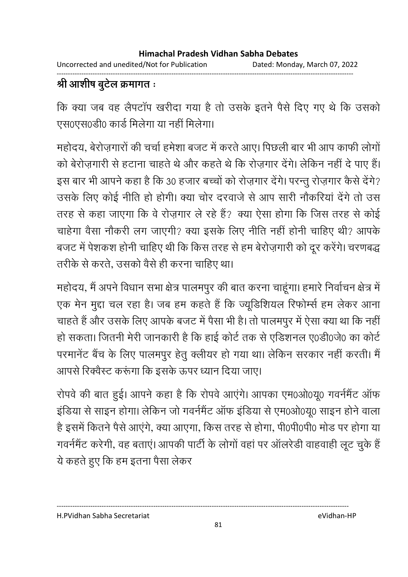Uncorrected and unedited/Not for Publication Dated: Monday, March 07, 2022 ------------------------------------------------------------------------------------------------------------------------------------

# श्री आशीष बुटेल क्रमांगत ः

कि क्या जब वह लैपटाप खरीदा गया है तो उसके इतने पैसे दिए गए थे कि उसको एस0एस0डी0 कार्ड मिलेगा या नहीं मिलेगा।

महोदय, बेरोज़गारों की चर्चा हमेशा बजट में करते आए। पिछली बार भी आप काफी लोगों को बेरोज़गारी से हटाना चाहते थे और कहते थे कि रोज़गार देंगे। लेकिन नहीं दें पाए हैं। इस बार भी आपने कहा है कि 30 हजार बच्चों को रोज़गार देंगे। परन्तु रोज़गार कैसे देंगे? उसके लिए कोई नीति हो होगी। क्या चोर दरवाजे से आप सारी नौकरिया देंगे तो उस तरह से कहा जाएगा कि वे रोज़गार ले रहे हैं? क्या ऐसा होगा कि जिस तरह से कोई चाहेगा वैसा नौकरी लग जाएगी? क्या इसके लिए नीति नहीं होनी चाहिए थी? आपके बजट में पेशकश होनी चाहिए थी कि किस तरह से हम बेरोज़गारी को दूर करेंगे। चरणबद्ध तरीके से करते, उसको वैसे ही करना चाहिए था।

महोदय, मैं अपने विधान सभा क्षेत्र पालमपुर की बात करना चाहूगा। हमारे निर्वाचन क्षेत्र में एक मेन मुद्दा चल रहा है। जब हम कहते हैं कि ज्यूडिशियल रिफोम्से हम लेकर आना चाहते हैं और उसके लिए आपके बजट में पैसा भी है। तो पालमपुर में ऐसा क्या था कि नहीं | हो सकता। जितनी मेरी जानकारी है कि हाई कोर्ट तक से एंडिशनल ए0डी0जे0 का कोर्ट परमानेट बैच के लिए पालमपुर हेतु क्लीयर हो गया था। लेकिन सरकार नहीं करती। मैं आपर्स रिक्वेस्ट करूंगा कि इसके ऊपर ध्यान दिया जाए।

रोपर्व की बात हुई। आपने कहा है कि रोपर्व आएंगे। आपका एम0ओ0यू0 गवर्नमेंट आफ इंडिया से साइन होगा। लेकिन जो गवर्नमेंट आफ इंडिया से एम0ओ0यू0 साइन होने वाला है इसमें कितने पैसे आएंगे, क्या आएंगा, किस तरह से होगा, पी0पी0पी0 मोड पर होगा या गवर्नमेंट करेगी, वह बताए। आपकी पार्टी के लोगों वहां पर आलरेडी वाहवाही लूट चुके हैं। ये कहते हुए कि हम इतना पैसा लेकर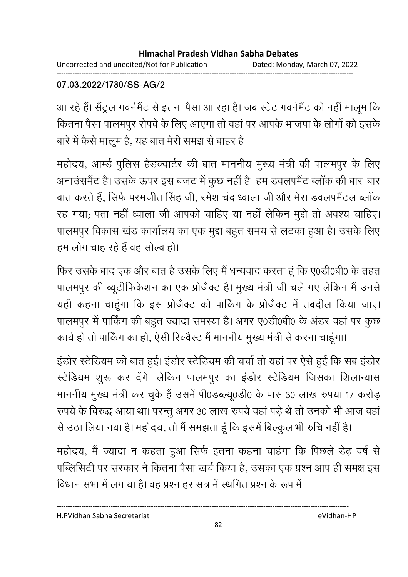Uncorrected and unedited/Not for Publication Dated: Monday, March 07, 2022 ------------------------------------------------------------------------------------------------------------------------------------

### **07.03.2022/1730/SS-AG/2**

आ रहे हैं। सैंट्रल गवर्नमैंट से इतना पैसा आ रहा है। जब स्टेट गवर्नमैंट को नहीं मालूम कि कितना पैसा पालमपुर रोपर्व के लिए आएगा तो वहां पर आपके भाजपा के लोगों को इसके बारे में कैसे मालूम है, यह बात मेरी समझ से बाहर है।

महोदय, आम्डे पुलिस हैंडक्वार्टर की बात माननीय मुख्य मंत्री की पालमपुर के लिए अनाउसमैट है। उसके ऊपर इस बजट में कुछ नहीं है। हम डवलपमैट ब्लाक की बार-बार बात करते हैं, सिर्फ परमजीत सिंह जी, रमेश चंद ध्वाला जी और मेरा डवलपमेंटल ब्लाक रह गया; पता नहीं ध्वाला जी आपको चाहिए या नहीं लेकिन मुझे तो अवश्य चाहिए। पालमपुर विकास खंड कार्यालय का एक मुद्दा बहुत समय से लटका हुआ है। उसके लिए हम लोग चाह रहे हैं वह सोल्व हो।

फिर उसके बाद एक और बात है उसके लिए मैं धन्यवाद करता हूं कि ए0डी0बी0 के तहत पालमपुर की ब्यूटीफिकेशन का एक प्रजिक्ट है। मुख्य मंत्री जी चले गए लेकिन में उनसे यही कहना चाहूँगा कि इस प्रजिक्ट को पार्किंग के प्रजिक्ट में तबदील किया जाए। पालमपुर में पाकिंग की बहुत ज्यादा समस्या है। अगर ए0डी0बी0 के अंडर वहां पर कुछ कार्य हो तो पाकिंग का हो, ऐसी रिक्वेस्ट में माननीय मुख्य मंत्री से करना चाहूंगा।

इंडोर स्टेडियम की बात हुई। इंडोर स्टेडियम की चर्चा तो यहां पर ऐसे हुई कि सब इंडोर स्टेडियम शुरू कर देंगे। लेकिन पालमपुर का इंडोर स्टेडियम जिसका शिलान्यास माननीय मुख्य मंत्री कर चुके हैं उसमें पी0ंडब्ल्यू0ंडी0 के पास 30 लाख रुपया 17 करोड़ रुपर्य के विरुद्ध आया था। परन्तु अगर 30 लाख रुपर्य वहां पड़े थे तो उनको भी आज वहां से उठा लिया गया है। महोदय, तो मैं समझता हूं कि इसमें बिल्कुल भी रुचि नहीं है।

महोदय, मैं ज्यादा न कहता हुआ सिर्फ इतना कहना चाहगा कि पिछले डेढ़ वर्ष से पब्लिसिटी पर सरकार ने कितना पैसा खर्च किया है, उसका एक प्रश्न आप ही समक्ष इस विधान सभा में लगाया है। वह प्रश्न हर सत्र में स्थगित प्रश्न के रूप में

H.PVidhan Sabha Secretariat eVidhan-HP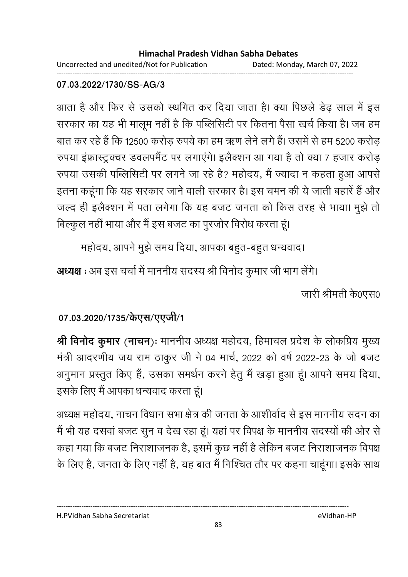Uncorrected and unedited/Not for Publication Dated: Monday, March 07, 2022 ------------------------------------------------------------------------------------------------------------------------------------

### **07.03.2022/1730/SS-AG/3**

आता है और फिर से उसको स्थगित कर दिया जाता है। क्या पिछले डेढ़ साल में इस सरकार का यह भी मालूम नहीं है कि पब्लिसिटी पर कितना पैसा खर्च किया है। जब हम बात कर रहे हैं कि 12500 करोड़ रुपये का हम ऋण लेने लगे हैं। उसमें से हम 5200 करोड़ रुपया इंफ्रास्ट्रक्चर डवलपमैंट पर लगाएंगे। इलैक्शन आ गया है तो क्या 7 हजार करोड़ रुपया उसकी पब्लिसिटी पर लगने जा रहे हैं? महोदय, मैं ज्यादा न कहता हुआ आपसे इतना कहूँगा कि यह सरकार जाने वाली सरकार है। इस चमन की ये जाती बहारे हैं और जल्द ही इलैक्शन में पता लगेगा कि यह बजट जनता को किस तरह से भाया। मुझे तो बिल्कुल नहीं भाया और मैं इस बजट का पुरजोर विरोध करता हूं।

महोदय, आपने मुझे समय दिया, आपका बहुत-बहुत धन्यवाद।

**अध्यक्ष** : अब इस चर्चा में माननीय सदस्य श्री विनोद कुमार जी भाग लेगे। जारी श्रीमती के0एस0

# 07.03.2020/1735/केएस/एएजी/1

**श्री विर्नाद कुमार (नाचन):** माननीय अध्यक्ष महोदय, हिमाचल प्रदेश के लोकप्रिय मुख्य मंत्री आंदरणीय जय राम ठाकुर जी ने 04 मार्च, 2022 को वर्ष 2022-23 के जो बजट अनुमान प्रस्तुत किए हैं, उसका समर्थन करने हेतु मैं खड़ा हुआ हूं। आपने समय दिया, इसके लिए मैं आपका धन्यवाद करता हूं।

अध्यक्ष महोदय, नाचन विधान सभा क्षेत्र की जनता के आशीर्वाद से इस माननीय सदन का में भी यह दसवा बजट सुन व देख रहा हूं। यहां पर विपक्ष के माननीय सदस्यों की ओर से कहा गया कि बजट निराशाजनक है, इसमें कुछ नहीं है लेकिन बजट निराशाजनक विपक्ष के लिए हैं, जनता के लिए नहीं है, यह बात मैं निश्चित तौर पर कहना चाहूगा। इसके साथ

H.PVidhan Sabha Secretariat eVidhan-HP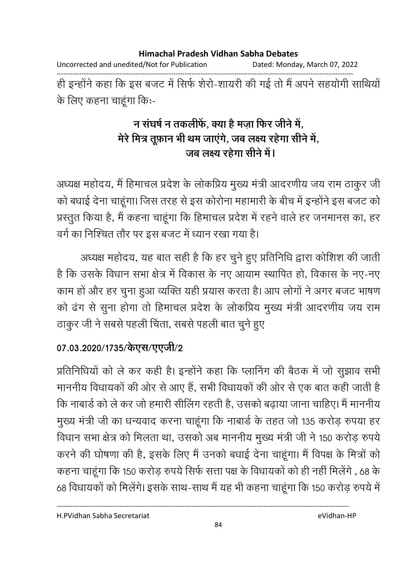Uncorrected and unedited/Not for Publication Dated: Monday, March 07, 2022

------------------------------------------------------------------------------------------------------------------------------------ हीं इन्होंने कहा कि इस बजट में सिर्फ शैरो-शायरी की गई तो मैं अपने सहयोगी साथियों के लिए कहना चाहूंगा किः-

## न संघर्ष न तकलीर्फ, क्या है मज़ा फिर जीने में, मेरे मित्र तूफ़ान भी थम जाएगे, जब लक्ष्य रहेगा सेनि में, <u>जब लक्ष्य रहेगा सीने में</u>।

अध्यक्ष महोदय, मैं हिमाचल प्रदेश के लोकप्रिय मुख्य मंत्री आदरणीय जय राम ठाकुर जी को बधाई देना चाहूँगा। जिस तरह से इस कोरोना महामारी के बीच में इन्होंने इस बजट को प्रस्तुत किया है, मैं कहना चाहूंगा कि हिमाचल प्रदेश में रहने वाले हर जनमानस का, हर वर्ग का निश्चित तौर पर इस बजट में ध्यान रखा गया है।

अध्यक्ष महोदय, यह बात सही है कि हर चुने हुए प्रतिनिधि द्वारा कोशिश की जाती. है कि उसके विधान सभा क्षेत्र में विकास के नए आयाम स्थापित हो, विकास के नए-नए काम हो और हर चुना हुआ व्यक्ति यही प्रयास करता है। आप लोगों ने अगर बजट भाषण को ढंग से सुना होगा तो हिमाचल प्रदेश के लोकप्रिय मुख्य मंत्री आंदरणीय जय राम ठाकुर जी ने सबसे पहली चिंता, सबसे पहली बात चुने हुए

## 07.03.2020/1735/केएस/एएजी/2

प्रतिनिधियों को ले कर कहीं है। इन्होंने कहा कि प्लानिंग की बैठक में जो सुझाव सभी माननीय विधायकों की ओर से आए हैं, सभी विधायकों की ओर से एक बात कहीं जाती हैं। कि नाबार्ड को ले कर जो हमारी सीलिंग रहती है, उसको बढ़ाया जाना चाहिए। मैं माननीय मुख्य मंत्री जी का धन्यवाद करना चाहूंगा कि नाबार्ड के तहत जो 135 करोड़ रुपया हर विधान सभा क्षेत्र को मिलता था, उसको अब माननीय मुख्य मंत्री जी ने 150 करोड़ रुपये | करने की घोषणा की है, इसके लिए मैं उनको बधाई देना चाहूगा। मैं विपक्ष के मित्रों को कहना चाहूंगा कि 150 करोड़ रुपये सिर्फ सत्ता पक्ष के विधायकों को ही नहीं मिलेंगे , 68 के 68 विधायकों को मिलेगे। इसके साथ-साथ में यह भी कहना चाहूंगा कि 150 करोड़ रुपये में

H.PVidhan Sabha Secretariat eVidhan-HP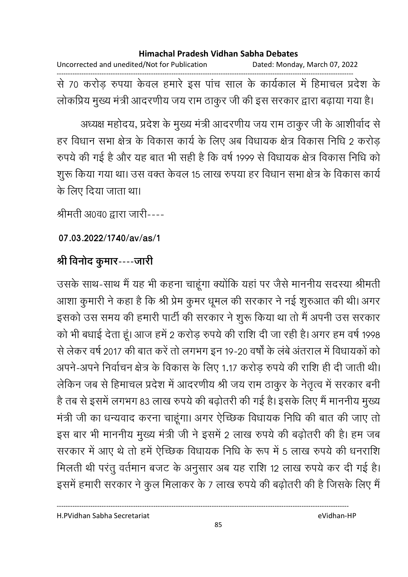Uncorrected and unedited/Not for Publication Dated: Monday, March 07, 2022 ------------------------------------------------------------------------------------------------------------------------------------ से 70 करोड़ रुपया केवल हमारे इस पांच साल के कार्यकाल में हिमाचल प्रदेश के लोकप्रिय मुख्य मंत्री आदरणीय जय राम ठाकुर जी की इस सरकार द्वारा बढ़ाया गया है।

अध्यक्ष महोदय, प्रदेश के मुख्य मंत्री आंदरणीय जय राम ठाकुर जी के आशीर्वाद से हर विधान सभा क्षेत्र के विकास कार्य के लिए अब विधायक क्षेत्र विकास निधि 2 करोड़ रुपर्य की गई है और यह बात भी सही है कि वर्ष 1999 से विधायक क्षेत्र विकास निधि को शुरू किया गया था। उस वक्त केवल 15 लाख रुपया हर विधान सभा क्षेत्र के विकास कार्य के लिए दिया जाता था।

श्रीमती अ0व0 द्वारा जारी----

**07.03.2022/1740/av/as/1**

## श्री विनोद कुमार----जारी

उसके साथ-साथ में यह भी कहना चाहूंगा क्योंकि यहां पर जैसे माननीय सदस्या श्रीमती. आशा कुमारी ने कहा है कि श्री प्रेम कुमर धूमल की सरकार ने नई शुरुआत की थी। अगर इसको उस समय की हमारी पार्टी की सरकार ने शुरू किया था तो मैं अपनी उस सरकार को भी बंधाई देता हूँ। आज हमें 2 करोड़ रुपये की राशि दी जा रही है। अगर हम वर्ष 1998 से लेकर वर्ष 2017 की बात करें तो लगभग इन 19-20 वर्षों के लबे अंतराल में विधायकों को अपने-अपने निर्वाचन क्षेत्र के विकास के लिए 1.17 करोड़ रुपये की राशि ही दी जाती थी। लेकिन जब से हिमाचल प्रदेश में आंदरणीय श्री जय राम ठाकुर के नेतृत्व में सरकार बनी है तब से इसमें लगभग 83 लाख रुपये की बढ़ोतरी की गई है। इसके लिए मैं माननीय मुख्य मंत्री जी का धन्यवाद करना चाहूंगा। अगर ऐच्छिक विधायक निधि की बात की जाए तो इस बार भी माननीय मुख्य मंत्री जी ने इसमें 2 लाख रुपये की बढ़ोतरी की है। हम जब सरकार में आए थे तो हमें ऐच्छिक विधायक निधि के रूप में 5 लाख रुपये की धनराशि मिलती थी परंतु वर्तमान बजट के अनुसार अब यह राशि 12 लाख रुपये कर दी गई है। इसमें हमारी सरकार ने कुल मिलाकर के 7 लाख रुपये की बढ़ोतरी की है जिसके लिए मैं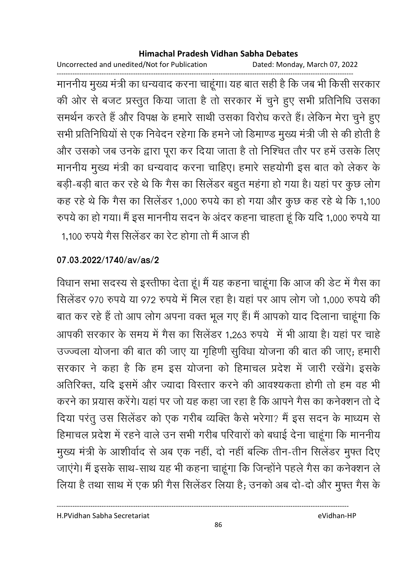Uncorrected and unedited/Not for Publication Dated: Monday, March 07, 2022

------------------------------------------------------------------------------------------------------------------------------------ माननीय मुख्य मंत्री का धन्यवाद करना चाहूंगा। यह बात सही है कि जब भी किसी सरकार की ओर से बजट प्रस्तुत किया जाता है तो सरकार में चुने हुए सभी प्रतिनिधि उसका समर्थन करते हैं और विपक्ष के हमारे साथी उसका विरोध करते हैं। लेकिन मेरा चुने हुए सभी प्रतिनिधियों से एक निवेदन रहेगा कि हमने जो डिमाण्ड मुख्य मंत्री जी से की होती हैं-और उसको जब उनके द्वारा पूरा कर दिया जाता है तो निश्चित तौर पर हमें उसके लिए माननीय मुख्य मंत्री का धन्यवाद करना चाहिए। हमारे सहयोगी इस बात को लेकर के बड़ी-बड़ी बात कर रहे थे कि गैस का सिलेंडर बहुत महंगा हो गया है। यहां पर कुछ लोग कह रहे थे कि गैस का सिलेंडर 1,000 रुपये का हो गया और कुछ कह रहे थे कि 1,100 रुपर्य का हो गया। मैं इस माननीय सदन के अंदर कहना चाहता हूं कि यदि 1,000 रुपर्य या 1,100 रुपये गैस सिलेंडर का रेट होगा तो मैं आज ही

**07.03.2022/1740/av/as/2**

विधान सभा सदस्य से इस्तीफा देता हूं। मैं यह कहना चाहूंगा कि आज की डेट में गैस का सिलेंडर 970 रुपये या 972 रुपये में मिल रहा है। यहां पर आप लोग जो 1,000 रुपये की बात कर रहे हैं तो आप लोग अपना वक्त भूल गए हैं। मैं आपको याद दिलाना चाहूंगा कि आपकी सरकार के समय में गैस का सिलेंडर 1,263 रुपये में भी आया है। यहां पर चाहें उज्ज्वला योजना की बात की जाए या गृहिणी सुर्विधा योजना की बात की जाए; हमारी सरकार ने कहा है कि हम इस योजना को हिमाचल प्रदेश में जारी रखेंगे। इसके आतीरक्त, यदि इसमें और ज्यादा विस्तार करने की आवश्यकता होगी तो हम वह भी करने का प्रयास करेंगे। यहां पर जो यह कहा जा रहा है कि आपने गैस का कर्नक्शन तो दे दिया परंतु उस सिलेंडर को एक गरीब व्यक्ति कैसे भरेगा? मैं इस सदन के माध्यम से हिमाचल प्रदेश में रहने वाले उन सभी गरीब परिवारों को बंधाई देना चाहूंगा कि माननीय मुख्य मंत्री के आशीर्वाद से अब एक नहीं, दो नहीं बल्कि तीन-तीन सिलेंडर मुफ्त दिए जाएंगे। मैं इसके साथ-साथ यह भी कहना चाहूंगा कि जिन्होंने पहले गैस का कर्नक्शन ले लिया है तथा साथ में एक फ्री गैस सिलेंडर लिया है; उनको अब दो-दो और मुफ्त गैस के

----------------------------------------------------------------------------------------------------------------------------------

86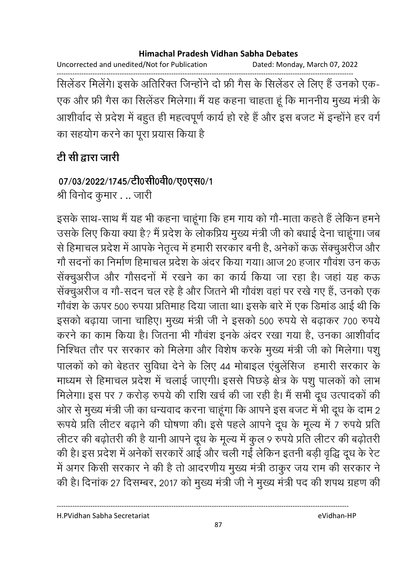Uncorrected and unedited/Not for Publication Dated: Monday, March 07, 2022

------------------------------------------------------------------------------------------------------------------------------------ सिलेंडर मिलेंगे। इसके अतिरिक्त जिन्होंने दो फ्री गैस के सिलेंडर ले लिए हैं उनको एक-एक और फ्री गैस का सिलेंडर मिलेगा। मैं यह कहना चाहता हूं कि माननीय मुख्य मंत्री के आशीर्वाद से प्रदेश में बहुत ही महत्वपूर्ण कार्य हो रहे हैं और इस बजट में इन्होंने हर वर्ग का सहयोग करने का पूरा प्रयास किया है |

# टी सी द्वारा जारी

# 07/03/2022/1745/टी0सी0वी0/ए0एस0/1

श्री विनोद कुमार . .. जारी

इसके साथ-साथ में यह भी कहना चाहूंगा कि हम गाय को गों-माता कहते हैं लेकिन हमने उसके लिए किया क्या है? मैं प्रदेश के लोकप्रिय मुख्य मंत्री जी को बधाई देना चाहूगा। जब से हिमाचल प्रदेश में आपके नेतृत्व में हमारी सरकार बनी हैं, अनेकों कऊ सेक्चुअरीज और गों सदनों का निर्माण हिमाचल प्रदेश के अंदर किया गया। आज 20 हजार गौवश उन कऊ सेक्चुअरीज और गौसदनों में रखने का का कार्य किया जा रहा है। जहां यह कऊ सेक्चुअरीज व गों-सदन चल रहे हैं और जितने भी गोंवश वहां पर रखे गए हैं, उनको एक गोंवश के ऊपर 500 रुपया प्रतिमाह दिया जाता था। इसके बारे में एक डिमांड आई थी कि इसको बढ़ाया जाना चाहिए। मुख्य मंत्री जी ने इसको 500 रुपये से बढ़ाकर 700 रुपये करने का काम किया है। जितना भी गौवश इनके अंदर रखा गया है, उनका आशीर्वाद निश्चित तौर पर सरकार को मिलेगा और विशेष करके मुख्य मंत्री जी को मिलेगा। पशु पालको को को बेहतर सुविधा देने के लिए 44 मोबाइल एबुलेसिज हमारी सरकार के माध्यम से हिमाचल प्रदेश में चलाई जाएगी। इससे पिछड़े क्षेत्र के पशु पालकों को लाभ मिलेगा। इस पर 7 करोड़ रुपये की राशि खर्च की जा रही है। मैं सभी दूध उत्पादकों की आर से मुख्य मंत्री जी का धन्यवाद करना चाहूंगा कि आपने इस बजट में भी दूध के दाम 2 रूपये प्रति लीटर बढ़ाने की घोषणा की। इसे पहले आपने दूध के मूल्य में 7 रुपये प्रति लेटिर की बढ़ोतरी की है यानी आपने दूध के मूल्य में कुल 9 रुपये प्रति लेटिर की बढ़ोतरी की है। इस प्रदेश में अनेको सरकारे आई और चली गई लेकिन इतनी बड़ी वृद्धि दूध के रेट में अगर किसी सरकार ने की है तो आदरणीय मुख्य मंत्री ठाकुर जय राम की सरकार ने की है। दिनाक 27 दिसम्बर, 2017 को मुख्य मंत्री जी ने मुख्य मंत्री पद की शपथ ग्रहण की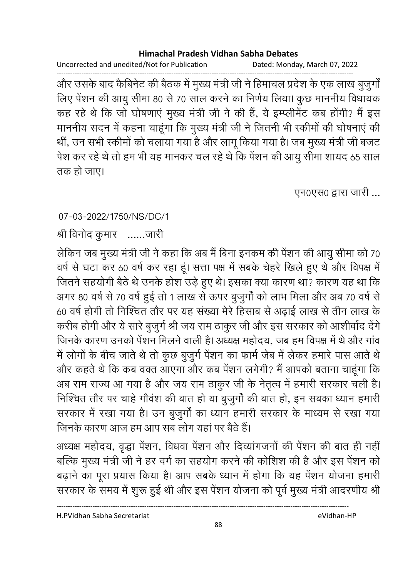Uncorrected and unedited/Not for Publication Dated: Monday, March 07, 2022

------------------------------------------------------------------------------------------------------------------------------------ और उसके बाद कैबिनेट की बैठक में मुख्य मंत्री जी ने हिमाचल प्रदेश के एक लाख बुजुंगो लिए पेशन की आयु सीमा 80 से 70 साल करने का निर्णय लिया। कुछ माननीय विधायक कह रहे थे कि जो घोषणाए मुख्य मंत्री जी ने की है, ये इम्प्लेमिट कब होगी? मैं इस माननीय सदन में कहना चाहूंगा कि मुख्य मंत्री जी ने जितनी भी स्कीमों की घोषनाएं की थी, उन सभी स्कीमों को चलाया गया है और लागू किया गया है। जब मुख्य मंत्री जी बजट पेश कर रहे थे तो हम भी यह मानकर चल रहे थे कि पेशन की आयु सीमा शायद 65 साल तक हो जाए।

एन0एस0 द्वारा जारी ...

### 07-03-2022/1750/NS/DC/1

श्री विनोद कुमार – ……जारी

लेकिन जब मुख्य मंत्री जी ने कहा कि अब मैं बिना इनकम की पेशन की आयु सीमा को 70  $\,$ वर्ष से घटा कर 60 वर्ष कर रहा हूं। सत्ता पक्ष में सबके चेहरे खिले हुए थे और विपक्ष में जितने सहयोगी बैठे थे उनके होश उड़े हुए थे। इसका क्या कारण था? कारण यह था कि अगर 80 वर्ष से 70 वर्ष हुई तो 1 लाख से ऊपर बुजुर्गा को लाभ मिला और अब 70 वर्ष से 60 वर्ष होगी तो निश्चित तौर पर यह संख्या मेरे हिसाब से अढ़ाई लाख से तीन लाख के करीब होगी और ये सारे बुजुर्ग श्री जय राम ठाकुर जी और इस सरकार को आशीर्वाद देंगे। जिनके कारण उनको पेशन मिलने वाली है। अध्यक्ष महोदय, जब हम विपक्ष में थे और गाव में लोगों के बीच जाते थे तो कुछ बुजुर्ग पेशन का फार्म जेब में लेकर हमारे पास आते थे और कहते थे कि कब वक्त आएगा और कब पेशन लगेगी? मैं आपको बताना चाहूंगा कि अब राम राज्य आ गया है और जय राम ठाकुर जी के नेतृत्व में हमारी सरकार चली है। निश्चित तौर पर चाहे गौवश की बात हो या बुजुर्गा की बात हो, इन सबका ध्यान हमारी सरकार में रखा गया है। उन बुजुर्गा का ध्यान हमारी सरकार के माध्यम से रखा गया जिनके कारण आज हम आप सब लोग यहां पर बैठे हैं।

अध्यक्ष महोदय, वृद्धा पेशन, विधवा पेशन और दिव्यागजनों की पेशन की बात ही नहीं बल्कि मुख्य मंत्री जी ने हर वर्ग का सहयोग करने की कोशिश की है और इस पेशन को बढ़ाने का पूरा प्रयास किया है। आप सबके ध्यान में होंगा कि यह पेशन योजना हमारी सरकार के समय में शुरू हुई थी और इस पेशन योजना को पूर्व मुख्य मंत्री आंदरणीय श्री |

H.PVidhan Sabha Secretariat eVidhan-HP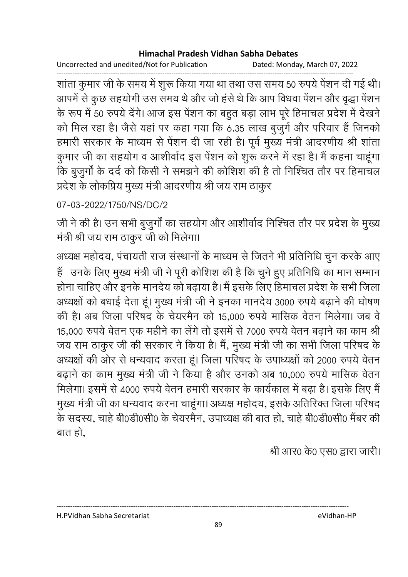Uncorrected and unedited/Not for Publication Dated: Monday, March 07, 2022

------------------------------------------------------------------------------------------------------------------------------------ शाता कुमार जी के समय में शुरू किया गया था तथा उस समय 50 रुपये पेशन दी गई थी। आपमें से कुछ सहयोगी उस समय थे और जो हसे थे कि आप विधवा पेशन और वृद्धा पेशन के रूप में 50 रुपये देंगे। आज इस पेशन का बहुत बड़ा लाभ पूरे हिमाचल प्रदेश में देखने को मिल रहा है। जैसे यहां पर कहा गया कि 6.35 लाख बुजुर्ग और परिवार है जिनको हमारी सरकार के माध्यम से पेशन दी जा रही है। पूर्व मुख्य मंत्री आदरणीय श्री शाता कुमार जी का सहयोग व आशीर्वाद इस पेशन को शुरू करने में रहा है। मैं कहना चाहूंगा कि बुजुर्गा के दर्द को किसी ने समझने की कोशिश की है तो निश्चित तौर पर हिमाचल प्रदेश के लोकप्रिय मुख्य मंत्री आंदरणीय श्री जय राम ठाकुर

## 07-03-2022/1750/NS/DC/2

जी ने की है। उन सभी बुजुर्गा का सहयोग और आशीर्वाद निश्चित तौर पर प्रदेश के मुख्य मंत्री श्री जय राम ठाकुर जी को मिलेगा।

अध्यक्ष महोदय, पंचायती राज संस्थानों के माध्यम से जितने भी प्रतिनिधि चुन करके आए है उनके लिए मुख्य मंत्री जी ने पूरी कोशिश की है कि चुने हुए प्रतिनिधि का मान सम्मान होना चाहिए और इनके मानदेय को बढ़ाया है। मैं इसके लिए हिमाचल प्रदेश के सभी जिला अध्यक्षों को बंधाई देता हूं। मुख्य मंत्री जी ने इनका मानदेय 3000 रुपये बढ़ाने की घोषण की है। अब जिला परिषद के चेयरमैन को 15,000 रुपये मासिक वेतन मिलेगा। जब वे 15,000 रुपये वेतन एक महीने का लेगे तो इसमें से 7000 रुपये वेतन बढ़ाने का काम श्री जय राम ठाकुर जी की सरकार ने किया है। मैं, मुख्य मंत्री जी का सभी जिला परिषद के अध्यक्षों की ओर से धन्यवाद करता हूं। जिला परिषद के उपाध्यक्षों को 2000 रुपये वेतन बढ़ाने का काम मुख्य मंत्री जी ने किया है और उनको अब 10,000 रुपये मासिक वेतन मिलेगा। इसमें से 4000 रुपये वेतन हमारी सरकार के कार्यकाल में बढ़ा है। इसके लिए मैं मुख्य मंत्री जी का धन्यवाद करना चाहूंगा। अध्यक्ष महोदय, इसके अतिरिक्त जिला परिषद के सदस्य, चाहे बी0डी0सी0 के चेयरमैन, उपाध्यक्ष की बात हो, चाहे बी0डी0सी0 मैंबर की बात हो.

श्री आर0 के0 एस0 द्वारा जारी।

H.PVidhan Sabha Secretariat eVidhan-HP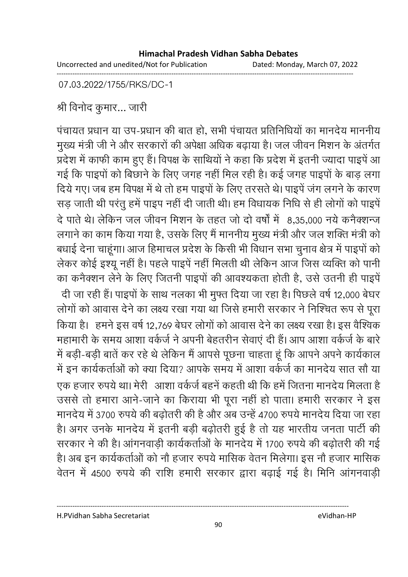Uncorrected and unedited/Not for Publication Dated: Monday, March 07, 2022 ------------------------------------------------------------------------------------------------------------------------------------

07.03.2022/1755/RKS/DC-1

श्री विनोद कुमार… जारी

पंचायत प्रधान या उप-प्रधान की बात हो, सभी पंचायत प्रतिनिधियों का मानदेय माननीय मुख्य मंत्री जी ने और सरकारों की अपेक्षा अधिक बढ़ाया है। जल जीवन मिशन के अंतर्गत प्रदेश में काफी काम हुए हैं। विपक्ष के साथियों ने कहा कि प्रदेश में इतनी ज्यादा पाइपे आ गई कि पाइपों को बिछाने के लिए जगह नहीं मिल रही हैं। कई जगह पाइपों के बाड़ लगा दिये गए। जब हम विपक्ष में थे तो हम पाइपों के लिए तरसते थे। पाइपे जंग लगने के कारण सड़ जाती थी परंतु हमें पाइप नहीं दी जाती थी। हम विधायक निधि से ही लोगों को पाइपें दे पाते थे। लेकिन जल जीवन मिशन के तहत जो दो वर्षों में -8,35,000 नये कर्नक्शन्ज लगाने का काम किया गया है, उसके लिए मैं माननीय मुख्य मंत्री और जल शक्ति मंत्री को बंधाई देना चाहूँगा। आज हिमाचल प्रदेश के किसी भी विधान सभा चुनाव क्षेत्र में पाइपों को लेकर कोई इश्यू नहीं है। पहले पाइपे नहीं मिलती थी लेकिन आज जिस व्यक्ति को पानी का कनैक्शन लेने के लिए जितनी पाइपों की आवश्यकता होती है, उसे उतनी ही पाइपे दी जा रही है। पाइपों के साथ नलका भी मुफ्त दिया जा रहा है। पिछले वर्ष 12,000 बेंघर लोगों को आवास देने का लक्ष्य रखा गया था जिसे हमारी सरकार ने निश्चित रूप से पूरा किया है। हमने इस वर्ष 12,769 बेघर लोगों को आवास देने का लक्ष्य रखा है। इस वैश्विक महामारी के समय आशा वर्कजे ने अपनी बेहतरीन सेवाए दी है। आप आशा वर्कजे के बारे | में बड़ी-बड़ी बाते कर रहे थे लेकिन में आपसे पूछना चाहता हूं कि आपने अपने कार्यकाल में इन कार्यकर्ताओं को क्या दिया? आपके समय में आशा वर्कजे का मानदेय सात सौ या ; ह+ ç, X2 , /& + ह" ह! X - ह" -+! , -\$! ह उससे तो हमारा आने-जाने का किराया भी पूरा नहीं हो पाता। हमारी सरकार ने इस मानदेय में 3700 रुपये की बढ़ोतरी की है और अब उन्हें 4700 रुपये मानदेय दिया जा रहा हैं। अगर उनके मानदेय में इतनी बड़ी बढ़ोतरी हुई है तो यह भारतीय जनता पार्टी की सरकार ने की है। आगनवाड़ी कार्यकर्ताओं के मानदेय में 1700 रुपये की बढ़ोतरी की गई है। अब इन कार्यकर्ताओं को नौ हजार रुपये मासिक वेतन मिलेगा। इस नौ हजार मासिक वेतन में 4500 रुपये की राशि हमारी सरकार द्वारा बढ़ाई गई है। मिनि आगनवाड़ी

H.PVidhan Sabha Secretariat eVidhan-HP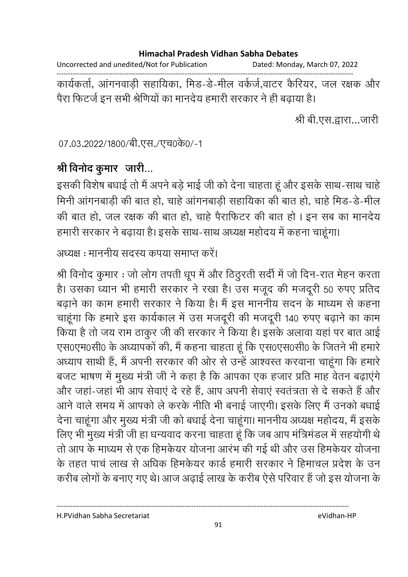Uncorrected and unedited/Not for Publication Dated: Monday, March 07, 2022

------------------------------------------------------------------------------------------------------------------------------------

कार्यकर्ता, आगनवाड़ी सहायिका, मिंड-डे-मील वर्कर्ज,वाटर कैरियर, जल रक्षक और पैरा फिटजे इन सभी श्रीणेयों का मानदेय हमारी सरकार ने ही बढ़ाया है।

श्री बी.एस.द्वारा…जारी

07.03.2022/1800/बी.एस./एच0के0/-1

# श्री विनोद कुमार जारी...

इसकी विशेष बंधाई तो मैं अपने बड़े भाई जी को देना चाहता हूं और इसके साथ-साथ चाहें | मिनी आगनबाड़ी की बात हो, चाहे आगनबाड़ी सहायिका की बात हो, चाहे मिड-डे-मील की बात हो, जल रक्षक की बात हो, चाहे पैराफिटर की बात हो । इन सब का मानदेय हमारी सरकार ने बढ़ाया है। इसके साथ-साथ अध्यक्ष महोदय में कहना चाहूगा।

अध्यक्ष : माननीय सदस्य कपया समाप्त करें।

श्री विनोंद कुमार : जो लोग तपती धूप में और ठिंठुरती सदी में जो दिन-रात मेहन करता। हैं। उसका ध्यान भी हमारी सरकार ने रखा है। उस मजूद की मजदूरी 50 रुपए प्रतिद बढ़ाने का काम हमारी सरकार ने किया है। मैं इस माननीय सदन के माध्यम से कहना चाहूँगा कि हमारे इस कार्यकाल में उस मजदूरी की मजदूरी 140 रुपए बढ़ाने का काम किया है तो जय राम ठाकुर जी की सरकार ने किया है। इसके अलावा यहां पर बात आई एस0एम0सी0 के अध्यापको की, मैं कहना चाहता हूं कि एस0एस0सी0 के जितने भी हमारे | अध्याप साथी है, मैं अपनी सरकार की ओर से उन्हें आश्वस्त करवाना चाहूंगा कि हमारे बजट भाषण में मुख्य मंत्री जी ने कहा है कि आपका एक हजार प्रति माह वेतन बढ़ाएंगे और जहा-जहां भी आप सेवाएं दें रहे हैं, आप अपनी सेवाएं स्वतंत्रता से दे सकते हैं और आने वाले समय में आपको ले करके नीति भी बनाई जाएगी। इसके लिए मैं उनको बधाई देना चाहूंगा और मुख्य मंत्री जी को बंधाई देना चाहूंगा। माननीय अध्यक्ष महोदय, मैं इसके लिए भी मुख्य मंत्री जी हा धन्यवाद करना चाहता हूं कि जब आप मंत्रिमंडल में सहयोगी थे तों आप के माध्यम से एक हिमकेयर योजना आरंभ की गई थी और उस हिमकेयर योजना के तहत पांच लाख से अधिक हिमकेयर कार्ड हमारी सरकार ने हिमाचल प्रदेश के उन करीब लोगों के बनाए गए थे। आज अढ़ाई लाख के करीब ऐसे परिवार है जो इस योजना के

H.PVidhan Sabha Secretariat eVidhan-HP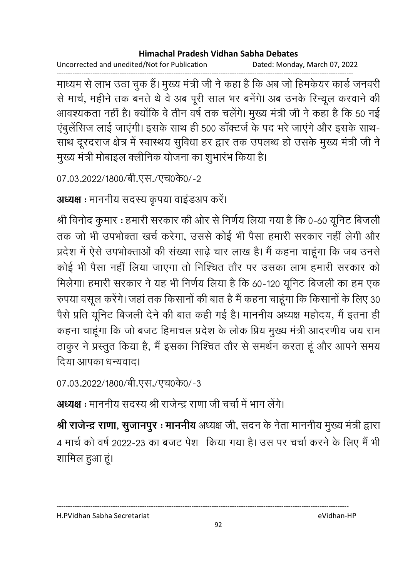Uncorrected and unedited/Not for Publication Dated: Monday, March 07, 2022

------------------------------------------------------------------------------------------------------------------------------------ माध्यम से लाभ उठा चुक है। मुख्य मंत्री जी ने कहा है कि अब जो हिमकेयर कार्ड जनवरी से मार्च, महीने तक बनते थे वे अब पूरी साल भर बनेगे। अब उनके रिन्यूल करवाने की आवश्यकता नहीं है। क्योंकि वे तीन वर्ष तक चलेंगे। मुख्य मंत्री जी ने कहा है कि 50 नई एबुलेसिज लाई जाएगी। इसके साथ ही 500 डाक्टजे के पद भरे जाएंगे और इसके साथ-साथ दूरदराज क्षेत्र में स्वास्थय सुविधा हर द्वार तक उपलब्ध हो उसके मुख्य मंत्री जी ने मुख्य मंत्री मोबाइल क्लीनिक योजना का शुभारभ किया है।

```
07.03.2022/1800/बी.एस./एच0के0/-2
```

```
अध्यक्ष : माननीय सदस्य कृपया वाइडअप करें।
```
श्री विनोद कुमार : हमारी सरकार की ओर से निर्णय लिया गया है कि 0-60 यूनिट बिजली तक जो भी उपभोक्ता खर्च करेगा, उससे कोई भी पैसा हमारी सरकार नहीं लेगी और प्रदेश में ऐसे उपभोक्ताओं की संख्या साढ़े चार लाख है। मैं कहना चाहूंगा कि जब उनसे कोई भी पैसा नहीं लिया जाएगा तो निश्चित तौर पर उसका लाभ हमारी सरकार को मिलेगा। हमारी सरकार ने यह भी निर्णय लिया है कि 60-120 यूनिट बिजली का हम एक रुपया वसूल करेंगे। जहां तक किसानों की बात है मैं कहना चाहूँगा कि किसानों के लिए 30  $\,$ पैसे प्रति यूनिट बिजली देने की बात कहीं गई है। माननीय अध्यक्ष महोदय, मैं इतना ही कहना चाहूँगा कि जो बजट हिमाचल प्रदेश के लोक प्रिय मुख्य मंत्री आदरणीय जय राम ठाकुर ने प्रस्तुत किया है, मैं इसका निश्चित तौर से समर्थन करता हूं और आपने समय दिया आपका धन्यवाद।

```
07.03.2022/1800/बी.एस./एच0के0/-3
```
**अध्यक्ष** : माननीय सदस्य श्री राजेन्द्र राणा जी चर्चा में भाग लेंगे।

**श्री राजेन्द्र राणा, सुजानपुर : माननीय** अध्यक्ष जी, सदन के नेता माननीय मुख्य मंत्री द्वारा 4 मार्च को वर्ष 2022-23 का बजट पेश |किया गया है। उस पर चर्चा करने के लिए मैं भी शामिल हुआ हूं।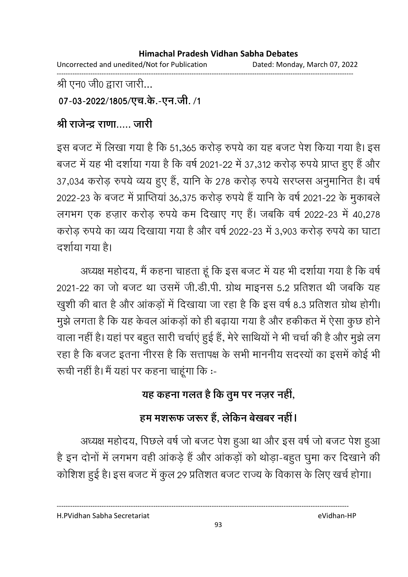Uncorrected and unedited/Not for Publication Dated: Monday, March 07, 2022 ------------------------------------------------------------------------------------------------------------------------------------

श्री एन0 जी0 द्वारा जारी...

07-03-2022/1805/एच.के.-एन.जी. /1

## <u>श्री राजेन्द्र राणा….. जारी</u>

इस बजट में लिखा गया है कि 51,365 करोड़ रुपये का यह बजट पेश किया गया है। इस बजट में यह भी दशीया गया है कि वर्ष 2021-22 में 37,312 करोड़ रुपये प्राप्त हुए हैं और 37,034 करोड़ रुपये व्यय हुए हैं, यानि के 278 करोड़ रुपये सरप्लस अनुमानित है। वर्ष 2022-23 के बजट में प्राप्तिया 36,375 करोड़ रुपये हैं यानि के वर्ष 2021-22 के मुकाबले लगभग एक हज़ार करोड़ रुपये कम दिखाए गए हैं। जबकि वर्ष 2022-23 में 40,278 करोड़ रुपये का व्यय दिखाया गया है और वर्ष 2022-23 में 3,903 करोड़ रुपये का घाटा दर्शाया गया है।

अध्यक्ष महोदय, मैं कहना चाहता हूँ कि इस बजट में यह भी दर्शाया गया है कि वर्षे 2021-22 का जो बजट था उसमें जी.डी.पी. ग्रोथ माइनस 5.2 प्रतिशत थी जबकि यह खुशी की बात है और आकड़ों में दिखाया जा रहा है कि इस वर्ष 8.3 प्रतिशत ग्रोथ होगी। मुझे लगता है कि यह केवल आकड़ों को ही बढ़ाया गया है और हकीकत में ऐसा कुछ होने। वाला नहीं है। यहां पर बहुत सारी चर्चाएं हुई हैं, मेरे साथियों ने भी चर्चा की है और मुझे लग रहा है कि बजट इतना नीरस है कि सत्तापक्ष के सभी माननीय सदस्यों का इसमें कोई भी रूची नहीं है। मैं यहां पर कहना चाहूंगा कि :-

# यह कहना गलत है कि तुम पर नज़र नहीं,

# हम मशरूफ जरूर है, लेकिन बेखबर नहीं।

अध्यक्ष महोदय, पिछले वर्ष जो बजट पेश हुआ था और इस वर्ष जो बजट पेश हुआ है इन दोनों में लगभग वहीं आकड़े हैं और आकड़ों को थोड़ा-बहुत घुमा कर दिखाने की कोशिश हुई है। इस बजट में कुल 29 प्रतिशत बजट राज्य के विकास के लिए खर्च होगा।

H.PVidhan Sabha Secretariat eVidhan-HP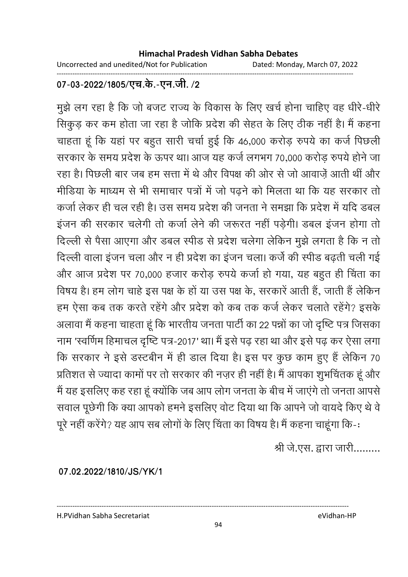Uncorrected and unedited/Not for Publication Dated: Monday, March 07, 2022 ------------------------------------------------------------------------------------------------------------------------------------

### 07-03-2022/1805/एच.के.-एन.जी. **/2**

मुझे लग रहा है कि जो बजट राज्य के विकास के लिए खर्च होना चाहिए वह धीरे-धीरे सिकुड़ कर कम होता जा रहा है जोकि प्रदेश की सेहत के लिए ठीक नहीं है। मैं कहना चाहता हूं कि यहां पर बहुत सारी चर्चा हुई कि 46,000 करोड़ रुपये का कर्ज पिछली सरकार के समय प्रदेश के ऊपर था। आज यह कर्ज लगभग 70,000 करोड़ रुपये होने जा रहा है। पिछली बार जब हम सत्ता में थे और विपक्ष की ओर से जो आवाज़े आती थी और मीडिया के माध्यम से भी समाचार पत्रों में जो पढ़ने को मिलता था कि यह सरकार तो कर्जा लेकर ही चल रही है। उस समय प्रदेश की जनता ने समझा कि प्रदेश में यदि डबल इजन की सरकार चलेंगी तो कर्जा लेने की जरूरत नहीं पड़ेंगी। डबल इजन होंगा तो दिल्ली से पैसा आएगा और डबल स्पीड से प्रदेश चलेगा लेकिन मुझे लगता है कि न तो दिल्ली वाला इजन चला और न ही प्रदेश का इजन चला। कर्ज की स्पीड बढ़ती चली गई और आज प्रदेश पर 70,000 हजार करोड़ रुपये कर्जा हो गया, यह बहुत ही चिंता का विषय है। हम लोग चाहे इस पक्ष के हो या उस पक्ष के, सरकारे आती है, जाती है लेकिन हम ऐसा कब तक करते रहेंगे और प्रदेश को कब तक कर्ज लेकर चलाते रहेंगे? इसके अलावा मैं कहना चाहता हूँ कि भारतीय जनता पार्टी का 22 पन्नों का जो दृष्टि पत्र जिसका नाम 'स्वर्णिम हिमाचल दृष्टि पत्र-2017' था। मैं इसे पढ़ रहा था और इसे पढ़ कर ऐसा लगा कि सरकार ने इसे डस्टबीन में ही डाल दिया है। इस पर कुछ काम हुए हैं लेकिन 70 प्रतिशत से ज्यादा कामों पर तो सरकार की नज़र ही नहीं है। मैं आपका शुभचितक हूं और में यह इसलिए कह रहा हूं क्योंकि जब आप लोग जनता के बीच में जाएंगे तो जनता आपसे सवाल पूछेगी कि क्या आपको हमने इसलिए वोट दिया था कि आपने जो वायदे किए थे वे पूरे नहीं करेंगे? यह आप सब लोगों के लिए चिंता का विषय है। मैं कहना चाहूंगा कि-:

श्री जे.एस. द्वारा जारी.........

**07.02.2022/1810/JS/YK/1**

H.PVidhan Sabha Secretariat eVidhan-HP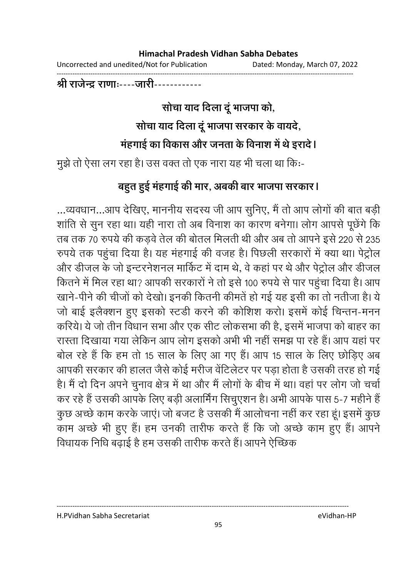| Uncorrected and unedited/Not for Publication | Dated: Monday, March 07, 2022 |
|----------------------------------------------|-------------------------------|
|                                              |                               |

### <u>श्री राजेन्द्र राणाः----जारी------------</u>

# सोचा याद दिला दू भाजपा को, सोचा याद दिला दू भाजपा सरकार के वायदे, महंगाई का विकास और जनता के विनाश में थे इरादें l

मुझे तो ऐसा लग रहा है। उस वक्त तो एक नारा यह भी चला था कि:-

## बहुत हुई मंहगाई की मार, अबकी बार भाजपा सरकार **।**

...व्यवधान...आप देखिए, माननीय सदस्य जी आप सुनिए, मैं तो आप लोगों की बात बड़ी शांति से सुन रहा था। यही नारा तो अब विनाश का कारण बनेगा। लोग आपसे पूछेंगे कि तब तक 70 रुपये की कड़वे तेल की बोतल मिलती थी और अब तो आपने इसे 220 से 235 रुपर्य तक पहुंचा दिया है। यह महंगाई की वजह है। पिछली सरकारों में क्या था। पेंट्रोल और डीजल के जो इन्टरनेशनल मार्किट में दाम थे, वे कहा पर थे और पेंट्रोल और डीजल कितने में मिल रहा था? आपकी सरकारों ने तो इसे 100 रुपये से पार पहुंचा दिया है। आप खाने-पीने की चीजों को देखो। इनकी कितनी कीमते हो गई यह इसी का तो नतीजा है। ये जो बाई इलैक्शन हुए इसको स्टर्डी करने की कोशिश करो। इसमें कोई चिन्तन-मनन करिये। ये जो तीन विधान सभा और एक सीट लोकसभा की है, इसमें भाजपा को बाहर का रास्ता दिखाया गया लेकिन आप लोग इसको अभी भी नहीं समझ पा रहे हैं। आप यहां पर बोल रहे हैं कि हम तो 15 साल के लिए आ गए हैं। आप 15 साल के लिए छोड़िए अब आपकी सरकार की हालत जैसे कोई मरीज वेटिलेंटर पर पड़ा होता है उसकी तरह हो गई हैं। मैं दो दिन अपने चुनाव क्षेत्र में था और मैं लोगों के बीच में था। वहां पर लोग जो चर्चा कर रहे हैं उसकी आपके लिए बड़ी अलामिंग सिचुएशन है। अभी आपके पास 5-7 महीने हैं कुछ अच्छे काम करके जाए। जो बजट है उसकी मैं आलोचना नहीं कर रहा हूं। इसमें कुछ काम अच्छे भी हुए हैं। हम उनकी तारीफ करते हैं कि जो अच्छे काम हुए हैं। आपने विधायक निधि बढ़ाई है हम उसकी तारीफ करते हैं। आपने ऐच्छिक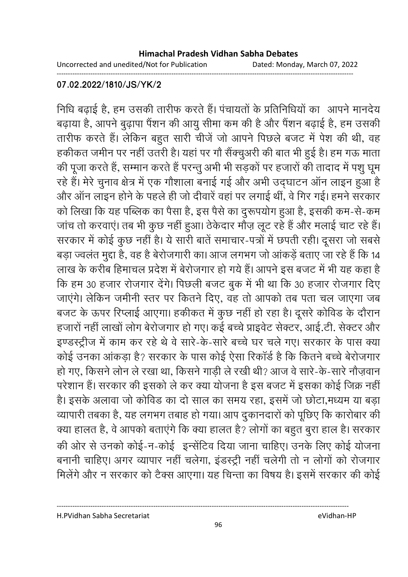Uncorrected and unedited/Not for Publication Dated: Monday, March 07, 2022

------------------------------------------------------------------------------------------------------------------------------------

### **07.02.2022/1810/JS/YK/2**

निधि बढ़ाई है, हम उसकी तारीफ करते हैं। पचायतों के प्रतिनिधियों का आपने मानदेय बढ़ाया है, आपने बुढ़ापा पैशन की आयु सीमा कम की है और पैशन बढ़ाई है, हम उसकी तारीफ करते हैं। लेकिन बहुत सारी चीजे जो आपने पिछले बजट में पेश की थी, वह हकीकत जमीन पर नहीं उतरी है। यहां पर गों सैक्चुअरी की बात भी हुई है। हम गऊ माता की पूजा करते हैं, सम्मान करते हैं परन्तु अभी भी सड़को पर हजारों की तादाद में पशु घूम रहे हैं। मेरे चुनाव क्षेत्र में एक गौशाला बनाई गई और अभी उद्घाटन आन लाइन हुआ है और आन लाइन होने के पहले ही जो दीवारे वहां पर लगाई थी, वे गिर गई। हमने सरकार को लिखा कि यह पब्लिक का पैसा है, इस पैसे का दुरूपयोग हुआ है, इसकी कम-से-कम जांच तो करवाए। तब भी कुछ नहीं हुआ। ठेकेदार मौज़ लूट रहे हैं और मलाई चाट रहे हैं। सरकार में कोई कुछ नहीं हैं। ये सारी बातें समाचार-पत्रों में छपती रही। दूसरा जो सबसे बड़ा ज्वलत मुद्दा है, वह है बेरोजगारी का। आज लगभग जो आकड़े बताए जा रहे हैं कि 14 लाख के करीब हिमाचल प्रदेश में बेरोजगार हो गये हैं। आपने इस बजट में भी यह कहा है कि हम 30 हजार रोजगार देंगे। पिछली बजट बुक में भी था कि 30 हजार रोजगार दिए जाएंगे। लेकिन जमीनी स्तर पर कितने दिए, वह तो आपको तब पता चल जाएंगा जब बजट के ऊपर रिप्लाई आएगा। हकीकत में कुछ नहीं हो रहा है। दूसरे कोविंड के दौरान हजारों नहीं लाखों लोग बेरोजगार हो गए। कई बच्चे प्राइवेट सेक्टर, आई.टी. सेक्टर और इण्डस्ट्रीज में काम कर रहे थे वे सारे-के-सारे बच्चे घर चले गए। सरकार के पास क्या कोई उनका आकड़ा है? सरकार के पास कोई ऐसा रिकार्ड है कि कितने बच्चे बेरोजगार हो गए, किसने लोन ले रखा था, किसने गाड़ी ले रखी थी? आज वे सारे-के-सारे नौजवान परेशान है। सरकार की इसको ले कर क्या योजना है इस बजट में इसका कोई जिक्र नहीं | हैं। इसके अलावा जो कोविंड का दो साल का समय रहा, इसमें जो छोटा,मध्यम या बड़ा व्यापारी तबका है, यह लगभग तबाह हो गया। आप दुकानदारों को पूछिए कि कारोबार की क्या हालत है, वे आपको बताएंगे कि क्या हालत है? लोगों का बहुत बुरा हाल है। सरकार की ओर से उनको कोई-न-कोई इन्सेटिव दिया जाना चाहिए। उनके लिए कोई योजना बनानी चाहिए। अगर व्यापार नहीं चलेगा, इंडस्ट्री नहीं चलेंगी तो न लोगों को रोजगार मिलेंगे और न सरकार को टैक्स आएगा। यह चिन्ता का विषय है। इसमें सरकार की कोई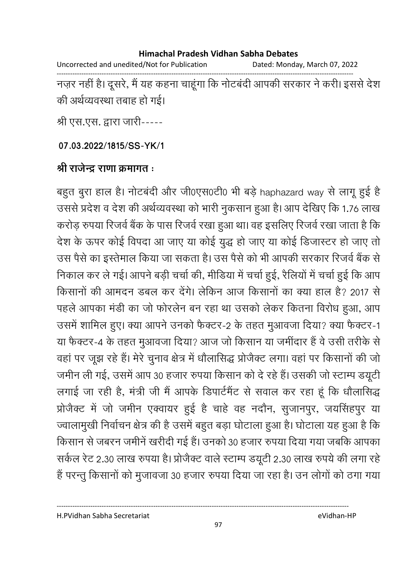Uncorrected and unedited/Not for Publication Dated: Monday, March 07, 2022 ------------------------------------------------------------------------------------------------------------------------------------

नज़र नहीं है। दूसरे, मैं यह कहना चाहूंगा कि नोटबंदी आपकी सरकार ने करी। इससे देश की अर्थव्यवस्था तबाह हो गई।

श्री एस.एस. द्वारा जारी-----

**07.03.2022/1815/SS-YK/1**

## श्री राजेन्द्र राणा क्रमागत <del>:</del>

बहुत बुरा हाल है। नोटबर्दी और जी0एस0टी0 भी बड़े haphazard way से लागू हुई है उससे प्रदेश व देश की अर्थव्यवस्था को भारी नुकसान हुआ है। आप देखिए कि 1.76 लाख करोड़ रुपया रिजर्व बैंक के पास रिजर्व रखा हुआ था। वह इसलिए रिजर्व रखा जाता है कि देश के ऊपर कोई विपदा आ जाए या कोई युद्ध हो जाए या कोई डिजास्टर हो जाए तो उस पैसे का इस्तेमाल किया जा सकता है। उस पैसे को भी आपकी सरकार रिजर्व बैंक से निकाल कर ले गई। आपने बड़ी चर्चा की, मीडिया में चर्चा हुई, रैलियों में चर्चा हुई कि आप किसानों की आमंदन डबल कर देंगे। लेकिन आज किसानों का क्या हाल है? 2017 से पहले आपका मर्डी का जो फोरलेन बन रहा था उसको लेकर कितना विरोध हुआ, आप उसमें शामिल हुए। क्या आपने उनको फैक्टर-2 के तहत मुआवजा दिया? क्या फैक्टर-1 या फैक्टर-4 के तहत मुआवजा दिया? आज जो किसान या जमीदार है वे उसी तरीके से वहा पर जूझ रहे हैं। मेरे चुनाव क्षेत्र में धौलासिद्ध प्रजिक्ट लगा। वहां पर किसानों की जो जमीन ली गई, उसमें आप 30 हजार रुपया किसान को दे रहे हैं। उसकी जो स्टाम्प डयूटी लगाई जा रही है, मंत्री जी मैं आपके डिपार्टमेंट से सवाल कर रहा हूं कि धौलासिद्ध प्रोजैक्ट में जो जमीन एक्वायर हुई है चाहे वह नदौन, सुजानपुर, जयसिंहपुर या ज्वालामुखी निर्वाचन क्षेत्र की है उसमें बहुत बड़ा घोटाला हुआ है। घोटाला यह हुआ है कि किसान से जबरन जमीने खरीदी गई है। उनको 30 हजार रुपया दिया गया जबकि आपका सकेल रेट 2.30 लाख रुपया है। प्रजिक्ट वाले स्टाम्प डयूटी 2.30 लाख रुपये की लगा रहे है परन्तु किसानों को मुजावजा 30 हजार रुपया दिया जा रहा है। उन लोगों को ठंगा गया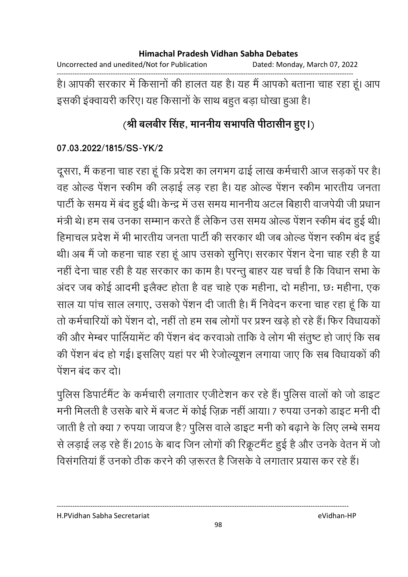### **Himachal Pradesh Vidhan Sabha Debates**  Uncorrected and unedited/Not for Publication Dated: Monday, March 07, 2022 ------------------------------------------------------------------------------------------------------------------------------------ है। आपकी सरकार में किसानों की हालत यह है। यह मैं आपको बताना चाह रहा हूं। आप

इसकी इक्वायरी करिए। यह किसानों के साथ बहुत बड़ा धोखा हुआ है।

# <u>(</u>श्री बलबीर सिंह, माननीय सभापति पीठासीन हुए।)

### **07.03.2022/1815/SS-YK/2**

दूसरा, मैं कहना चाह रहा हूं कि प्रदेश का लगभग ढाई लाख कर्मचारी आज सड़कों पर हैं। वह ओल्ड पेशन स्कीम की लड़ाई लड़ रहा है। यह ओल्ड पेशन स्कीम भारतीय जनता पार्टी के समय में बंद हुई थी। केन्द्र में उस समय माननीय अटल बिहारी वाजपेयी जी प्रधान मंत्री थे। हम सब उनका सम्मान करते हैं लेकिन उस समय ओल्ड पेशन स्कीम बंद हुई थी। हिमाचल प्रदेश में भी भारतीय जनता पार्टी की सरकार थी जब ओल्ड पेशन स्कीम बंद हुई थी। अब मैं जो कहना चाह रहा हूँ आप उसको सुनिए। सरकार पेशन देना चाह रही है या नहीं देना चाह रही है यह सरकार का काम है। परन्तु बाहर यह चर्चा है कि विधान सभा के अंदर जब कोई आदमी इलैक्ट होता है वह चाहे एक महीना, दो महीना, छः महीना, एक साल या पांच साल लगाएं, उसको पेशन दी जाती है। मैं निवेदन करना चाह रहा हूं कि या तों कर्मचारियों को पेशन दो, नहीं तो हम सब लोगों पर प्रश्न खड़े हो रहे हैं। फिर विधायकों की और मेम्बर पालियामेंट की पेशन बंद करवाओं तार्कि वे लोग भी संतुष्ट हो जाए कि सब की पेशन बंद हो गई। इसलिए यहाँ पर भी रेजोल्यूशन लगाया जाए कि सब विधायकों की पेंशन बंद कर दो।

पुलिस डिपार्टमेंट के कर्मचारी लगातार एजेटिशन कर रहे हैं। पुलिस वालों को जो डाइट मनी मिलती है उसके बारे में बजट में कोई ज़िक्र नहीं आया। 7 रुपया उनको डाइट मनी दी जाती है तो क्या 7 रुपया जायज है? पुलिस वाले डाइट मनी को बढ़ाने के लिए लम्बे समय से लड़ाई लड़ रहे हैं। 2015 के बाद जिन लोगों की रिक्रूटमैंट हुई है और उनके वेतन में जो

विसंगतियां है उनको ठीक करने की ज़रूरत है जिसके वे लगातार प्रयास कर रहे हैं।

----------------------------------------------------------------------------------------------------------------------------------

H.PVidhan Sabha Secretariat eVidhan-HP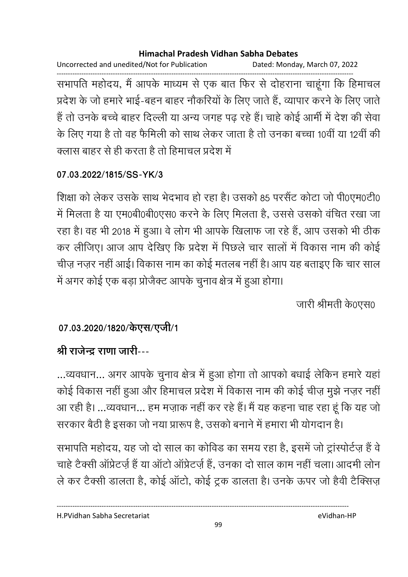Uncorrected and unedited/Not for Publication Dated: Monday, March 07, 2022

------------------------------------------------------------------------------------------------------------------------------------ सभापति महोदय, मैं आपके माध्यम से एक बात फिर से दोहराना चाहूंगा कि हिमाचल प्रदेश के जो हमारे भाई-बहन बाहर नौकरियों के लिए जाते हैं, व्यापार करने के लिए जाते. है तो उनके बच्चे बाहर दिल्ली या अन्य जगह पढ़ रहे हैं। चाहे कोई आमी में देश की सेवा के लिए गया है तो वह फैमिली को साथ लेकर जाता है तो उनका बच्चा 10वीं या 12वीं की क्लास बाहर से ही करता है तो हिमाचल प्रदेश में

## **07.03.2022/1815/SS-YK/3**

शिक्षा को लेकर उसके साथ भेदभाव हो रहा है। उसको 85 परसैट कोटा जो पी0एम0टी0 में मिलता है या एम0बी0बी0एस0 करने के लिए मिलता है, उससे उसको वर्चित रखा जा रहा है। वह भी 2018 में हुआ। वे लोग भी आपके खिलाफ जा रहे हैं, आप उसको भी ठीक कर लीजिए। आज आप देखिए कि प्रदेश में पिछले चार सालों में विकास नाम की कोई चीज़ नज़र नहीं आई। विकास नाम का कोई मतलब नहीं हैं। आप यह बताइए कि चार साल में अगर कोई एक बड़ा प्रोजेक्ट आपके चुनाव क्षेत्र में हुआ होगा।

जारी श्रीमती के0एस0

## 07.03.2020/1820/केएस/एजी/1

# <u>श्री राजेन्द्र राणा जारी---</u>

...व्यवधान... अगर आपके चुनाव क्षेत्र में हुआ होगा तो आपको बधाई लेकिन हमारे यहाँ कोई विकास नहीं हुआ और हिमाचल प्रदेश में विकास नाम की कोई चीज़ मुझे नज़र नहीं। आ रही है। …व्यवधान… हम मज़ाक नहीं कर रहे हैं। मैं यह कहना चाह रहा हूं कि यह जो सरकार बैठी हैं इसका जो नया प्रारूप है, उसको बनाने में हमारा भी योगदान है।

सभापति महोदय, यह जो दो साल का कोविड का समय रहा है, इसमें जो ट्रास्पोर्टज़ है वे चाहे टैक्सी आप्रेटज़े हैं या आटो आप्रेटज़े हैं, उनका दो साल काम नहीं चला। आदमी लोन ले कर टैक्सी डालता है, कोई आटो, कोई ट्रक डालता है। उनके ऊपर जो हैवी टैक्सिज़

H.PVidhan Sabha Secretariat eVidhan-HP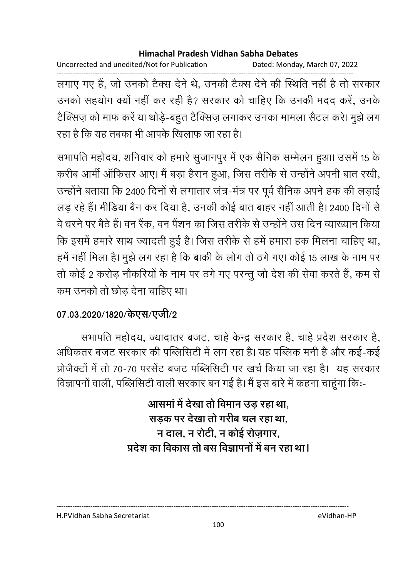Uncorrected and unedited/Not for Publication Dated: Monday, March 07, 2022

------------------------------------------------------------------------------------------------------------------------------------ लगाए गए हैं, जो उनको टैक्स देने थे, उनकी टैक्स देने की स्थिति नहीं है तो सरकार उनको सहयोग क्यों नहीं कर रही है? सरकार को चाहिए कि उनकी मदद करें, उनके टैक्सिज़ को माफ करें या थोड़े-बहुत टैक्सिज़ लगाकर उनका मामला सैटल करे। मुझे लग रहा है कि यह तबका भी आपके खिलाफ जा रहा है।

सभापति महोदय, शनिवार को हमारे सुजानपुर में एक सैनिक सम्मेलन हुआ। उसमें 15 के करीब आमी आफिसर आए। मैं बड़ा हैरान हुआ, जिस तरीके से उन्होंने अपनी बात रखी, उन्होंने बताया कि 2400 दिनों से लगातार जत्र-मंत्र पर पूर्व सैनिक अपने हक की लड़ाई लड़ रहे हैं। मीडिया बैन कर दिया है, उनकी कोई बात बाहर नहीं आती है। 2400 दिनों से वे धरने पर बैठे हैं। वन रैक, वन पैशन का जिस तरीके से उन्होंने उस दिन व्याख्यान किया कि इसमें हमारे साथ ज्यादती हुई है। जिस तरीके से हमें हमारा हक मिलना चाहिए था, हमें नहीं मिला है। मुझे लग रहा है कि बाकी के लोग तो ठंगे गए। कोई 15 लाख के नाम पर तों कोई 2 करोड़ नौकरियों के नाम पर ठंगे गए परन्तु जो देश की सेवा करते हैं, कम से कम उनको तो छोड़ देना चाहिए था।

## 07.03.2020/1820/केएस/एजी/2

सभापति महोदय, ज्यादातर बजट, चाहे केन्द्र सरकार है, चाहे प्रदेश सरकार है, आंधकतर बजट सरकार की पब्लिसिटी में लग रहा है। यह पब्लिक मनी है और कई-कई प्रजिक्टों में तो 70-70 परसेंट बजट पब्लिसिटी पर खर्च किया जा रहा है। यह सरकार विज्ञापनो वाली, पब्लिसिटी वाली सरकार बन गई है। मैं इस बारे में कहना चाहूगा कि:-

> आसमा में देखा तो विमान उड़ रहा था, सड़क पर देखा तो गरीब चल रहा था, <u>न दाल, न रोटी, न कोई रोज़गार,</u> प्रदेश का विकास तो बस विज्ञापनों में बन रहा था।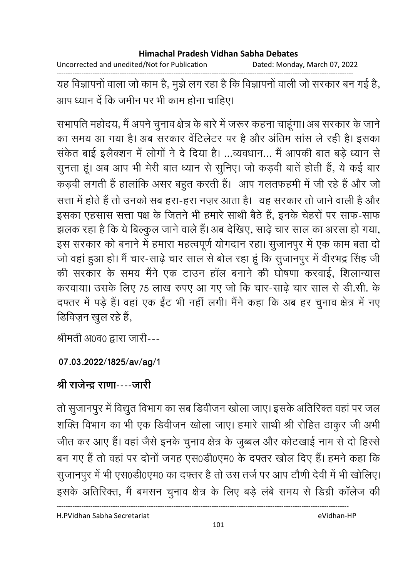Uncorrected and unedited/Not for Publication Dated: Monday, March 07, 2022

------------------------------------------------------------------------------------------------------------------------------------ यह विज्ञापनों वाला जो काम है, मुझे लग रहा है कि विज्ञापनों वाली जो सरकार बन गई है, आप ध्यान दें कि जमीन पर भी काम होना चाहिए।

सभापति महोदय, मैं अपने चुनाव क्षेत्र के बारे में जरूर कहना चाहूगा। अब सरकार के जाने का समय आ गया है। अब सरकार वेटिलेंटर पर है और अंतिम सास ले रही है। इसका सकेत बाई इलैक्शन में लोगों ने दें दिया है। ...व्यवधान... मैं आपकी बात बड़े ध्यान से सुनता हूं। अब आप भी मेरी बात ध्यान से सुनिए। जो कड़वी बातें होती हैं, ये कई बार कड़वी लगती है हालांकि असर बहुत करती है। आप गलतफहमी में जी रहे हैं और जो सत्ता में होते हैं तो उनको सब हरा-हरा नज़र आता है। यह सरकार तो जाने वाली है और इसका एहसास सत्ता पक्ष के जितने भी हमारे साथी बैठे हैं, इनके चेहरों पर साफ-साफ झलक रहा है कि ये बिल्कुल जाने वाले हैं। अब देखिए, साढ़े चार साल का अरसा हो गया, इस सरकार को बनाने में हमारा महत्वपूर्ण योगदान रहा। सुजानपुर में एक काम बता दो जो वहा हुआ हो। मैं चार-साढ़े चार साल से बोल रहा हूं कि सुजानपुर में वीरभद्र सिंह जी की सरकार के समय मैंने एक टाउन हाल बनाने की घोषणा करवाई, शिलान्यास करवाया। उसके लिए 75 लाख रुपए आ गए जो कि चार-साढ़े चार साल से डी.सी. के दफ्तर में पड़े हैं। वहां एक ईट भी नहीं लगी। मैंने कहा कि अब हर चुनाव क्षेत्र में नए डिविज़न खुल रहे हैं,

श्रीमती अ0व0 द्वारा जारी---

### **07.03.2022/1825/av/ag/1**

## <u>श्री राजेन्द्र राणा----जारी</u>

तो सुजानपुर में विद्युत विभाग का सब डिवीजन खोला जाए। इसके अतिरिक्त वहां पर जल शक्ति विभाग का भी एक डिवीजन खोला जाए। हमारे साथी श्री रोहित ठाकुर जी अभी जीत कर आए हैं। वहां जैसे इनके चुनाव क्षेत्र के जुब्बल और कोटखाई नाम से दो हिस्से बन गए हैं तो वहां पर दोनों जगह एस0डी0एम0 के दफ्तर खोल दिए हैं। हमने कहा कि सुजानपुर में भी एस0डी0एम0 का दफ्तर है तो उस तर्ज पर आप टोणी देवी में भी खोलिए। इसके अतिरिक्त, मैं बमसन चुनाव क्षेत्र के लिए बड़े लबे समय से डिग्री कालेज की

H.PVidhan Sabha Secretariat eVidhan-HP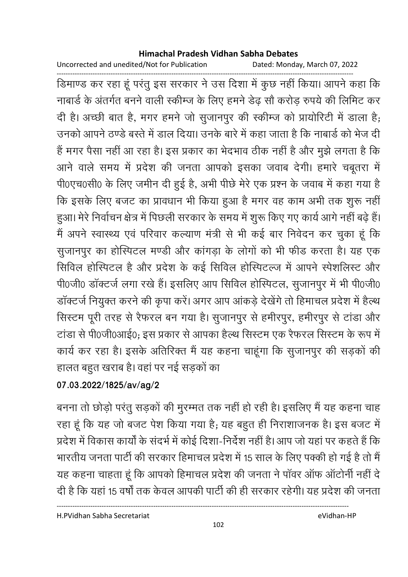Uncorrected and unedited/Not for Publication Dated: Monday, March 07, 2022

------------------------------------------------------------------------------------------------------------------------------------ डिमाण्ड कर रहा हू परंतु इस सरकार ने उस दिशा में कुछ नहीं किया। आपने कहा कि नाबार्ड के अंतर्गत बनने वाली स्कीम्ज के लिए हमने डेढ़ सौ करोड़ रुपये की लिमिट कर दी है। अच्छी बात है, मगर हमने जो सुजानपुर की स्कीम्ज को प्रायोरिटी में डाला है; उनको आपने ठण्डे बस्ते में डाल दिया। उनके बारे में कहा जाता है कि नाबार्ड को भेज दी है मगर पैसा नहीं आ रहा है। इस प्रकार का भेदभाव ठीक नहीं है और मुझे लगता है कि आने वाले समय में प्रदेश की जनता आपको इसका जवाब देंगी। हमारे चबूतरा में पी0एच0सी0 के लिए जमीन दी हुई है, अभी पीछे मेरे एक प्रश्न के जवाब में कहा गया है कि इसके लिए बजट का प्रावधान भी किया हुआ है मगर वह काम अभी तक शुरू नहीं हुआ। मेरे निर्वाचन क्षेत्र में पिछली सरकार के समय में शुरू किए गए कार्य आगे नहीं बढ़ें हैं। मैं अपने स्वास्थ्य एवं परिवार कल्याण मंत्री से भी कई बार निवेदन कर चुका हूं कि सुजानपुर का होस्पिटल मण्डी और कांगड़ा के लोगों को भी फीड करता है। यह एक सिविल होस्पिटल है और प्रदेश के कई सिविल होस्पिटल्ज में आपने स्पेशलिस्ट और पी0जी0 डाक्टर्ज लगा रखे हैं। इसलिए आप सिविल होस्पिटल, सुजानपुर में भी पी0जी0 डाक्टर्ज नियुक्त करने की कृपा करें। अगर आप आकड़े देखेंगे तो हिमाचल प्रदेश में हैल्थ सिस्टम पूरी तरह से रैफरल बन गया है। सुजानपुर से हमीरपुर, हमीरपुर से टाडा और टाडा से पी0जी0आई0; इस प्रकार से आपका हैल्थ सिस्टम एक रैफरल सिस्टम के रूप में कार्य कर रहा है। इसके अतिरिक्त में यह कहना चाहूंगा कि सुजानपुर की सड़कों की हालत बहुत खराब है। वहां पर नई सड़कों का

## **07.03.2022/1825/av/ag/2**

बनना तो छोड़ों परंतु सड़कों की मुरम्मत तक नहीं हो रही है। इसलिए मैं यह कहना चाह रहा हूँ कि यह जो बजट पेश किया गया है; यह बहुत ही निराशाजनक है। इस बजट में प्रदेश में विकास कार्यों के सदर्भ में कोई दिशा-निर्देश नहीं हैं। आप जो यहां पर कहते हैं कि भारतीय जनता पार्टी की सरकार हिमाचल प्रदेश में 15 साल के लिए पक्की हो गई है तो मैं यह कहना चाहता हू कि आपको हिमाचल प्रदेश की जनता ने पावर आफ आटोनी नहीं दे दी है कि यहां 15 वर्षों तक केवल आपकी पार्टी की ही सरकार रहेगी। यह प्रदेश की जनता

H.PVidhan Sabha Secretariat eVidhan-HP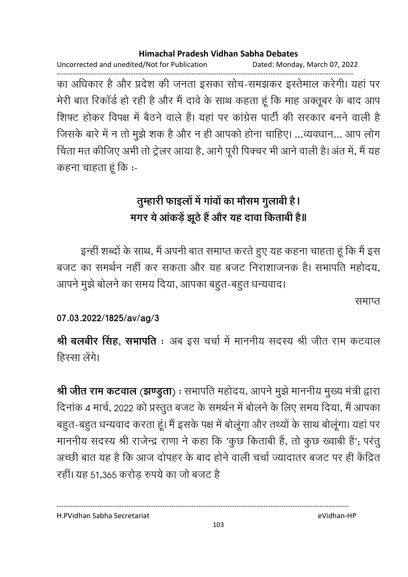Uncorrected and unedited/Not for Publication Dated: Monday, March 07, 2022

------------------------------------------------------------------------------------------------------------------------------------ का अधिकार है और प्रदेश की जनता इसका सोच-समझकर इस्तेमाल करेगी। यहां पर मेरी बात रिकार्ड हो रही है और मैं दावें के साथ कहता हूं कि माह अक्तूबर के बाद आप शिफ्ट होकर विपक्ष में बैठने वाले हैं। यहां पर कांग्रेस पार्टी की सरकार बनने वाली हैं जिसके बारे में न तो मुझे शक है और न ही आपको होना चाहिए। …व्यवधान… आप लोग चिता मत कीजिए अभी तो ट्रेलर आया है, आगे पूरी पिक्चर भी आने वाली है। अत में, मैं यह कहना चाहता हू कि :-

# तुम्हारी फाइलों में गांवों का मौसम गुलाबी है। मगर ये आकड़े झूठे हैं और यह दावा किताबी है॥

इन्ही शब्दों के साथ, मैं अपनी बात समाप्त करते हुए यह कहना चाहता हूं कि मैं इस बजट का समर्थन नहीं कर सकता और यह बजट निराशाजनक है। सभापति महोदय, आपने मुझे बोलने का समय दिया, आपका बहुत-बहुत धन्यवाद।

समाप्त

### **07.03.2022/1825/av/ag/3**

**श्री बलबीर सिंह, सभापति** : अब इस चर्चा में माननीय सदस्य श्री जीत राम कटवाल हिस्सा लेगे।

**श्री जीत राम कटवाल (झण्डुता)** : सभापति महोदय, आपने मुझे माननीय मुख्य मंत्री द्वारा दिनाक 4 मार्च, 2022 को प्रस्तुत बजट के समर्थन में बोलने के लिए समय दिया, मैं आपका बहुत-बहुत धन्यवाद करता हूं। मैं इसके पक्ष में बोलूंगा और तथ्यों के साथ बोलूंगा। यहां पर माननीय सदस्य श्री राजेन्द्र राणा ने कहा कि 'कुछ किताबी है, तो कुछ ख्वाबी है'; परंतु अच्छी बात यह है कि आज दोपहर के बाद होने वाली चर्चा ज्यादातर बजट पर ही केंद्रित रहीं। यह 51,365 करोड़ रुपये का जो बजट है

H.PVidhan Sabha Secretariat eVidhan-HP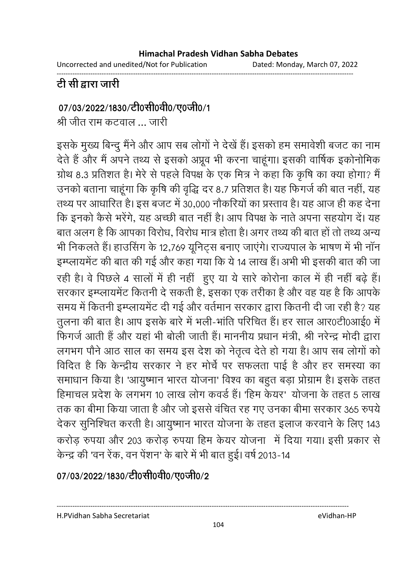Uncorrected and unedited/Not for Publication Dated: Monday, March 07, 2022

------------------------------------------------------------------------------------------------------------------------------------

# <u>टी सी द्वारा जारी</u>

### 07/03/2022/1830/टी0सी0वी0/ए0जी0/1

श्री जीत राम कटवाल ... जारी

इसके मुख्य बिन्दु मैंने और आप सब लोगों ने देखें हैं। इसको हम समावेशी बजट का नाम देते हैं और मैं अपने तथ्य से इसको अप्रूव भी करना चाहूगा। इसकी वार्षिक इकोनोमिक ग्राथ 8.3 प्रतिशत है। मेरे से पहले विपक्ष के एक मित्र ने कहा कि कृषि का क्या होगा? मैं उनको बताना चाहूँगा कि कृषि की वृद्धि दर 8.7 प्रतिशत है। यह फिगर्ज की बात नहीं, यह तथ्य पर आधारित है। इस बजट में 30,000 नोकरियों का प्रस्ताव है। यह आज ही कह देना | कि इनको कैसे भरेगे, यह अच्छी बात नहीं है। आप विपक्ष के नाते अपना सहयोग दें। यह बात अलग है कि आपका विरोध, विरोध मात्र होता है। अगर तथ्य की बात हो तो तथ्य अन्य भी निकलते हैं। हाउसिंग के 12,769 यूनिट्स बनाए जाएंगे। राज्यपाल के भाषण में भी नान इम्प्लायमेंट की बात की गई और कहा गया कि ये 14 लाख है। अभी भी इसकी बात की जा रही है। वे पिछले 4 सालों में ही नहीं हुए या ये सारे कोरोना काल में ही नहीं बढ़ें हैं। सरकार इम्प्लायमेंट कितनी दें सकती हैं, इसका एक तरीका है और वह यह है कि आपके समय में कितनी इम्प्लायमेंट दी गई और वर्तमान सरकार द्वारा कितनी दी जा रही है? यह तुलना की बात है। आप इसके बारे में भली-भाति परिचित है। हर साल आर0टी0आई0 में फिंगर्ज आती है और यहां भी बोली जाती है। माननीय प्रधान मंत्री, श्री नरेन्द्र मोदी द्वारा लगभग पौने आठ साल का समय इस देश को नेतृत्व देते हो गया है। आप सब लोगों को विदित है कि केन्द्रीय सरकार ने हर मोर्च पर सफलता पाई है और हर समस्या का समाधान किया है। 'आयुष्मान भारत योजना' विश्व का बहुत बड़ा प्रोग्राम है। इसके तहत हिमाचल प्रदेश के लगभग 10 लाख लोग कवर्ड है। 'हिम केयर' योजना के तहत 5 लाख तक का बीमा किया जाता है और जो इससे वर्चित रह गए उनका बीमा सरकार 365 रुपये। देकर सुनिश्चित करती है। आयुष्मान भारत योजना के तहत इलाज करवाने के लिए 143 करोड़ रुपया और 203 करोड़ रुपया हिम केयर योजना में दिया गया। इसी प्रकार से केन्द्र की 'वन रेक, वन पेशन' के बारे में भी बात हुई। वर्ष 2013-14

07/03/2022/1830/टी0सी0वी0/ए0जी0/2

H.PVidhan Sabha Secretariat eVidhan-HP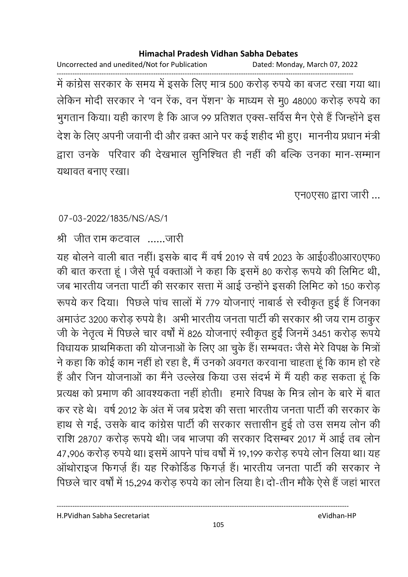Uncorrected and unedited/Not for Publication Dated: Monday, March 07, 2022

------------------------------------------------------------------------------------------------------------------------------------ में कांग्रेस सरकार के समय में इसके लिए मात्र 500 करोड़ रुपये का बजट रखा गया था। लेकिन मोदी सरकार ने 'वन रेक, वन पेशन' के माध्यम से मु0 48000 करोड़ रुपये का भुगतान किया। यही कारण है कि आज 99 प्रतिशत एक्स-संविस मैंन ऐसे हैं जिन्होंने इस देश के लिए अपनी जवानी दी और व़क्त आने पर कई शहीद भी हुए। माननीय प्रधान मंत्री द्वारा उनके परिवार की देखभाल सुनिश्चित ही नहीं की बल्कि उनका मान-सम्मान यथावत बनाए रखा।

एन0एस0 द्वारा जारी ...

07-03-2022/1835/NS/AS/1

श्री जीत राम कटवाल ......जारी

यह बोलने वाली बात नहीं। इसके बाद में वर्ष 2019 से वर्ष 2023 के आई0डी0आर0एफ0 की बात करता हूँ । जैसे पूर्व वक्ताओं ने कहा कि इसमें 80 करोड़ रूपये की लिमिट थी, जब भारतीय जनता पार्टी की सरकार सत्ता में आई उन्होंने इसकी लिमिट को 150 करोड़ रूपर्य कर दिया। पिछले पाच सालों में 779 योजनाए नाबार्ड से स्वीकृत हुई है जिनका अमाउट 3200 करोड़ रुपये हैं। अभी भारतीय जनता पार्टी की सरकार श्री जय राम ठाकुर . जी के नेतृत्व में पिछले चार वर्षा में 826 योजनाएं स्वीकृत हुई जिनमें 3451 करोड़ रूपये। विधायक प्राथमिकता की योजनाओं के लिए आ चुके हैं। सम्भवतः जैसे मेरे विपक्ष के मित्रो ने कहा कि कोई काम नहीं हो रहा है, मैं उनको अवगत करवाना चाहता हूं कि काम हो रहे। है और जिन योजनाओं का मैंने उल्लेख किया उस सदर्भ में मैं यही कह सकता हूं कि प्रत्यक्ष को प्रमाण की आवश्यकता नहीं होती। हमारे विपक्ष के मित्र लोन के बारे में बात कर रहे थे। वर्ष 2012 के अंत में जब प्रदेश की सत्ता भारतीय जनता पार्टी की सरकार के हाथ से गई, उसके बाद कांग्रेस पार्टी की सरकार सत्तासीन हुई तो उस समय लोन की राशि 28707 करोड़ रूपये थी। जब भाजपा की सरकार दिसम्बर 2017 में आई तब लोन 47,906 करोड़ रुपर्य था। इसमें आपने पांच वर्षों में 19,199 करोड़ रुपर्य लोन लिया था। यह आर्थाराइज फिंगज़े हैं। यह रिकोर्डिड फिंगज़े हैं। भारतीय जनता पार्टी की सरकार ने पिछले चार वर्षों में 15,294 करोड़ रुपये का लोन लिया है। दो-तीन मौके ऐसे हैं जहां भारत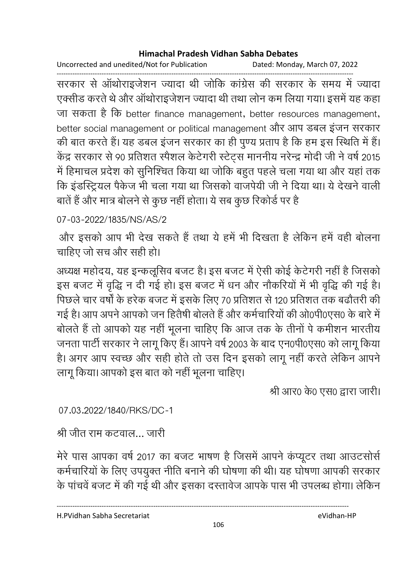Uncorrected and unedited/Not for Publication Dated: Monday, March 07, 2022

------------------------------------------------------------------------------------------------------------------------------------ सरकार से आर्थाराइजेशन ज्यादा थी जोकि कांग्रेस की सरकार के समय में ज्यादा एक्सीड करते थे और आर्थाराइजेशन ज्यादा थी तथा लोन कम लिया गया। इसमें यह कहा जा सकता है कि better finance management, better resources management, better social management or political management और आप डबल इंजन सरकार की बात करते हैं। यह डबल इजन सरकार का ही पुण्य प्रताप है कि हम इस स्थिति में हैं। केंद्र सरकार से 90 प्रतिशत स्पेशल केंटेंगरी स्टेट्स माननीय नरेन्द्र मोदी जी ने वर्ष 2015. में हिमाचल प्रदेश को सुनिश्चित किया था जोकि बहुत पहले चला गया था और यहां तक कि इंडस्ट्रियल पैकेज भी चला गया था जिसको वाजपेयी जी ने दिया था। ये देखने वाली बाते हैं और मात्र बोलने से कुछ नहीं होता। ये सब कुछ रिकोर्ड पर हैं

## 07-03-2022/1835/NS/AS/2

और इसको आप भी देख सकते हैं तथा ये हमें भी दिखता है लेकिन हमें वहीं बोलना चाहिए जो सच और सही हो।

अध्यक्ष महोदय, यह इन्कलूसिव बजट है। इस बजट में ऐसी कोई केंटेगरी नहीं है जिसको इस बजट में वृद्धि न दी गई हो। इस बजट में धन और नौकरियों में भी वृद्धि की गई है। पिछले चार वर्षा के हरेक बजट में इसके लिए 70 प्रतिशत से 120 प्रतिशत तक बढोंतरी की गई है। आप अपने आपको जन हितैषी बोलते हैं और कर्मचारियों की ओ0पी0एस0 के बारे में | बोलते हैं तो आपको यह नहीं भूलना चाहिए कि आज तक के तीनों पे कमीशन भारतीय जनता पार्टी सरकार ने लागू किए हैं। आपने वर्ष 2003 के बाद एन0पी0एस0 को लागू किया हैं। अगर आप स्वच्छ और सही होते तो उस दिन इसको लागू नहीं करते लेकिन आपने लागू किया। आपको इस बात को नहीं भूलना चाहिए।

श्री आर0 के0 एस0 द्वारा जारी।

07.03.2022/1840/RKS/DC-1

श्री जीत राम कटवाल… जारी

मेरे पास आपका वर्ष 2017 का बजट भाषण है जिसमें आपने कप्यूटर तथा आउटसोर्स कर्मचारियों के लिए उपयुक्त नीति बनाने की घोषणा की थी। यह घोषणा आपकी सरकार के पाचवे बजट में की गई थी और इसका दस्तावेज आपके पास भी उपलब्ध होगा। लेकिन

H.PVidhan Sabha Secretariat eVidhan-HP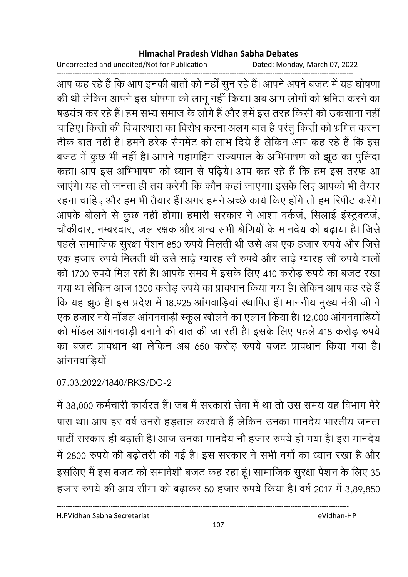Uncorrected and unedited/Not for Publication Dated: Monday, March 07, 2022

------------------------------------------------------------------------------------------------------------------------------------ आप कह रहे हैं कि आप इनकी बातों को नहीं सुन रहे हैं। आपने अपने बजट में यह घोषणा की थी लेकिन आपने इस घोषणा को लागू नहीं किया। अब आप लोगों को भ्रमित करने का षडयत्र कर रहे हैं। हम सभ्य समाज के लोगे हैं और हमें इस तरह किसी को उकसाना नहीं | चाहिए। किसी की विचारधारा का विरोध करना अलग बात है परंतु किसी को भ्रमित करना ठीक बात नहीं है। हमने हरेक सैगमेंट को लाभ दिये हैं लेकिन आप कह रहे हैं कि इस बजट में कुछ भी नहीं है। आपने महामोहेम राज्यपाल के अभिभाषण को झूठ का पुलिदा कहा। आप इस अभिभाषण को ध्यान से पढ़िये। आप कह रहे हैं कि हम इस तरफ आ जाएंगे। यह तो जनता ही तय करेगी कि कौन कहा जाएंगा। इसके लिए आपको भी तैयार रहना चाहिए और हम भी तैयार है। अगर हमने अच्छे कार्य किए होंगे तो हम रिपीट करेंगे। आपके बोलने से कुछ नहीं होगा। हमारी सरकार ने आशा वर्कजे, सिलाई इंस्ट्रक्टजे, चौकीदार, नम्बरदार, जल रक्षक और अन्य सभी श्रीणयों के मानदेय को बढ़ाया है। जिसे पहले सामाजिक सुरक्षा पेशन 850 रुपये मिलती थी उसे अब एक हजार रुपये और जिसे एक हजार रुपये मिलती थी उसे साढ़े ग्यारह सौ रुपये और साढ़े ग्यारह सौ रुपये वालो को 1700 रुपये मिल रही है। आपके समय में इसके लिए 410 करोड़ रुपये का बजट रखा गया था लेकिन आज 1300 करोड़ रुपर्य का प्रावधान किया गया है। लेकिन आप कह रहे हैं | कि यह झूठ है। इस प्रदेश में 18,925 आगवाड़िया स्थापित है। माननीय मुख्य मंत्री जी ने एक हजार नये मांडल आगनवाड़ी स्कूल खोलने का एलान किया है। 12,000 आगनवाडियो को मांडल आगनवाड़ी बनाने की बात की जा रही है। इसके लिए पहले 418 करोड़ रुपये का बजट प्रावधान था लेकिन अब 650 करोड़ रुपये बजट प्रावधान किया गया है। आगनवाङ्यि

07.03.2022/1840/RKS/DC-2

में 38,000 कर्मचारी कार्यरत है। जब मैं सरकारी सेवा में था तो उस समय यह विभाग मेरे पास था। आप हर वर्ष उनसे हड़ताल करवाते हैं लेकिन उनका मानदेय भारतीय जनता पार्टी सरकार ही बढ़ाती है। आज उनका मानदेय नौ हजार रुपये हो गया है। इस मानदेय में 2800 रुपये की बढ़ोतरी की गई है। इस सरकार ने सभी वर्गा का ध्यान रखा है और इसलिए मैं इस बजट को समावेशी बजट कह रहा हूं। सामाजिक सुरक्षा पेशन के लिए 35 हजार रुपये की आय सीमा को बढ़ाकर 50 हजार रुपये किया है। वर्ष 2017 में 3,89,850

H.PVidhan Sabha Secretariat eVidhan-HP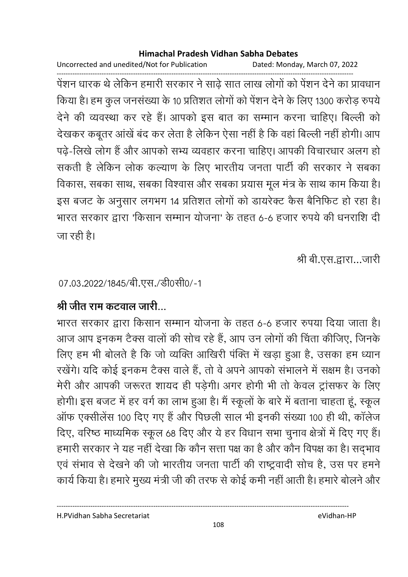Uncorrected and unedited/Not for Publication Dated: Monday, March 07, 2022

------------------------------------------------------------------------------------------------------------------------------------ पेशन धारक थे लेकिन हमारी सरकार ने साढ़े सात लाख लोगों को पेशन देने का प्रावधान किया है। हम कुल जनसंख्या के 10 प्रतिशत लोगों को पेशन देने के लिए 1300 करोड़ रुपये देने की व्यवस्था कर रहे हैं। आपको इस बात का सम्मान करना चाहिए। बिल्ली को देखकर कबूतर आर्ख बंद कर लेता है लेकिन ऐसा नहीं है कि वहां बिल्ली नहीं होगी। आप पढ़ें-लिखे लोग है और आपको सभ्य व्यवहार करना चाहिए। आपकी विचारधार अलग हो सकती है लेकिन लोक कल्याण के लिए भारतीय जनता पार्टी की सरकार ने सबका विकास, सबका साथ, सबका विश्वास और सबका प्रयास मूल मंत्र के साथ काम किया है। इस बजट के अनुसार लगभग 14 प्रतिशत लोगों को डायरेक्ट कैस बैनिफिट हो रहा है। भारत सरकार द्वारा 'किसान सम्मान योजना' के तहत 6-6 हजार रुपये की धनराशि दी जा रही है।

श्री बी.एस.द्वारा…जारी

07.03.2022/1845/बी.एस./डी0सी0/-1

## <u>श्री जीत राम कटवाल जारी...</u>

भारत सरकार द्वारा किसान सम्मान योजना के तहत 6-6 हजार रुपया दिया जाता है। आज आप इनकम टैक्स वालों की सोच रहे हैं, आप उन लोगों की चिंता कीजिए, जिनके लिए हम भी बोलते हैं कि जो व्यक्ति आखिरी पक्ति में खड़ा हुआ है, उसका हम ध्यान रखेंगे। यदि कोई इनकम टैक्स वाले हैं, तो वे अपने आपको संभालने में सक्षम हैं। उनको मेरी और आपकी जरूरत शायद ही पड़ेगी। अगर होंगी भी तो केवल ट्रांसफर के लिए होगी। इस बजट में हर वर्ग का लाभ हुआ है। मैं स्कूलों के बारे में बताना चाहता हूं, स्कूल आफ एक्सीलेस 100 दिए गए हैं और पिछली साल भी इनकी संख्या 100 ही थी, कालेज दिए, वरिष्ठ माध्यमिक स्कूल 68 दिए और ये हर विधान सभा चुनाव क्षेत्रों में दिए गए हैं। हमारी सरकार ने यह नहीं देखा कि कौन सत्ता पक्ष का है और कौन विपक्ष का है। सद्भाव एवं सभाव से देखने की जो भारतीय जनता पार्टी की राष्ट्रवादी सोच है, उस पर हमने कार्य किया है। हमारे मुख्य मंत्री जी की तरफ से कोई कमी नहीं आती है। हमारे बोलने और

H.PVidhan Sabha Secretariat eVidhan-HP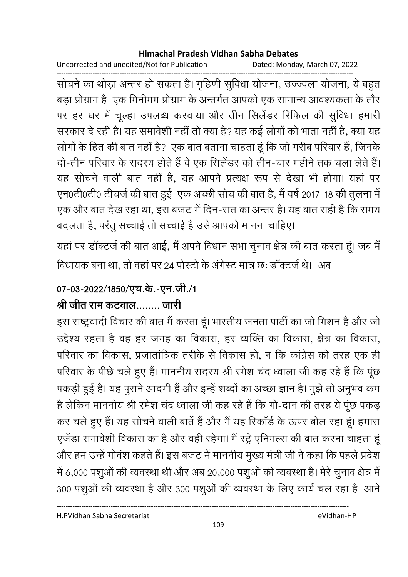Uncorrected and unedited/Not for Publication Dated: Monday, March 07, 2022

सोचने का थोड़ा अन्तर हो सकता है। गृहिणी सुविधा योजना, उज्ज्वला योजना, ये बहुत बड़ा प्रोग्राम है। एक मिनीमम प्रोग्राम के अन्तर्गत आपको एक सामान्य आवश्यकता के तौर पर हर घर में चूल्हा उपलब्ध करवाया और तीन सिलेंडर रिफिल की सुविधा हमारी सरकार दे रही है। यह समावेशी नहीं तो क्या है? यह कई लोगों को भाता नहीं है, क्या यह लोगों के हित की बात नहीं है? एक बात बताना चाहता हूं कि जो गरीब परिवार हैं, जिनके दो-तीन परिवार के सदस्य होते हैं वे एक सिलेंडर को तीन-चार महीने तक चला लेते हैं। यह सोचने वाली बात नहीं है, यह आपने प्रत्यक्ष रूप से देखा भी होगा। यहां पर एन0टी0टी0 टीचर्ज की बात हुई। एक अच्छी सोच की बात है, मैं वर्ष 2017-18 की तुलना में एक और बात देख रहा था, इस बजट में दिन-रात का अन्तर है। यह बात सही है कि समय बदलता है, परंतु सच्चाई तो सच्चाई है उसे आपको मानना चाहिए।

यहां पर डॉक्टर्ज की बात आई, मैं अपने विधान सभा चुनाव क्षेत्र की बात करता हूं। जब मैं विधायक बना था. तो वहां पर 24 पोस्टो के अंगेस्ट मात्र छ: डॉक्टर्ज थे। अब

# 07-03-2022/1850/एच.के.-एन.जी./1

# श्री जीत राम कटवाल……. जारी

इस राष्ट्रवादी विचार की बात मैं करता हूं। भारतीय जनता पार्टी का जो मिशन है और जो उद्देश्य रहता है वह हर जगह का विकास, हर व्यक्ति का विकास, क्षेत्र का विकास, परिवार का विकास, प्रजातांत्रिक तरीके से विकास हो, न कि कांग्रेस की तरह एक ही परिवार के पीछे चले हुए हैं। माननीय सदस्य श्री रमेश चंद ध्वाला जी कह रहे हैं कि पूंछ पकड़ी हुई है। यह पुराने आदमी हैं और इन्हें शब्दों का अच्छा ज्ञान है। मुझे तो अनुभव कम है लेकिन माननीय श्री रमेश चंद ध्वाला जी कह रहे हैं कि गो-दान की तरह ये पूंछ पकड़ कर चले हुए हैं। यह सोचने वाली बातें हैं और मैं यह रिकॉर्ड के ऊपर बोल रहा हूं। हमारा एजेंडा समावेशी विकास का है और वही रहेगा। मैं स्ट्रे एनिमल्स की बात करना चाहता हूं और हम उन्हें गोवंश कहते हैं। इस बजट में माननीय मुख्य मंत्री जी ने कहा कि पहले प्रदेश में 6,000 पशुओं की व्यवस्था थी और अब 20,000 पशुओं की व्यवस्था है। मेरे चुनाव क्षेत्र में 300 पशुओं की व्यवस्था है और 300 पशुओं की व्यवस्था के लिए कार्य चल रहा है। आने

H.PVidhan Sabha Secretariat

eVidhan-HP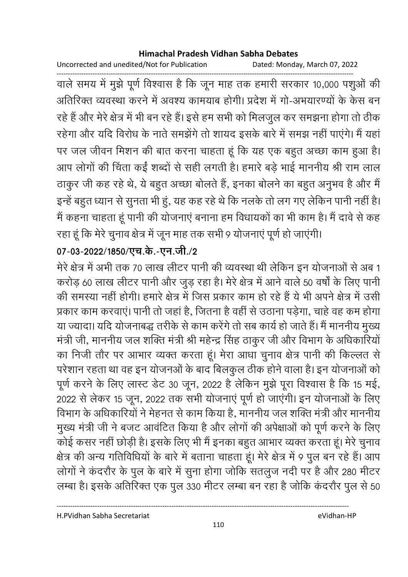Uncorrected and unedited/Not for Publication Dated: Monday, March 07, 2022

------------------------------------------------------------------------------------------------------------------------------------ वाले समय में मुझे पूर्ण विश्वास है कि जून माह तक हमारी सरकार 10,000 पशुओं की आतीरेक्त व्यवस्था करने में अवश्य कामयाब होगी। प्रदेश में गो-अभयारण्यों के केस बन रहे हैं और मेरे क्षेत्र में भी बन रहे हैं। इसे हम सभी को मिलजुल कर समझना होगा तो ठीक रहेगा और यदि विरोध के नाते समझेंगे तो शायद इसके बारे में समझ नहीं पाएंगे। मैं यहां पर जल जीवन मिशन की बात करना चाहता हूं कि यह एक बहुत अच्छा काम हुआ है। आप लोगों की चिंता कई शब्दों से सही लगती है। हमारे बड़े भाई माननीय श्री राम लाल ठाकुर जी कह रहे थे, ये बहुत अच्छा बोलते हैं, इनका बोलने का बहुत अनुभव है और मैं इन्हें बहुत ध्यान से सुनता भी हु, यह कह रहें थे कि नलके तो लग गए लेकिन पानी नहीं हैं। में कहना चाहता हूं पानी की योजनाएं बनाना हम विधायकों का भी काम है। मैं दावें से कह रहा हूं कि मेरे चुनाव क्षेत्र में जून माह तक सभी 9 योजनाएं पूर्ण हो जाएगी।

## 07-03-2022/1850/एच.के.-एन.जी./2

मेरे क्षेत्र में अभी तक 70 लाख लीटर पानी की व्यवस्था थी लेकिन इन योजनाओं से अब 1 करोड़ 60 लाख लीटर पानी और जुड़ रहा है। मेरे क्षेत्र में आने वाले 50 वर्षों के लिए पानी की समस्या नहीं होगी। हमारे क्षेत्र में जिस प्रकार काम हो रहे हैं ये भी अपने क्षेत्र में उसी प्रकार काम करवाए। पानी तो जहां है, जितना है वहीं से उठाना पड़ेगा, चाहे वह कम होगा या ज्यादा। यदि योजनाबद्ध तरीके से काम करेंगे तो सब कार्य हो जाते हैं। मैं माननीय मुख्य मंत्री जी, माननीय जल शक्ति मंत्री श्री महेन्द्र सिंह ठाकुर जी और विभाग के अधिकारियों। का निजी तौर पर आभार व्यक्त करता हूं। मेरा आधा चुनाव क्षेत्र पानी की किल्लत से परेशान रहता था वह इन योजनओं के बाद बिलकुल ठीक होने वाला है। इन योजनाओं को पूर्ण करने के लिए लास्ट डेंट 30 जून, 2022 है लेकिन मुझे पूरा विश्वास है कि 15 मई, 2022 से लेकर 15 जून, 2022 तक सभी योजनाए पूर्ण हो जाएगी। इन योजनाओं के लिए विभाग के अधिकारियों ने मेहनत से काम किया है, माननीय जल शक्ति मंत्री और माननीय मुख्य मंत्री जी ने बजट आवर्टित किया है और लोगों की अपेक्षाओं को पूर्ण करने के लिए कोई कसर नहीं छोड़ी है। इसके लिए भी मैं इनका बहुत आभार व्यक्त करता हूं। मेरे चुनाव क्षेत्र की अन्य गतिविधियों के बारे में बताना चाहता हूं। मेरे क्षेत्र में 9 पुल बन रहे हैं। आप लोगों ने कदरौर के पुल के बारे में सुना होगा जोकि सतलुज नदी पर है और 280 मीटर लम्बा है। इसके अतिरिक्त एक पुल 330 मीटर लम्बा बन रहा है जोकि कदरौर पुल से 50

----------------------------------------------------------------------------------------------------------------------------------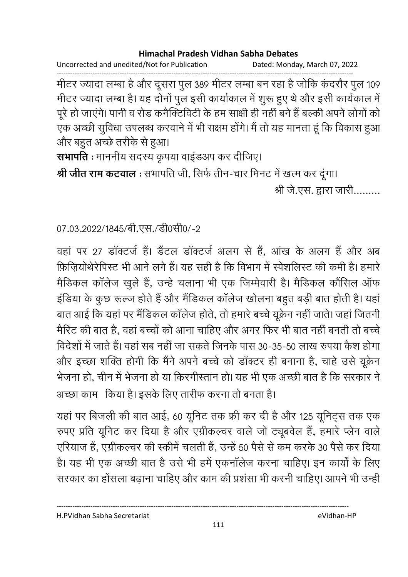Uncorrected and unedited/Not for Publication Dated: Monday, March 07, 2022

मीटर ज्यादा लम्बा है और दूसरा पुल 389 मीटर लम्बा बन रहा है जोकि कंदरौर पुल 109 मीटर ज्यादा लम्बा है। यह दोनों पुल इसी कार्याकाल में शुरू हुए थे और इसी कार्यकाल में पूरे हो जाएंगे। पानी व रोड कनैक्टिविटी के हम साक्षी ही नहीं बने हैं बल्की अपने लोगों को एक अच्छी सुविधा उपलब्ध करवाने में भी सक्षम होंगे। मैं तो यह मानता हूं कि विकास हुआ और बहुत अच्छे तरीके से हुआ।

सभापति : माननीय सदस्य कृपया वाइंडअप कर दीजिए।

श्री जीत राम कटवाल : सभापति जी, सिर्फ तीन-चार मिनट में खत्म कर दूंगा। श्री जे.एस. द्वारा जारी.........

07.03.2022/1845/बी.एस./डी0सी0/-2

वहां पर 27 डॉक्टर्ज हैं। डैंटल डॉक्टर्ज अलग से हैं, आंख के अलग हैं और अब फ़िजियोथेरेपिस्ट भी आने लगे हैं। यह सही है कि विभाग में स्पेशलिस्ट की कमी है। हमारे मैडिकल कॉलेज खुले हैं, उन्हे चलाना भी एक जिम्मेवारी है। मैडिकल कौंसिल ऑफ इंडिया के कुछ रूल्ज होते हैं और मैंडिकल कॉलेज खोलना बहुत बड़ी बात होती है। यहां बात आई कि यहां पर मैंडिकल कॉलेज होते, तो हमारे बच्चे यूक्रेन नहीं जाते। जहां जितनी मैरिट की बात है, वहां बच्चों को आना चाहिए और अगर फिर भी बात नहीं बनती तो बच्चे विदेशों में जाते हैं। वहां सब नहीं जा सकते जिनके पास 30-35-50 लाख रुपया कैश होगा और इच्छा शक्ति होगी कि मैंने अपने बच्चे को डॉक्टर ही बनाना है, चाहे उसे यूक्रेन भेजना हो, चीन में भेजना हो या किरगीस्तान हो। यह भी एक अच्छी बात है कि सरकार ने अच्छा काम) किया है। इसके लिए तारीफ करना तो बनता है।

यहां पर बिजली की बात आई, 60 यूनिट तक फ्री कर दी है और 125 यूनिट्स तक एक रुपए प्रति यूनिट कर दिया है और एग्रीकल्चर वाले जो ट्यूबवेल हैं, हमारे प्लेन वाले एरियाज हैं, एग्रीकल्चर की स्कीमें चलती हैं, उन्हें 50 पैसे से कम करके 30 पैसे कर दिया है। यह भी एक अच्छी बात है उसे भी हमें एकनॉलेज करना चाहिए। इन कार्यों के लिए सरकार का होंसला बढ़ाना चाहिए और काम की प्रशंसा भी करनी चाहिए। आपने भी उन्ही

H.PVidhan Sabha Secretariat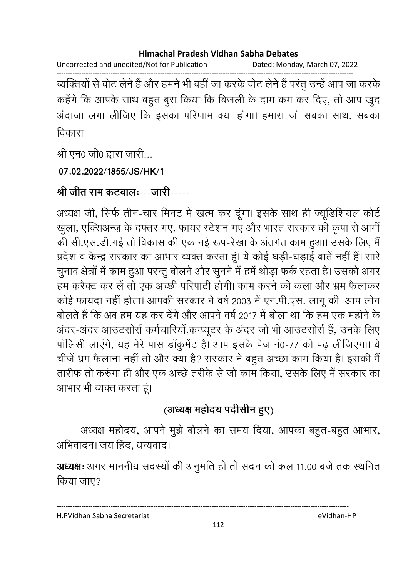Uncorrected and unedited/Not for Publication Dated: Monday, March 07, 2022

------------------------------------------------------------------------------------------------------------------------------------ व्यक्तियों से वोट लेने हैं और हमने भी वहीं जा करके वोट लेने हैं परंतु उन्हें आप जा करके कहेंगे कि आपके साथ बहुत बुरा किया कि बिजली के दाम कम कर दिए, तो आप खुद अदाजा लगा लीजिए कि इसका परिणाम क्या होगा। हमारा जो सबका साथ, सबका विकास

श्री एन0 जी0 द्वारा जारी...

**07.02.2022/1855/JS/HK/1**

श्री जीत राम कटवालः---जारी-----

अध्यक्ष जी, सिर्फ तीन-चार मिनट में खत्म कर दूँगा। इसके साथ ही ज्यूडिशियल कोर्ट खुला, एक्सिअन्ज़ के दफ्तर गए, फायर स्टेशन गए और भारत सरकार की कृपा से आमी की सी.एस.डी.गई तो विकास की एक नई रूप-रेखा के अंतर्गत काम हुआ। उसके लिए मैं प्रदेश व केन्द्र सरकार का आभार व्यक्त करता हूं। ये कोई घड़ी-घड़ाई बातें नहीं है। सारे चुनाव क्षेत्रों में काम हुआ परन्तु बोलने और सुनने में हमें थोड़ा फर्क रहता है। उसको अगर हम करैक्ट कर ले तो एक अच्छी परिपार्टी होगी। काम करने की कला और भ्रम फैलाकर कोई फायदा नहीं होता। आपकी सरकार ने वर्ष 2003 में एन.पी.एस. लागू की। आप लोग बोलते हैं कि अब हम यह कर देंगे और आपने वर्ष 2017 में बोला था कि हम एक महीने के अंदर-अंदर आंउटसोर्स कर्मचारियो,कम्प्यूटर के अंदर जो भी आंउटसोर्स है, उनके लिए पालिसी लाएंगे, यह मेरे पास डाकुमेंट हैं। आप इसके पेज न0-77 को पढ़ लीजिएंगा। ये चीजे भ्रम फैलाना नहीं तो और क्या है? सरकार ने बहुत अच्छा काम किया है। इसकी मैं तारीफ तो करुंगा ही और एक अच्छे तरीके से जो काम किया, उसके लिए मैं सरकार का आभार भी व्यक्त करता हूं।

# (अध्यक्ष महोदय पदीसीन हुए)

अध्यक्ष महोदय, आपने मुझे बोलने का समय दिया, आपका बहुत-बहुत आभार, अभिवादन। जय हिंद, धन्यवाद।

**अध्यक्षः** अगर माननीय सदस्यों की अनुमति हो तो सदन को कल 11.00 बजे तक स्थगित किया जाए?

H.PVidhan Sabha Secretariat eVidhan-HP

----------------------------------------------------------------------------------------------------------------------------------